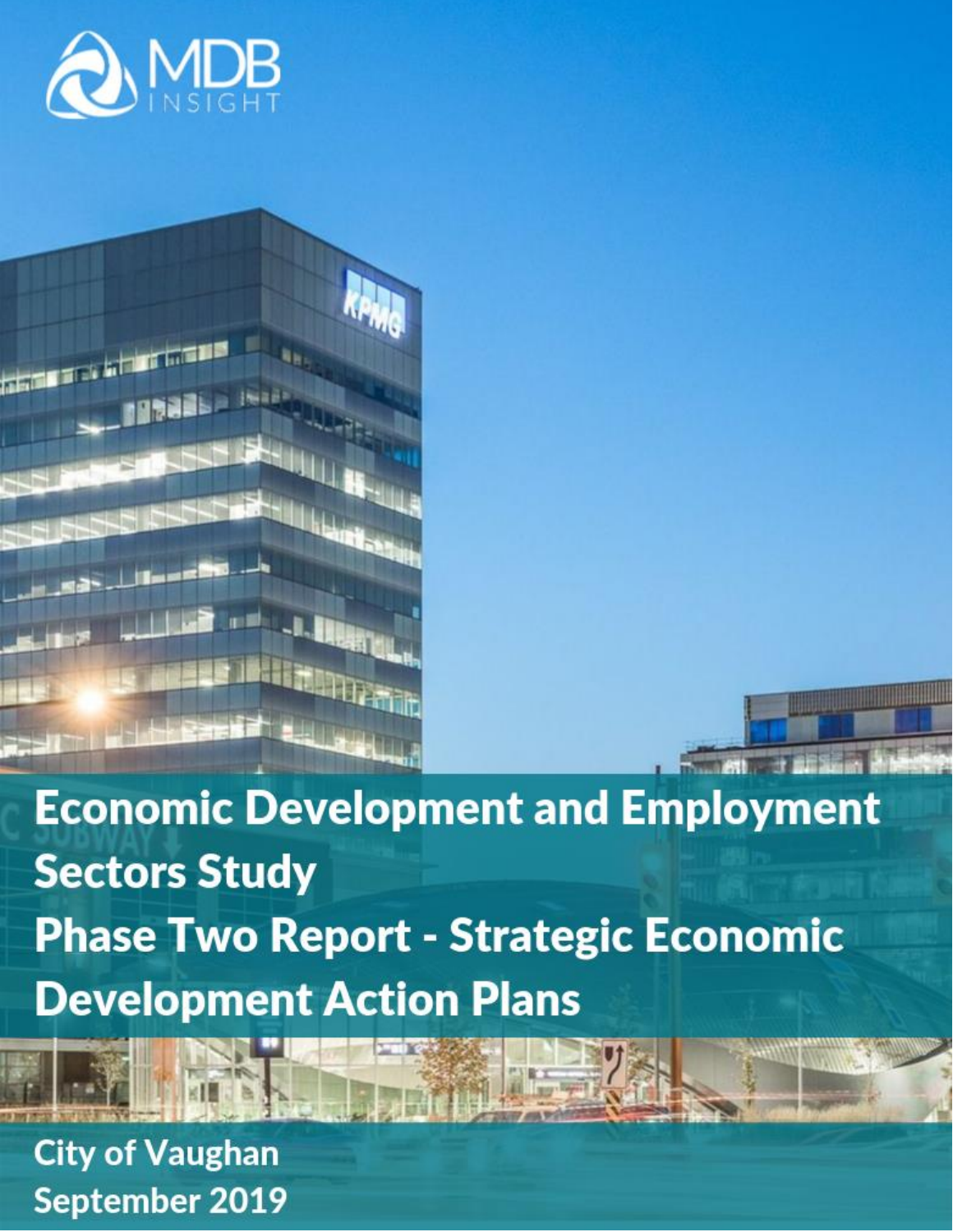



**Economic Development and Employment Sectors Study Phase Two Report - Strategic Economic Development Action Plans** 

**Contract Contract Only** 

**City of Vaughan** September 2019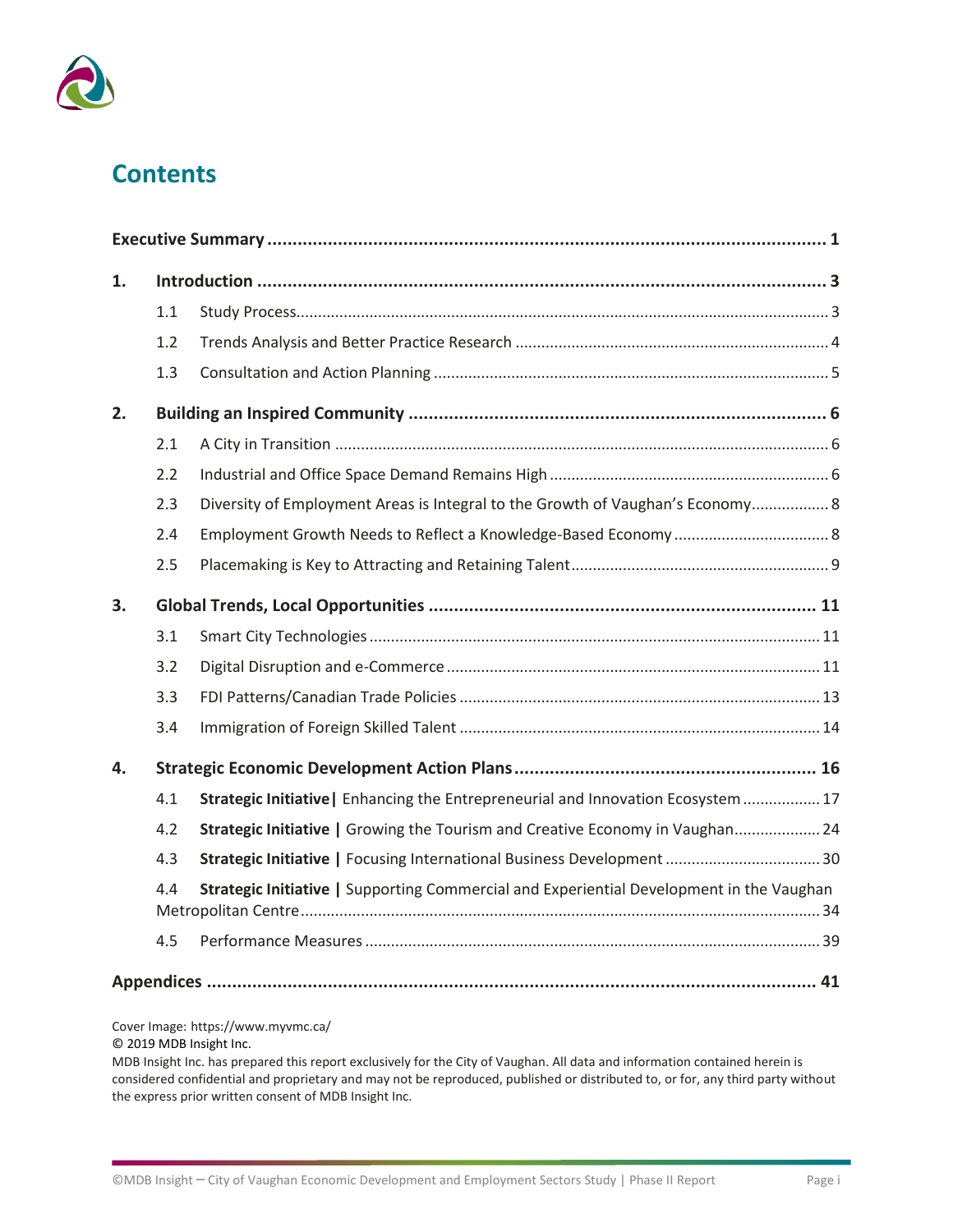

# **Contents**

| 1. |     |                                                                                          |
|----|-----|------------------------------------------------------------------------------------------|
|    | 1.1 |                                                                                          |
|    | 1.2 |                                                                                          |
|    | 1.3 |                                                                                          |
| 2. |     |                                                                                          |
|    | 2.1 |                                                                                          |
|    | 2.2 |                                                                                          |
|    | 2.3 | Diversity of Employment Areas is Integral to the Growth of Vaughan's Economy 8           |
|    | 2.4 |                                                                                          |
|    | 2.5 |                                                                                          |
| 3. |     |                                                                                          |
|    | 3.1 |                                                                                          |
|    | 3.2 |                                                                                          |
|    | 3.3 |                                                                                          |
|    | 3.4 |                                                                                          |
| 4. |     |                                                                                          |
|    | 4.1 | Strategic Initiative   Enhancing the Entrepreneurial and Innovation Ecosystem  17        |
|    | 4.2 | Strategic Initiative   Growing the Tourism and Creative Economy in Vaughan 24            |
|    | 4.3 | Strategic Initiative   Focusing International Business Development  30                   |
|    | 4.4 | Strategic Initiative   Supporting Commercial and Experiential Development in the Vaughan |
|    | 4.5 |                                                                                          |
|    |     |                                                                                          |

Cover Image: https://www.myvmc.ca/

© 2019 MDB Insight Inc.

MDB Insight Inc. has prepared this report exclusively for the City of Vaughan. All data and information contained herein is considered confidential and proprietary and may not be reproduced, published or distributed to, or for, any third party without the express prior written consent of MDB Insight Inc.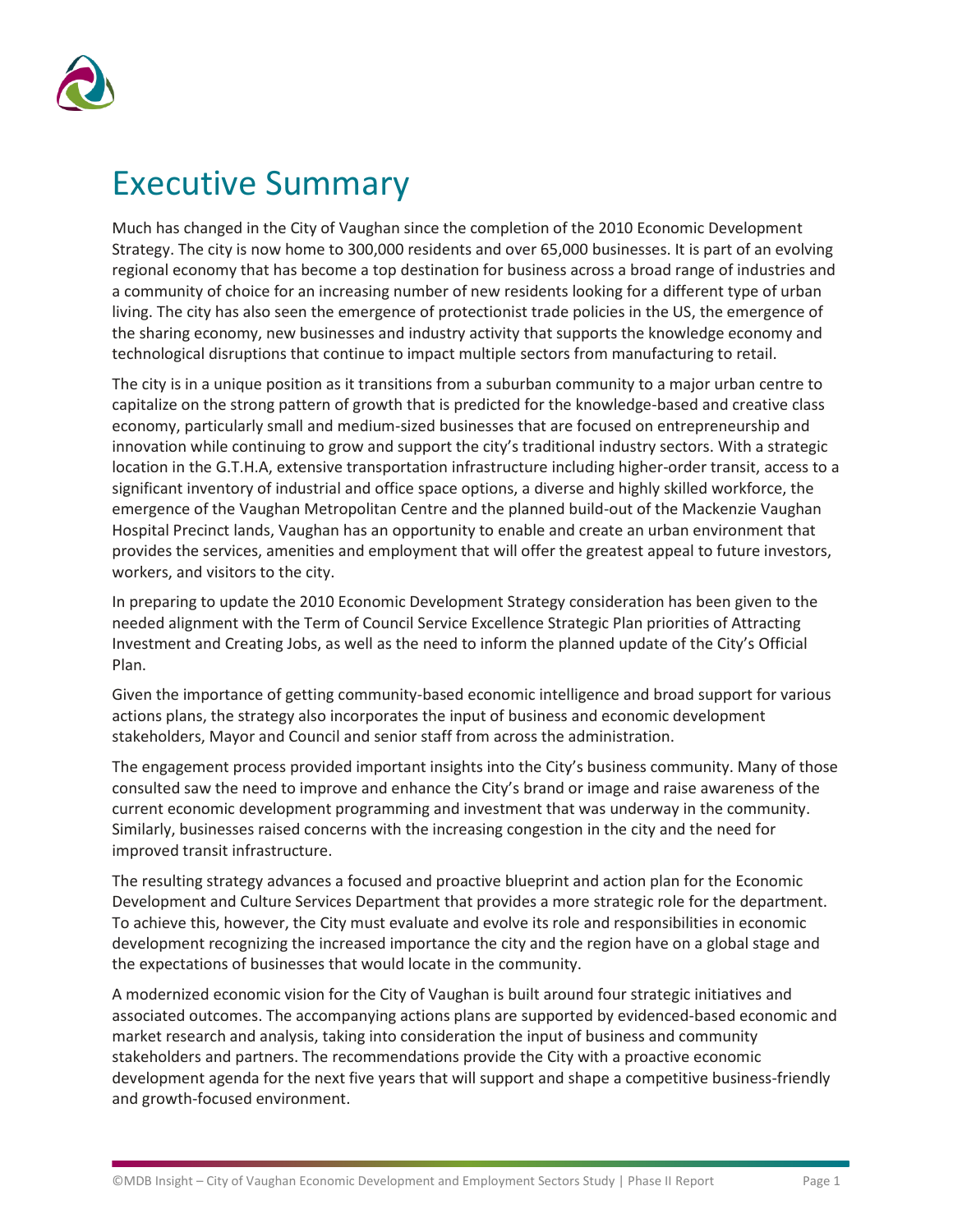

# <span id="page-2-0"></span>Executive Summary

Much has changed in the City of Vaughan since the completion of the 2010 Economic Development Strategy. The city is now home to 300,000 residents and over 65,000 businesses. It is part of an evolving regional economy that has become a top destination for business across a broad range of industries and a community of choice for an increasing number of new residents looking for a different type of urban living. The city has also seen the emergence of protectionist trade policies in the US, the emergence of the sharing economy, new businesses and industry activity that supports the knowledge economy and technological disruptions that continue to impact multiple sectors from manufacturing to retail.

The city is in a unique position as it transitions from a suburban community to a major urban centre to capitalize on the strong pattern of growth that is predicted for the knowledge-based and creative class economy, particularly small and medium-sized businesses that are focused on entrepreneurship and innovation while continuing to grow and support the city's traditional industry sectors. With a strategic location in the G.T.H.A, extensive transportation infrastructure including higher-order transit, access to a significant inventory of industrial and office space options, a diverse and highly skilled workforce, the emergence of the Vaughan Metropolitan Centre and the planned build-out of the Mackenzie Vaughan Hospital Precinct lands, Vaughan has an opportunity to enable and create an urban environment that provides the services, amenities and employment that will offer the greatest appeal to future investors, workers, and visitors to the city.

In preparing to update the 2010 Economic Development Strategy consideration has been given to the needed alignment with the Term of Council Service Excellence Strategic Plan priorities of Attracting Investment and Creating Jobs, as well as the need to inform the planned update of the City's Official Plan.

Given the importance of getting community-based economic intelligence and broad support for various actions plans, the strategy also incorporates the input of business and economic development stakeholders, Mayor and Council and senior staff from across the administration.

The engagement process provided important insights into the City's business community. Many of those consulted saw the need to improve and enhance the City's brand or image and raise awareness of the current economic development programming and investment that was underway in the community. Similarly, businesses raised concerns with the increasing congestion in the city and the need for improved transit infrastructure.

The resulting strategy advances a focused and proactive blueprint and action plan for the Economic Development and Culture Services Department that provides a more strategic role for the department. To achieve this, however, the City must evaluate and evolve its role and responsibilities in economic development recognizing the increased importance the city and the region have on a global stage and the expectations of businesses that would locate in the community.

A modernized economic vision for the City of Vaughan is built around four strategic initiatives and associated outcomes. The accompanying actions plans are supported by evidenced-based economic and market research and analysis, taking into consideration the input of business and community stakeholders and partners. The recommendations provide the City with a proactive economic development agenda for the next five years that will support and shape a competitive business-friendly and growth-focused environment.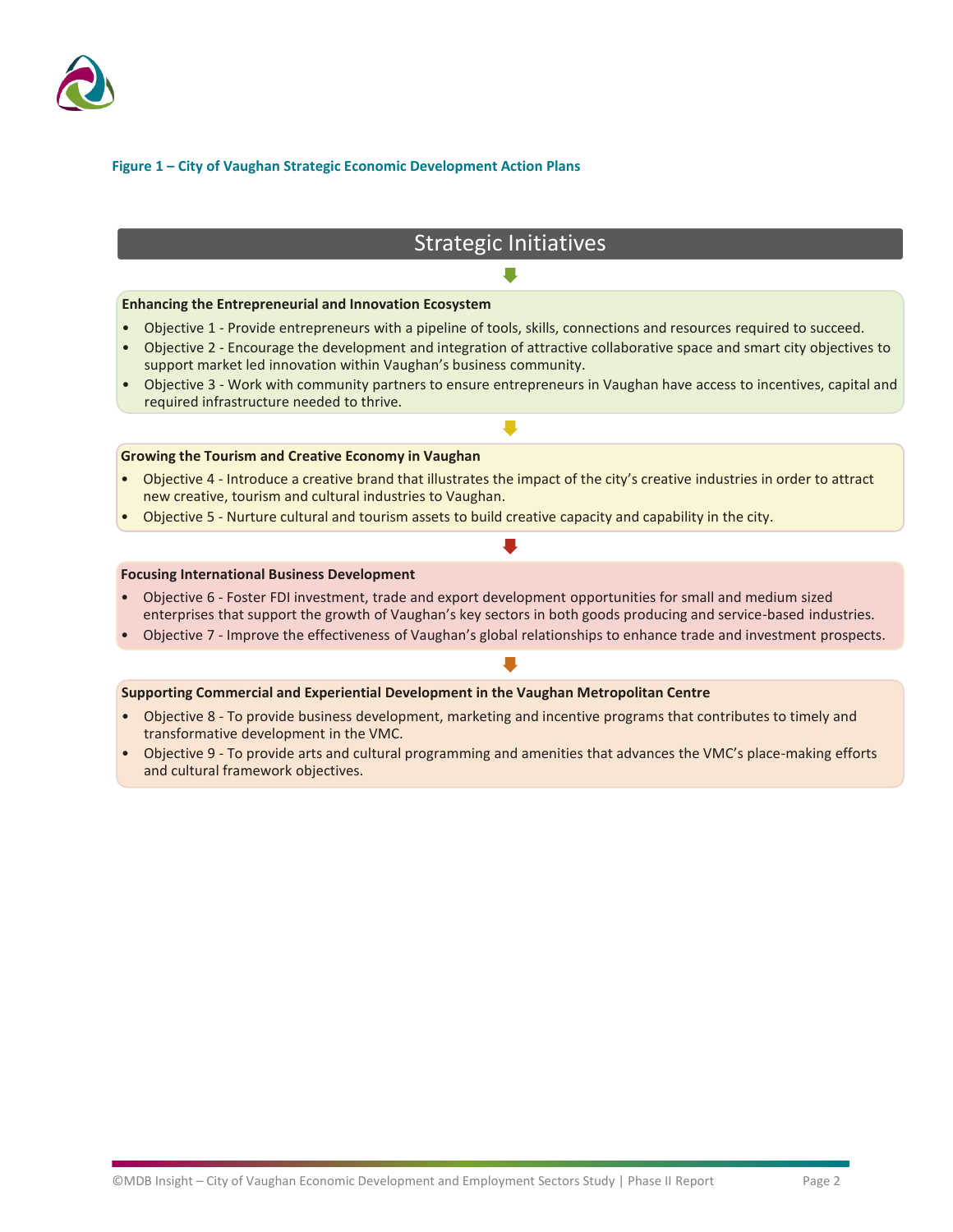

### **Figure 1 – City of Vaughan Strategic Economic Development Action Plans**

### Strategic Initiatives  $\blacksquare$

#### **Enhancing the Entrepreneurial and Innovation Ecosystem**

- Objective 1 Provide entrepreneurs with a pipeline of tools, skills, connections and resources required to succeed.
- Objective 2 Encourage the development and integration of attractive collaborative space and smart city objectives to support market led innovation within Vaughan's business community.
- Objective 3 Work with community partners to ensure entrepreneurs in Vaughan have access to incentives, capital and required infrastructure needed to thrive.

 $\blacksquare$ 

#### **Growing the Tourism and Creative Economy in Vaughan**

- Objective 4 Introduce a creative brand that illustrates the impact of the city's creative industries in order to attract new creative, tourism and cultural industries to Vaughan.
- Objective 5 Nurture cultural and tourism assets to build creative capacity and capability in the city.

#### **Focusing International Business Development**

- Objective 6 Foster FDI investment, trade and export development opportunities for small and medium sized enterprises that support the growth of Vaughan's key sectors in both goods producing and service-based industries.
- Objective 7 Improve the effectiveness of Vaughan's global relationships to enhance trade and investment prospects.

#### **Supporting Commercial and Experiential Development in the Vaughan Metropolitan Centre**

- Objective 8 To provide business development, marketing and incentive programs that contributes to timely and transformative development in the VMC.
- Objective 9 To provide arts and cultural programming and amenities that advances the VMC's place-making efforts and cultural framework objectives.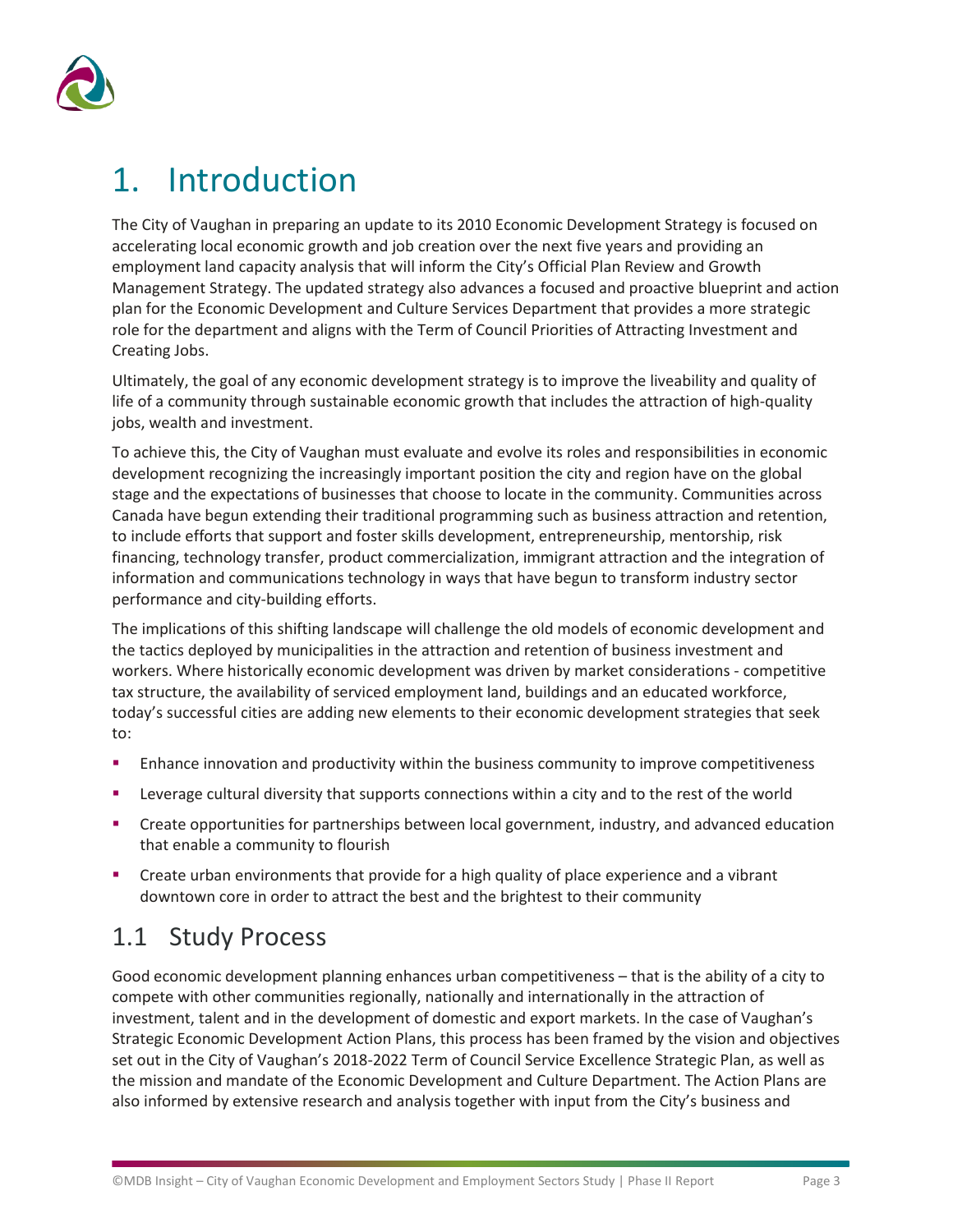

# <span id="page-4-0"></span>1. Introduction

The City of Vaughan in preparing an update to its 2010 Economic Development Strategy is focused on accelerating local economic growth and job creation over the next five years and providing an employment land capacity analysis that will inform the City's Official Plan Review and Growth Management Strategy. The updated strategy also advances a focused and proactive blueprint and action plan for the Economic Development and Culture Services Department that provides a more strategic role for the department and aligns with the Term of Council Priorities of Attracting Investment and Creating Jobs.

Ultimately, the goal of any economic development strategy is to improve the liveability and quality of life of a community through sustainable economic growth that includes the attraction of high-quality jobs, wealth and investment.

To achieve this, the City of Vaughan must evaluate and evolve its roles and responsibilities in economic development recognizing the increasingly important position the city and region have on the global stage and the expectations of businesses that choose to locate in the community. Communities across Canada have begun extending their traditional programming such as business attraction and retention, to include efforts that support and foster skills development, entrepreneurship, mentorship, risk financing, technology transfer, product commercialization, immigrant attraction and the integration of information and communications technology in ways that have begun to transform industry sector performance and city-building efforts.

The implications of this shifting landscape will challenge the old models of economic development and the tactics deployed by municipalities in the attraction and retention of business investment and workers. Where historically economic development was driven by market considerations - competitive tax structure, the availability of serviced employment land, buildings and an educated workforce, today's successful cities are adding new elements to their economic development strategies that seek to:

- Enhance innovation and productivity within the business community to improve competitiveness
- Leverage cultural diversity that supports connections within a city and to the rest of the world
- Create opportunities for partnerships between local government, industry, and advanced education that enable a community to flourish
- Create urban environments that provide for a high quality of place experience and a vibrant downtown core in order to attract the best and the brightest to their community

## <span id="page-4-1"></span>1.1 Study Process

Good economic development planning enhances urban competitiveness – that is the ability of a city to compete with other communities regionally, nationally and internationally in the attraction of investment, talent and in the development of domestic and export markets. In the case of Vaughan's Strategic Economic Development Action Plans, this process has been framed by the vision and objectives set out in the City of Vaughan's 2018-2022 Term of Council Service Excellence Strategic Plan, as well as the mission and mandate of the Economic Development and Culture Department. The Action Plans are also informed by extensive research and analysis together with input from the City's business and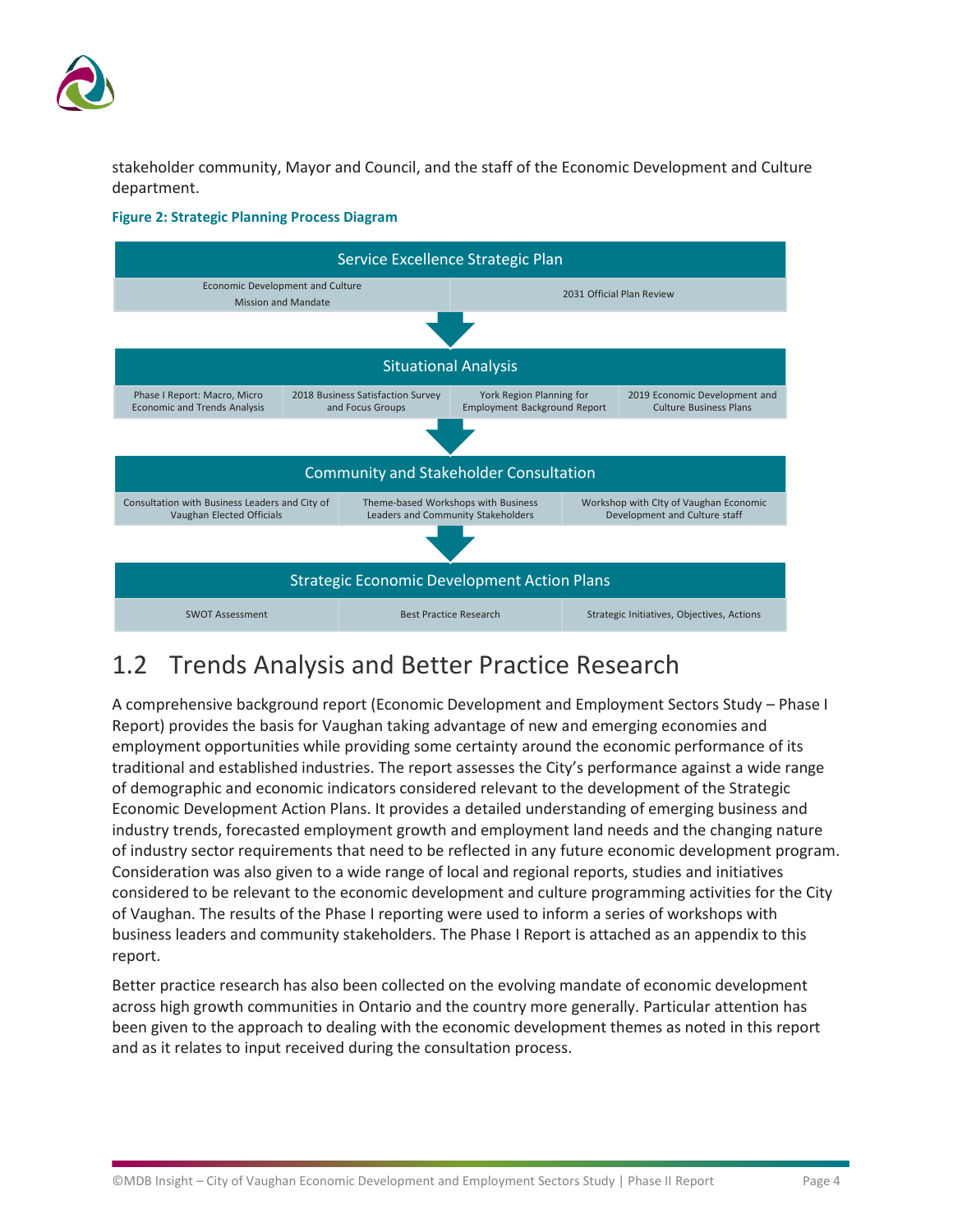

stakeholder community, Mayor and Council, and the staff of the Economic Development and Culture department.



### **Figure 2: Strategic Planning Process Diagram**

## <span id="page-5-0"></span>1.2 Trends Analysis and Better Practice Research

A comprehensive background report (Economic Development and Employment Sectors Study – Phase I Report) provides the basis for Vaughan taking advantage of new and emerging economies and employment opportunities while providing some certainty around the economic performance of its traditional and established industries. The report assesses the City's performance against a wide range of demographic and economic indicators considered relevant to the development of the Strategic Economic Development Action Plans. It provides a detailed understanding of emerging business and industry trends, forecasted employment growth and employment land needs and the changing nature of industry sector requirements that need to be reflected in any future economic development program. Consideration was also given to a wide range of local and regional reports, studies and initiatives considered to be relevant to the economic development and culture programming activities for the City of Vaughan. The results of the Phase I reporting were used to inform a series of workshops with business leaders and community stakeholders. The Phase I Report is attached as an appendix to this report.

Better practice research has also been collected on the evolving mandate of economic development across high growth communities in Ontario and the country more generally. Particular attention has been given to the approach to dealing with the economic development themes as noted in this report and as it relates to input received during the consultation process.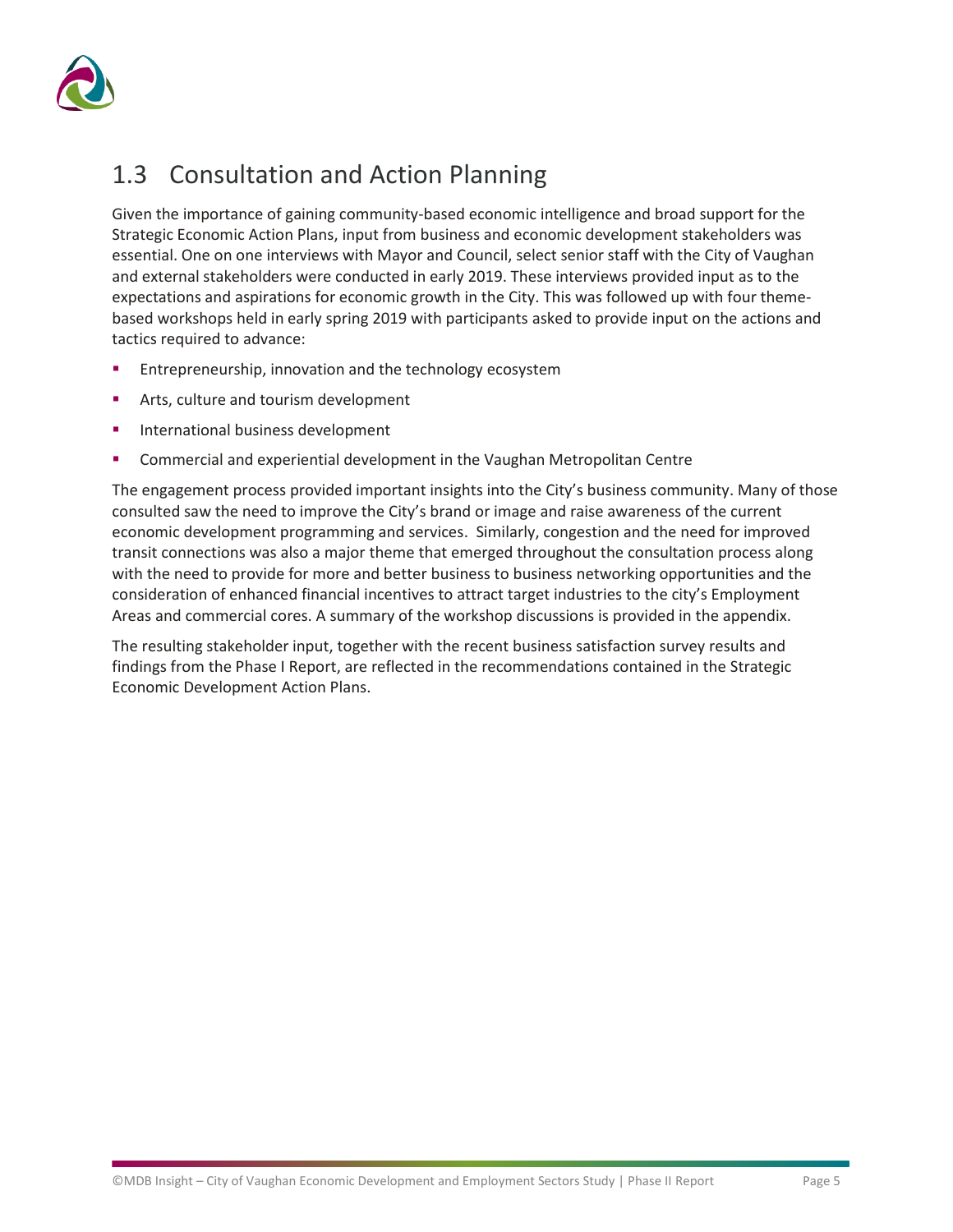

# <span id="page-6-0"></span>1.3 Consultation and Action Planning

Given the importance of gaining community-based economic intelligence and broad support for the Strategic Economic Action Plans, input from business and economic development stakeholders was essential. One on one interviews with Mayor and Council, select senior staff with the City of Vaughan and external stakeholders were conducted in early 2019. These interviews provided input as to the expectations and aspirations for economic growth in the City. This was followed up with four themebased workshops held in early spring 2019 with participants asked to provide input on the actions and tactics required to advance:

- Entrepreneurship, innovation and the technology ecosystem
- Arts, culture and tourism development
- International business development
- Commercial and experiential development in the Vaughan Metropolitan Centre

The engagement process provided important insights into the City's business community. Many of those consulted saw the need to improve the City's brand or image and raise awareness of the current economic development programming and services. Similarly, congestion and the need for improved transit connections was also a major theme that emerged throughout the consultation process along with the need to provide for more and better business to business networking opportunities and the consideration of enhanced financial incentives to attract target industries to the city's Employment Areas and commercial cores. A summary of the workshop discussions is provided in the appendix.

The resulting stakeholder input, together with the recent business satisfaction survey results and findings from the Phase I Report, are reflected in the recommendations contained in the Strategic Economic Development Action Plans.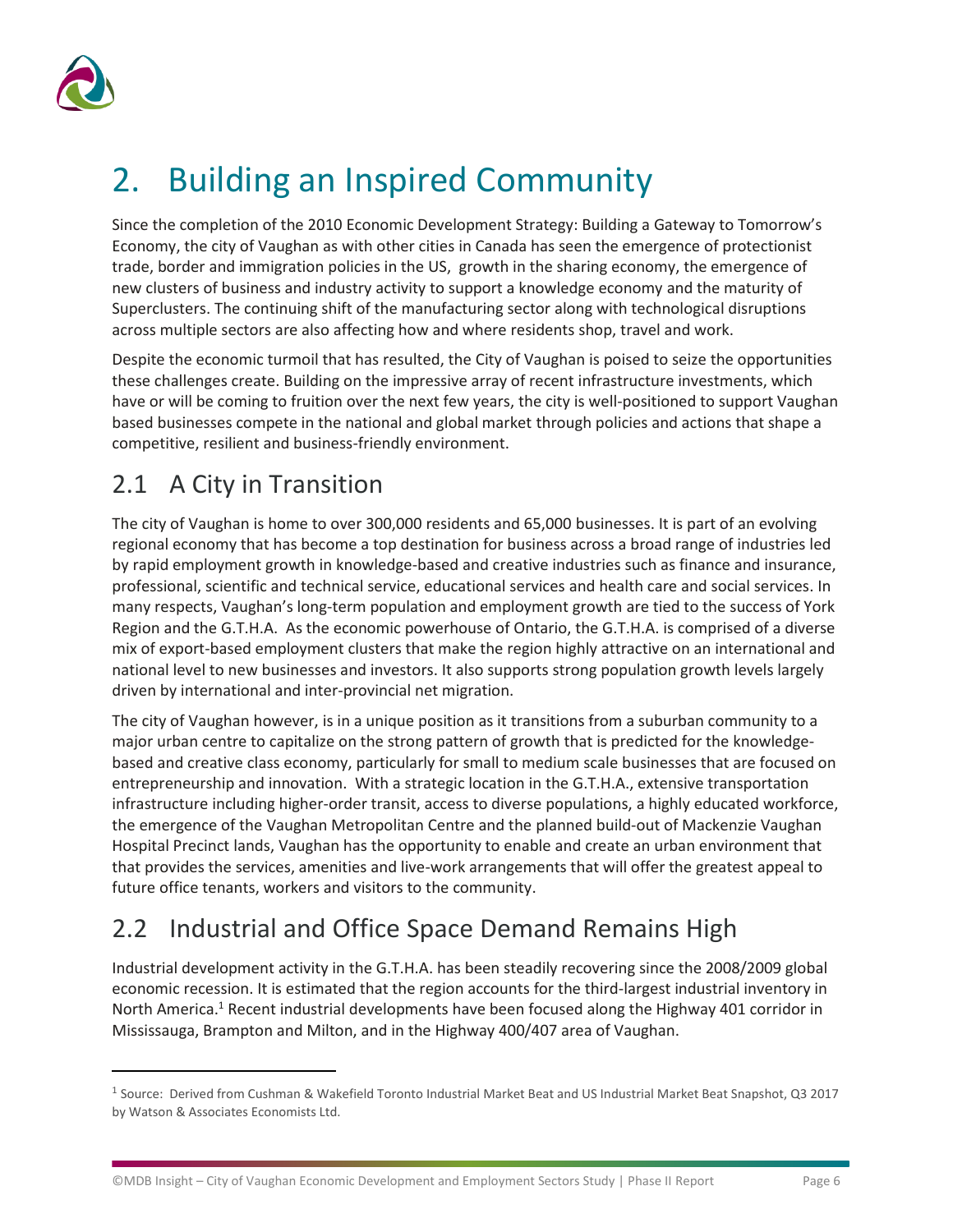

# <span id="page-7-0"></span>2. Building an Inspired Community

Since the completion of the 2010 Economic Development Strategy: Building a Gateway to Tomorrow's Economy, the city of Vaughan as with other cities in Canada has seen the emergence of protectionist trade, border and immigration policies in the US, growth in the sharing economy, the emergence of new clusters of business and industry activity to support a knowledge economy and the maturity of Superclusters. The continuing shift of the manufacturing sector along with technological disruptions across multiple sectors are also affecting how and where residents shop, travel and work.

Despite the economic turmoil that has resulted, the City of Vaughan is poised to seize the opportunities these challenges create. Building on the impressive array of recent infrastructure investments, which have or will be coming to fruition over the next few years, the city is well-positioned to support Vaughan based businesses compete in the national and global market through policies and actions that shape a competitive, resilient and business-friendly environment.

# <span id="page-7-1"></span>2.1 A City in Transition

The city of Vaughan is home to over 300,000 residents and 65,000 businesses. It is part of an evolving regional economy that has become a top destination for business across a broad range of industries led by rapid employment growth in knowledge-based and creative industries such as finance and insurance, professional, scientific and technical service, educational services and health care and social services. In many respects, Vaughan's long-term population and employment growth are tied to the success of York Region and the G.T.H.A. As the economic powerhouse of Ontario, the G.T.H.A. is comprised of a diverse mix of export-based employment clusters that make the region highly attractive on an international and national level to new businesses and investors. It also supports strong population growth levels largely driven by international and inter-provincial net migration.

The city of Vaughan however, is in a unique position as it transitions from a suburban community to a major urban centre to capitalize on the strong pattern of growth that is predicted for the knowledgebased and creative class economy, particularly for small to medium scale businesses that are focused on entrepreneurship and innovation. With a strategic location in the G.T.H.A., extensive transportation infrastructure including higher-order transit, access to diverse populations, a highly educated workforce, the emergence of the Vaughan Metropolitan Centre and the planned build-out of Mackenzie Vaughan Hospital Precinct lands, Vaughan has the opportunity to enable and create an urban environment that that provides the services, amenities and live-work arrangements that will offer the greatest appeal to future office tenants, workers and visitors to the community.

# <span id="page-7-2"></span>2.2 Industrial and Office Space Demand Remains High

Industrial development activity in the G.T.H.A. has been steadily recovering since the 2008/2009 global economic recession. It is estimated that the region accounts for the third-largest industrial inventory in North America.<sup>1</sup> Recent industrial developments have been focused along the Highway 401 corridor in Mississauga, Brampton and Milton, and in the Highway 400/407 area of Vaughan.

<sup>&</sup>lt;sup>1</sup> Source: Derived from Cushman & Wakefield Toronto Industrial Market Beat and US Industrial Market Beat Snapshot, Q3 2017 by Watson & Associates Economists Ltd.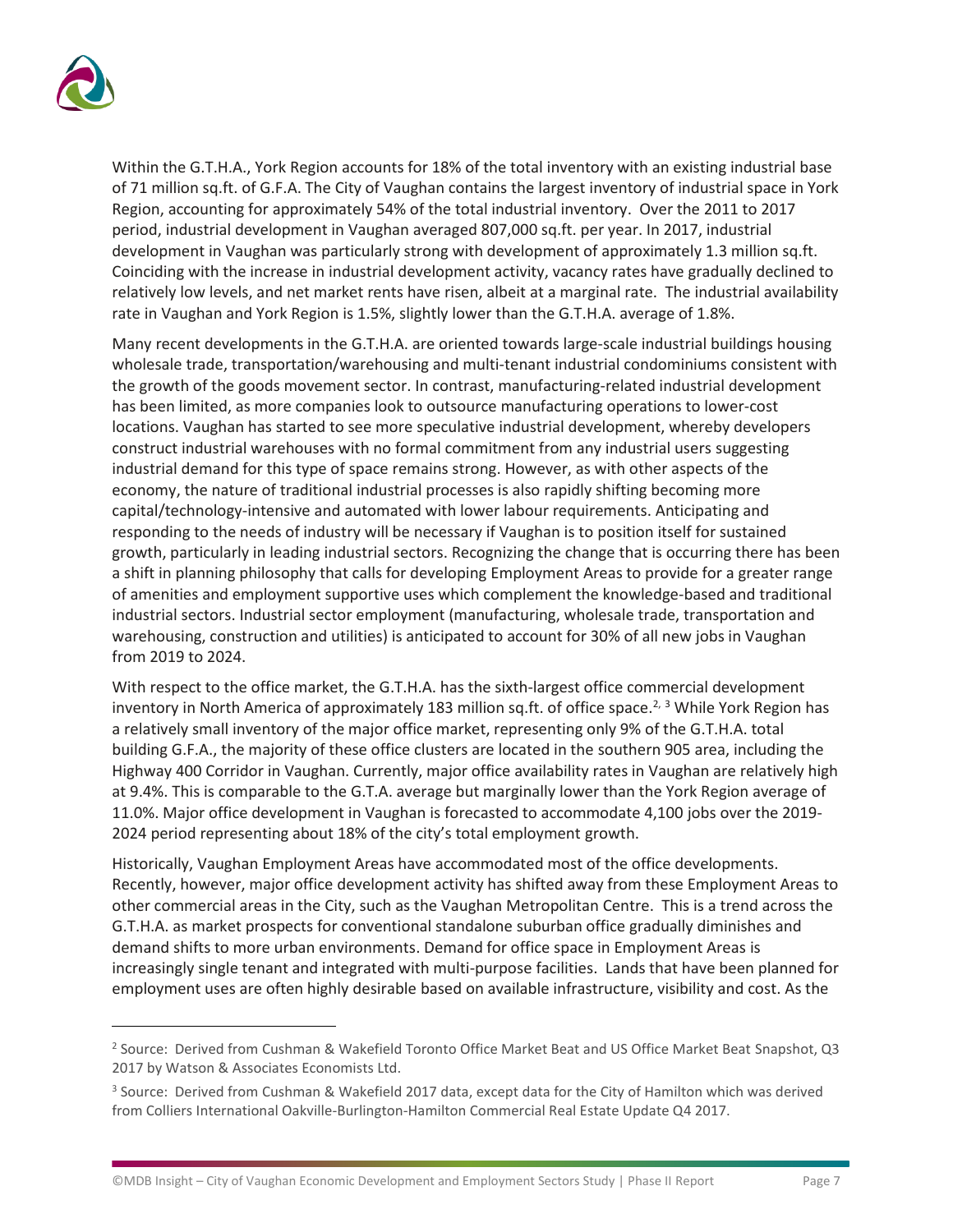

Within the G.T.H.A., York Region accounts for 18% of the total inventory with an existing industrial base of 71 million sq.ft. of G.F.A. The City of Vaughan contains the largest inventory of industrial space in York Region, accounting for approximately 54% of the total industrial inventory. Over the 2011 to 2017 period, industrial development in Vaughan averaged 807,000 sq.ft. per year. In 2017, industrial development in Vaughan was particularly strong with development of approximately 1.3 million sq.ft. Coinciding with the increase in industrial development activity, vacancy rates have gradually declined to relatively low levels, and net market rents have risen, albeit at a marginal rate. The industrial availability rate in Vaughan and York Region is 1.5%, slightly lower than the G.T.H.A. average of 1.8%.

Many recent developments in the G.T.H.A. are oriented towards large-scale industrial buildings housing wholesale trade, transportation/warehousing and multi-tenant industrial condominiums consistent with the growth of the goods movement sector. In contrast, manufacturing-related industrial development has been limited, as more companies look to outsource manufacturing operations to lower-cost locations. Vaughan has started to see more speculative industrial development, whereby developers construct industrial warehouses with no formal commitment from any industrial users suggesting industrial demand for this type of space remains strong. However, as with other aspects of the economy, the nature of traditional industrial processes is also rapidly shifting becoming more capital/technology-intensive and automated with lower labour requirements. Anticipating and responding to the needs of industry will be necessary if Vaughan is to position itself for sustained growth, particularly in leading industrial sectors. Recognizing the change that is occurring there has been a shift in planning philosophy that calls for developing Employment Areas to provide for a greater range of amenities and employment supportive uses which complement the knowledge-based and traditional industrial sectors. Industrial sector employment (manufacturing, wholesale trade, transportation and warehousing, construction and utilities) is anticipated to account for 30% of all new jobs in Vaughan from 2019 to 2024.

With respect to the office market, the G.T.H.A. has the sixth-largest office commercial development inventory in North America of approximately 183 million sq.ft. of office space.<sup>2, 3</sup> While York Region has a relatively small inventory of the major office market, representing only 9% of the G.T.H.A. total building G.F.A., the majority of these office clusters are located in the southern 905 area, including the Highway 400 Corridor in Vaughan. Currently, major office availability rates in Vaughan are relatively high at 9.4%. This is comparable to the G.T.A. average but marginally lower than the York Region average of 11.0%. Major office development in Vaughan is forecasted to accommodate 4,100 jobs over the 2019- 2024 period representing about 18% of the city's total employment growth.

Historically, Vaughan Employment Areas have accommodated most of the office developments. Recently, however, major office development activity has shifted away from these Employment Areas to other commercial areas in the City, such as the Vaughan Metropolitan Centre. This is a trend across the G.T.H.A. as market prospects for conventional standalone suburban office gradually diminishes and demand shifts to more urban environments. Demand for office space in Employment Areas is increasingly single tenant and integrated with multi-purpose facilities. Lands that have been planned for employment uses are often highly desirable based on available infrastructure, visibility and cost. As the

<sup>&</sup>lt;sup>2</sup> Source: Derived from Cushman & Wakefield Toronto Office Market Beat and US Office Market Beat Snapshot, Q3 2017 by Watson & Associates Economists Ltd.

<sup>&</sup>lt;sup>3</sup> Source: Derived from Cushman & Wakefield 2017 data, except data for the City of Hamilton which was derived from Colliers International Oakville-Burlington-Hamilton Commercial Real Estate Update Q4 2017.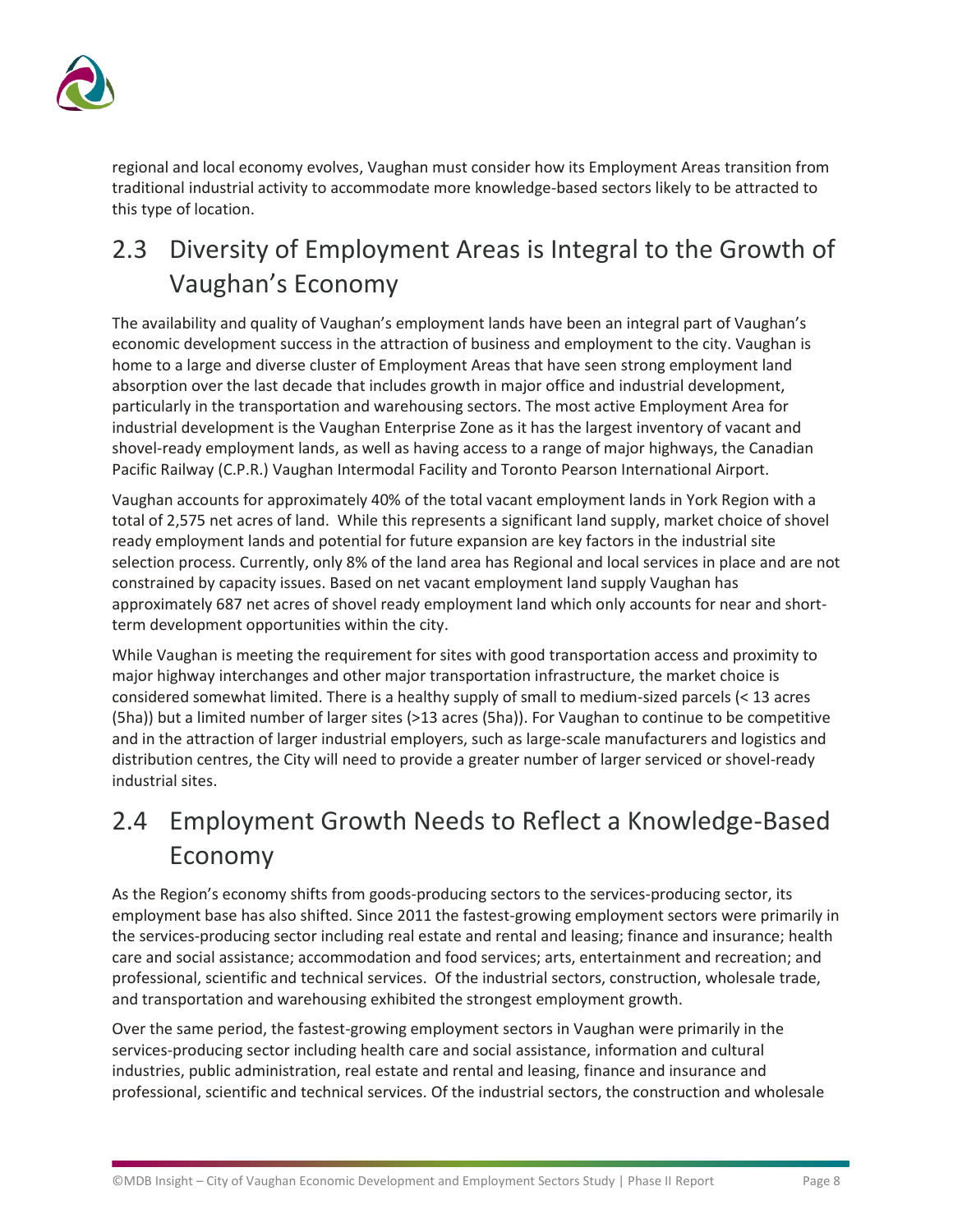

regional and local economy evolves, Vaughan must consider how its Employment Areas transition from traditional industrial activity to accommodate more knowledge-based sectors likely to be attracted to this type of location.

# <span id="page-9-0"></span>2.3 Diversity of Employment Areas is Integral to the Growth of Vaughan's Economy

The availability and quality of Vaughan's employment lands have been an integral part of Vaughan's economic development success in the attraction of business and employment to the city. Vaughan is home to a large and diverse cluster of Employment Areas that have seen strong employment land absorption over the last decade that includes growth in major office and industrial development, particularly in the transportation and warehousing sectors. The most active Employment Area for industrial development is the Vaughan Enterprise Zone as it has the largest inventory of vacant and shovel-ready employment lands, as well as having access to a range of major highways, the Canadian Pacific Railway (C.P.R.) Vaughan Intermodal Facility and Toronto Pearson International Airport.

Vaughan accounts for approximately 40% of the total vacant employment lands in York Region with a total of 2,575 net acres of land. While this represents a significant land supply, market choice of shovel ready employment lands and potential for future expansion are key factors in the industrial site selection process. Currently, only 8% of the land area has Regional and local services in place and are not constrained by capacity issues. Based on net vacant employment land supply Vaughan has approximately 687 net acres of shovel ready employment land which only accounts for near and shortterm development opportunities within the city.

While Vaughan is meeting the requirement for sites with good transportation access and proximity to major highway interchanges and other major transportation infrastructure, the market choice is considered somewhat limited. There is a healthy supply of small to medium-sized parcels (< 13 acres (5ha)) but a limited number of larger sites (>13 acres (5ha)). For Vaughan to continue to be competitive and in the attraction of larger industrial employers, such as large-scale manufacturers and logistics and distribution centres, the City will need to provide a greater number of larger serviced or shovel-ready industrial sites.

# <span id="page-9-1"></span>2.4 Employment Growth Needs to Reflect a Knowledge-Based Economy

As the Region's economy shifts from goods-producing sectors to the services-producing sector, its employment base has also shifted. Since 2011 the fastest-growing employment sectors were primarily in the services-producing sector including real estate and rental and leasing; finance and insurance; health care and social assistance; accommodation and food services; arts, entertainment and recreation; and professional, scientific and technical services. Of the industrial sectors, construction, wholesale trade, and transportation and warehousing exhibited the strongest employment growth.

Over the same period, the fastest-growing employment sectors in Vaughan were primarily in the services-producing sector including health care and social assistance, information and cultural industries, public administration, real estate and rental and leasing, finance and insurance and professional, scientific and technical services. Of the industrial sectors, the construction and wholesale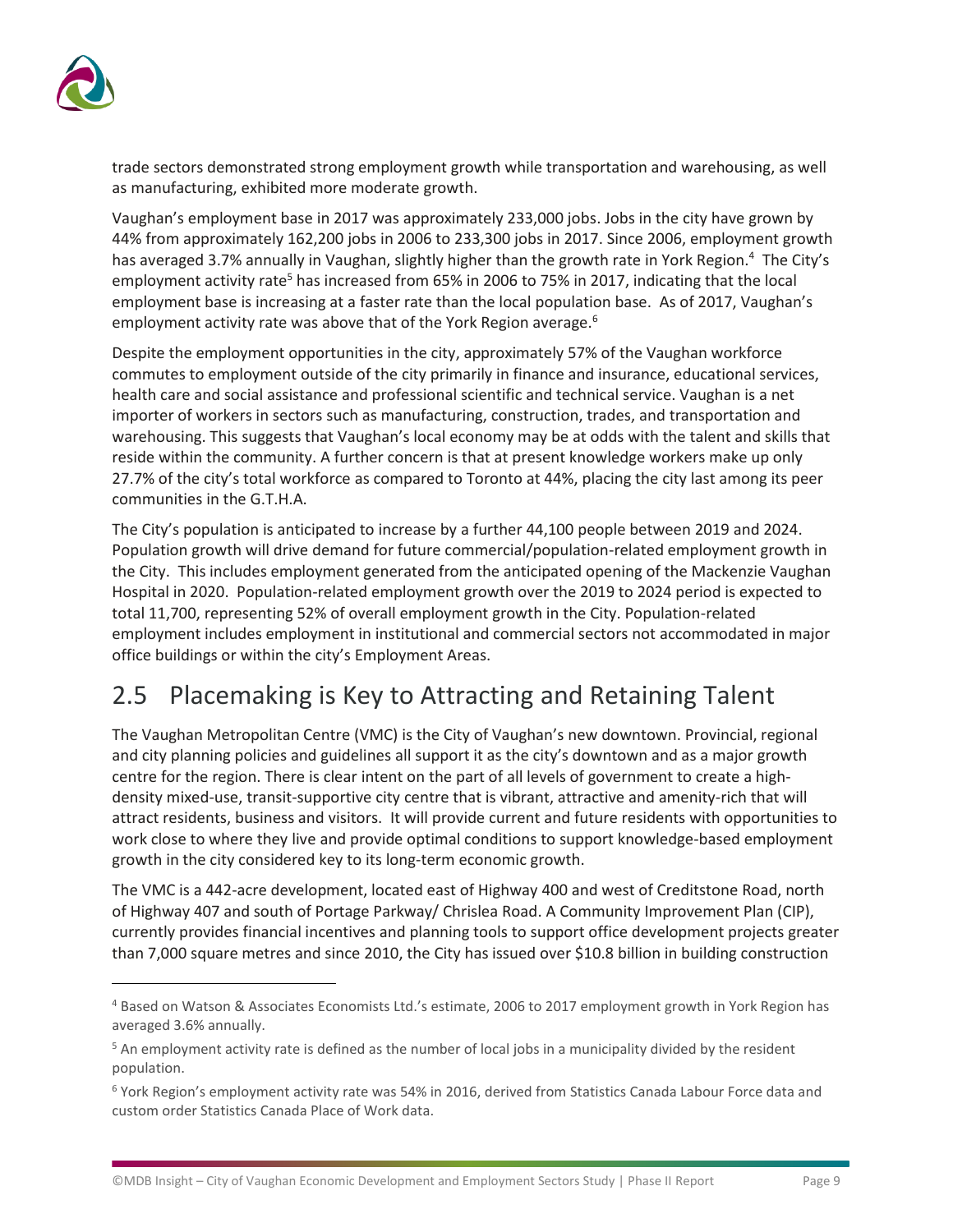

trade sectors demonstrated strong employment growth while transportation and warehousing, as well as manufacturing, exhibited more moderate growth.

Vaughan's employment base in 2017 was approximately 233,000 jobs. Jobs in the city have grown by 44% from approximately 162,200 jobs in 2006 to 233,300 jobs in 2017. Since 2006, employment growth has averaged 3.7% annually in Vaughan, slightly higher than the growth rate in York Region.<sup>4</sup> The City's employment activity rate<sup>5</sup> has increased from 65% in 2006 to 75% in 2017, indicating that the local employment base is increasing at a faster rate than the local population base. As of 2017, Vaughan's employment activity rate was above that of the York Region average.<sup>6</sup>

Despite the employment opportunities in the city, approximately 57% of the Vaughan workforce commutes to employment outside of the city primarily in finance and insurance, educational services, health care and social assistance and professional scientific and technical service. Vaughan is a net importer of workers in sectors such as manufacturing, construction, trades, and transportation and warehousing. This suggests that Vaughan's local economy may be at odds with the talent and skills that reside within the community. A further concern is that at present knowledge workers make up only 27.7% of the city's total workforce as compared to Toronto at 44%, placing the city last among its peer communities in the G.T.H.A.

The City's population is anticipated to increase by a further 44,100 people between 2019 and 2024. Population growth will drive demand for future commercial/population-related employment growth in the City. This includes employment generated from the anticipated opening of the Mackenzie Vaughan Hospital in 2020. Population-related employment growth over the 2019 to 2024 period is expected to total 11,700, representing 52% of overall employment growth in the City. Population-related employment includes employment in institutional and commercial sectors not accommodated in major office buildings or within the city's Employment Areas.

# <span id="page-10-0"></span>2.5 Placemaking is Key to Attracting and Retaining Talent

The Vaughan Metropolitan Centre (VMC) is the City of Vaughan's new downtown. Provincial, regional and city planning policies and guidelines all support it as the city's downtown and as a major growth centre for the region. There is clear intent on the part of all levels of government to create a highdensity mixed-use, transit-supportive city centre that is vibrant, attractive and amenity-rich that will attract residents, business and visitors. It will provide current and future residents with opportunities to work close to where they live and provide optimal conditions to support knowledge-based employment growth in the city considered key to its long-term economic growth.

The VMC is a 442-acre development, located east of Highway 400 and west of Creditstone Road, north of Highway 407 and south of Portage Parkway/ Chrislea Road. A Community Improvement Plan (CIP), currently provides financial incentives and planning tools to support office development projects greater than 7,000 square metres and since 2010, the City has issued over \$10.8 billion in building construction

<sup>4</sup> Based on Watson & Associates Economists Ltd.'s estimate, 2006 to 2017 employment growth in York Region has averaged 3.6% annually.

<sup>&</sup>lt;sup>5</sup> An employment activity rate is defined as the number of local jobs in a municipality divided by the resident population.

<sup>6</sup> York Region's employment activity rate was 54% in 2016, derived from Statistics Canada Labour Force data and custom order Statistics Canada Place of Work data.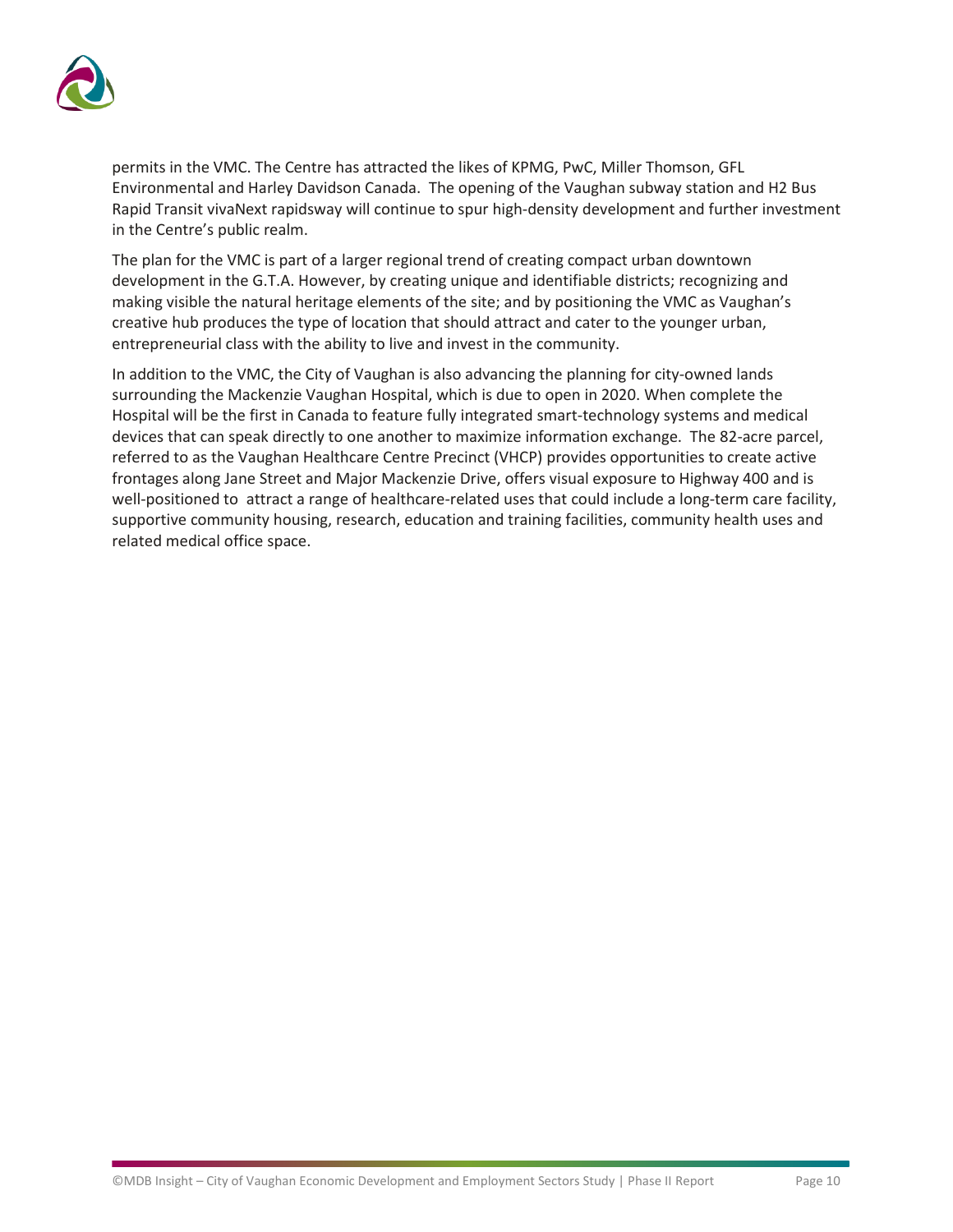

permits in the VMC. The Centre has attracted the likes of KPMG, PwC, Miller Thomson, GFL Environmental and Harley Davidson Canada. The opening of the Vaughan subway station and H2 Bus Rapid Transit vivaNext rapidsway will continue to spur high-density development and further investment in the Centre's public realm.

The plan for the VMC is part of a larger regional trend of creating compact urban downtown development in the G.T.A. However, by creating unique and identifiable districts; recognizing and making visible the natural heritage elements of the site; and by positioning the VMC as Vaughan's creative hub produces the type of location that should attract and cater to the younger urban, entrepreneurial class with the ability to live and invest in the community.

In addition to the VMC, the City of Vaughan is also advancing the planning for city-owned lands surrounding the Mackenzie Vaughan Hospital, which is due to open in 2020. When complete the Hospital will be the first in Canada to feature fully integrated smart-technology systems and medical devices that can speak directly to one another to maximize information exchange. The 82-acre parcel, referred to as the Vaughan Healthcare Centre Precinct (VHCP) provides opportunities to create active frontages along Jane Street and Major Mackenzie Drive, offers visual exposure to Highway 400 and is well-positioned to attract a range of healthcare-related uses that could include a long-term care facility, supportive community housing, research, education and training facilities, community health uses and related medical office space.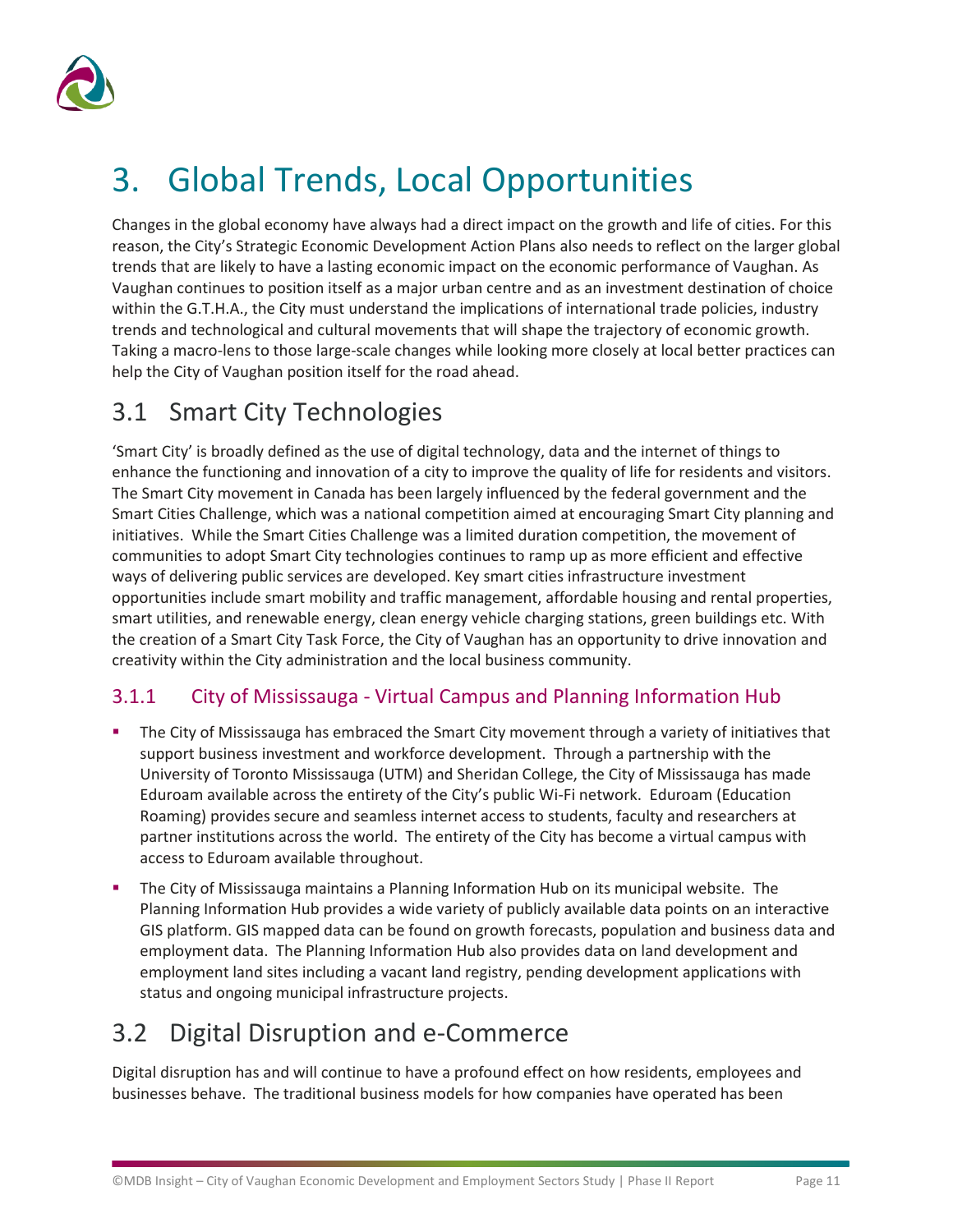

# <span id="page-12-0"></span>3. Global Trends, Local Opportunities

Changes in the global economy have always had a direct impact on the growth and life of cities. For this reason, the City's Strategic Economic Development Action Plans also needs to reflect on the larger global trends that are likely to have a lasting economic impact on the economic performance of Vaughan. As Vaughan continues to position itself as a major urban centre and as an investment destination of choice within the G.T.H.A., the City must understand the implications of international trade policies, industry trends and technological and cultural movements that will shape the trajectory of economic growth. Taking a macro-lens to those large-scale changes while looking more closely at local better practices can help the City of Vaughan position itself for the road ahead.

## <span id="page-12-1"></span>3.1 Smart City Technologies

'Smart City' is broadly defined as the use of digital technology, data and the internet of things to enhance the functioning and innovation of a city to improve the quality of life for residents and visitors. The Smart City movement in Canada has been largely influenced by the federal government and the Smart Cities Challenge, which was a national competition aimed at encouraging Smart City planning and initiatives. While the Smart Cities Challenge was a limited duration competition, the movement of communities to adopt Smart City technologies continues to ramp up as more efficient and effective ways of delivering public services are developed. Key smart cities infrastructure investment opportunities include smart mobility and traffic management, affordable housing and rental properties, smart utilities, and renewable energy, clean energy vehicle charging stations, green buildings etc. With the creation of a Smart City Task Force, the City of Vaughan has an opportunity to drive innovation and creativity within the City administration and the local business community.

### 3.1.1 City of Mississauga - Virtual Campus and Planning Information Hub

- The City of Mississauga has embraced the Smart City movement through a variety of initiatives that support business investment and workforce development. Through a partnership with the University of Toronto Mississauga (UTM) and Sheridan College, the City of Mississauga has made Eduroam available across the entirety of the City's public Wi-Fi network. Eduroam (Education Roaming) provides secure and seamless internet access to students, faculty and researchers at partner institutions across the world. The entirety of the City has become a virtual campus with access to Eduroam available throughout.
- The City of Mississauga maintains a Planning Information Hub on its municipal website. The Planning Information Hub provides a wide variety of publicly available data points on an interactive GIS platform. GIS mapped data can be found on growth forecasts, population and business data and employment data. The Planning Information Hub also provides data on land development and employment land sites including a vacant land registry, pending development applications with status and ongoing municipal infrastructure projects.

# <span id="page-12-2"></span>3.2 Digital Disruption and e-Commerce

Digital disruption has and will continue to have a profound effect on how residents, employees and businesses behave. The traditional business models for how companies have operated has been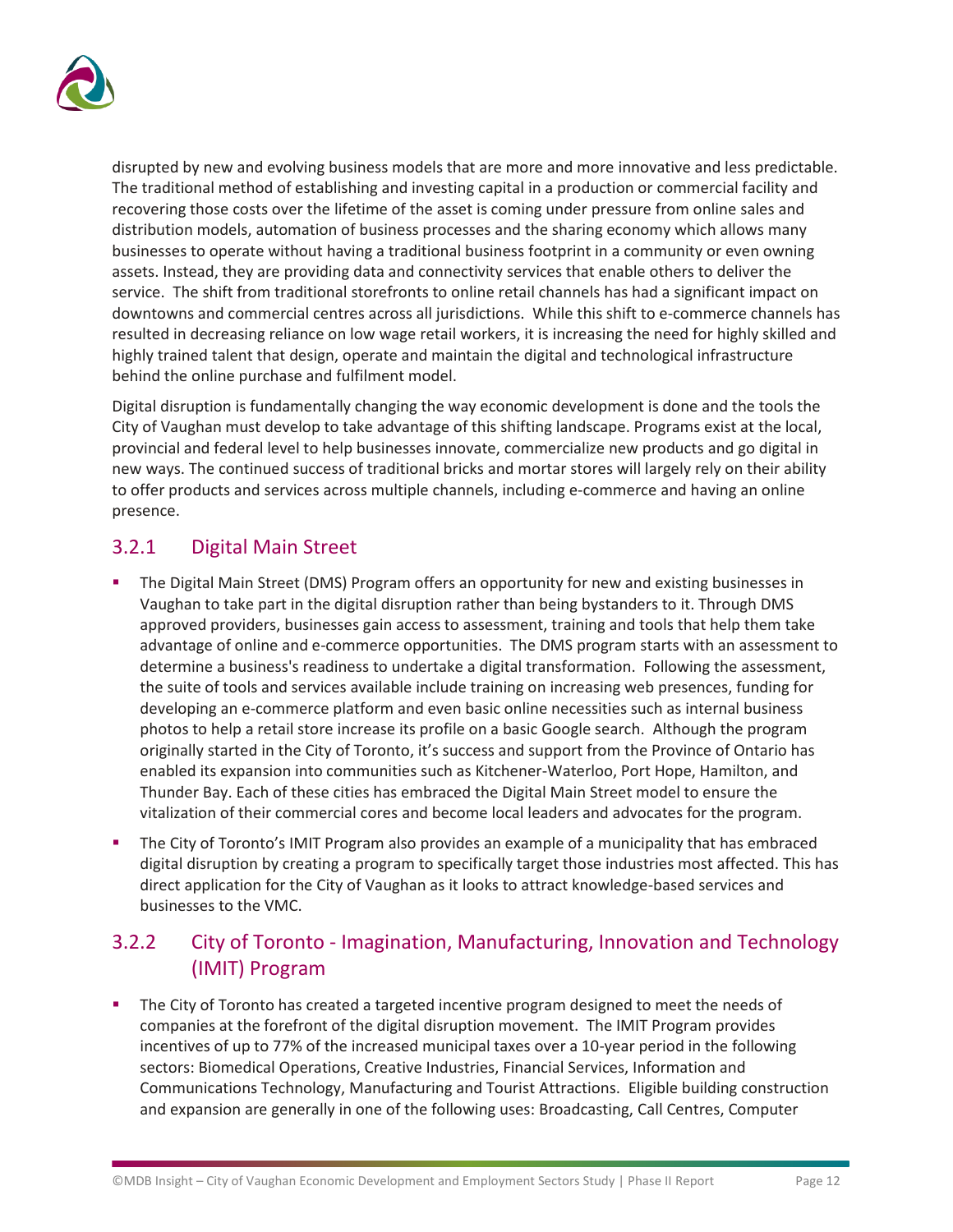

disrupted by new and evolving business models that are more and more innovative and less predictable. The traditional method of establishing and investing capital in a production or commercial facility and recovering those costs over the lifetime of the asset is coming under pressure from online sales and distribution models, automation of business processes and the sharing economy which allows many businesses to operate without having a traditional business footprint in a community or even owning assets. Instead, they are providing data and connectivity services that enable others to deliver the service. The shift from traditional storefronts to online retail channels has had a significant impact on downtowns and commercial centres across all jurisdictions. While this shift to e-commerce channels has resulted in decreasing reliance on low wage retail workers, it is increasing the need for highly skilled and highly trained talent that design, operate and maintain the digital and technological infrastructure behind the online purchase and fulfilment model.

Digital disruption is fundamentally changing the way economic development is done and the tools the City of Vaughan must develop to take advantage of this shifting landscape. Programs exist at the local, provincial and federal level to help businesses innovate, commercialize new products and go digital in new ways. The continued success of traditional bricks and mortar stores will largely rely on their ability to offer products and services across multiple channels, including e-commerce and having an online presence.

### 3.2.1 Digital Main Street

- The Digital Main Street (DMS) Program offers an opportunity for new and existing businesses in Vaughan to take part in the digital disruption rather than being bystanders to it. Through DMS approved providers, businesses gain access to assessment, training and tools that help them take advantage of online and e-commerce opportunities. The DMS program starts with an assessment to determine a business's readiness to undertake a digital transformation. Following the assessment, the suite of tools and services available include training on increasing web presences, funding for developing an e-commerce platform and even basic online necessities such as internal business photos to help a retail store increase its profile on a basic Google search. Although the program originally started in the City of Toronto, it's success and support from the Province of Ontario has enabled its expansion into communities such as Kitchener-Waterloo, Port Hope, Hamilton, and Thunder Bay. Each of these cities has embraced the Digital Main Street model to ensure the vitalization of their commercial cores and become local leaders and advocates for the program.
- The City of Toronto's IMIT Program also provides an example of a municipality that has embraced digital disruption by creating a program to specifically target those industries most affected. This has direct application for the City of Vaughan as it looks to attract knowledge-based services and businesses to the VMC.

### 3.2.2 City of Toronto - Imagination, Manufacturing, Innovation and Technology (IMIT) Program

The City of Toronto has created a targeted incentive program designed to meet the needs of companies at the forefront of the digital disruption movement. The IMIT Program provides incentives of up to 77% of the increased municipal taxes over a 10-year period in the following sectors: Biomedical Operations, Creative Industries, Financial Services, Information and Communications Technology, Manufacturing and Tourist Attractions. Eligible building construction and expansion are generally in one of the following uses: Broadcasting, Call Centres, Computer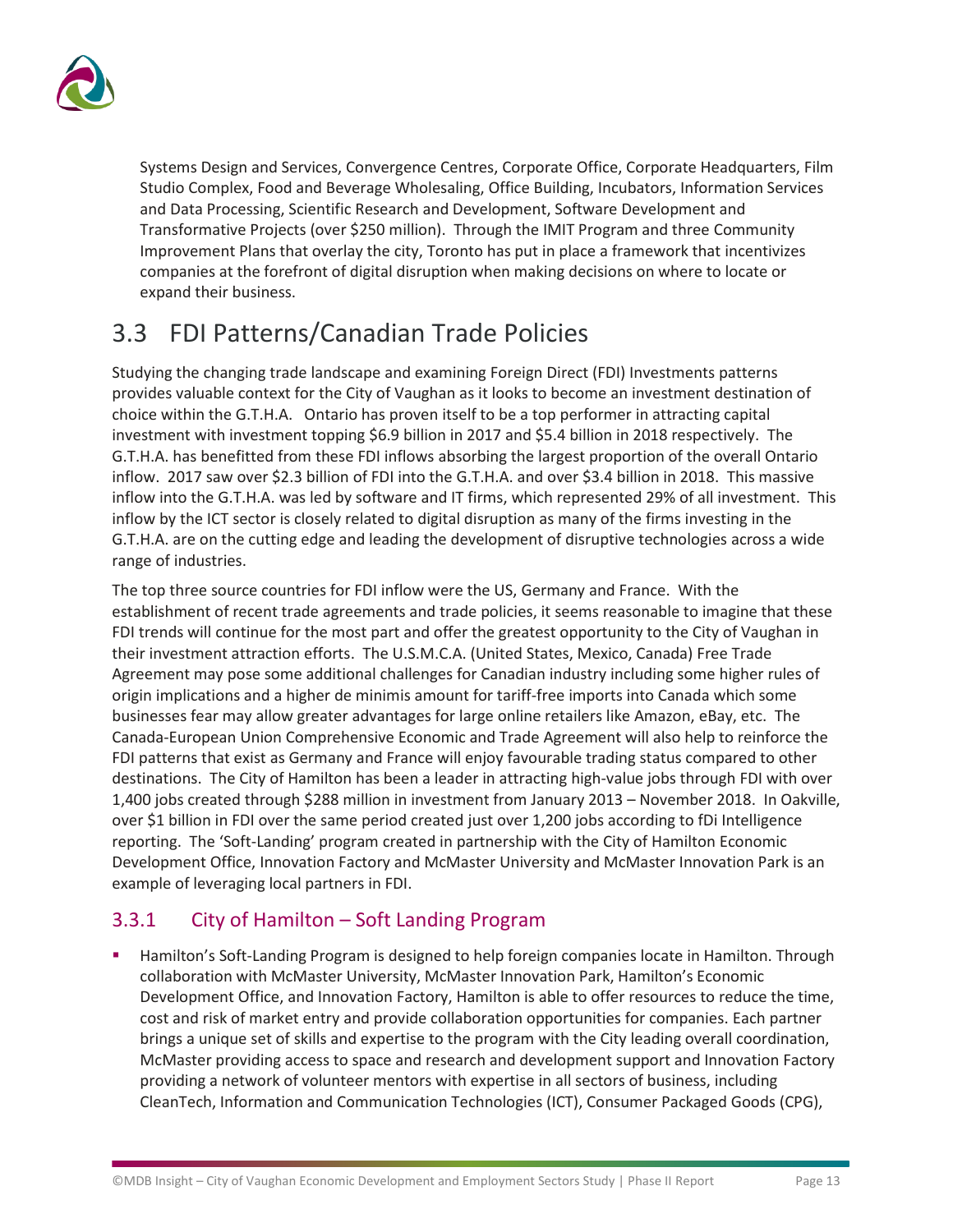

Systems Design and Services, Convergence Centres, Corporate Office, Corporate Headquarters, Film Studio Complex, Food and Beverage Wholesaling, Office Building, Incubators, Information Services and Data Processing, Scientific Research and Development, Software Development and Transformative Projects (over \$250 million). Through the IMIT Program and three Community Improvement Plans that overlay the city, Toronto has put in place a framework that incentivizes companies at the forefront of digital disruption when making decisions on where to locate or expand their business.

# <span id="page-14-0"></span>3.3 FDI Patterns/Canadian Trade Policies

Studying the changing trade landscape and examining Foreign Direct (FDI) Investments patterns provides valuable context for the City of Vaughan as it looks to become an investment destination of choice within the G.T.H.A. Ontario has proven itself to be a top performer in attracting capital investment with investment topping \$6.9 billion in 2017 and \$5.4 billion in 2018 respectively. The G.T.H.A. has benefitted from these FDI inflows absorbing the largest proportion of the overall Ontario inflow. 2017 saw over \$2.3 billion of FDI into the G.T.H.A. and over \$3.4 billion in 2018. This massive inflow into the G.T.H.A. was led by software and IT firms, which represented 29% of all investment. This inflow by the ICT sector is closely related to digital disruption as many of the firms investing in the G.T.H.A. are on the cutting edge and leading the development of disruptive technologies across a wide range of industries.

The top three source countries for FDI inflow were the US, Germany and France. With the establishment of recent trade agreements and trade policies, it seems reasonable to imagine that these FDI trends will continue for the most part and offer the greatest opportunity to the City of Vaughan in their investment attraction efforts. The U.S.M.C.A. (United States, Mexico, Canada) Free Trade Agreement may pose some additional challenges for Canadian industry including some higher rules of origin implications and a higher de minimis amount for tariff-free imports into Canada which some businesses fear may allow greater advantages for large online retailers like Amazon, eBay, etc. The Canada-European Union Comprehensive Economic and Trade Agreement will also help to reinforce the FDI patterns that exist as Germany and France will enjoy favourable trading status compared to other destinations. The City of Hamilton has been a leader in attracting high-value jobs through FDI with over 1,400 jobs created through \$288 million in investment from January 2013 – November 2018. In Oakville, over \$1 billion in FDI over the same period created just over 1,200 jobs according to fDi Intelligence reporting. The 'Soft-Landing' program created in partnership with the City of Hamilton Economic Development Office, Innovation Factory and McMaster University and McMaster Innovation Park is an example of leveraging local partners in FDI.

### 3.3.1 City of Hamilton – Soft Landing Program

Hamilton's Soft-Landing Program is designed to help foreign companies locate in Hamilton. Through collaboration with McMaster University, McMaster Innovation Park, Hamilton's Economic Development Office, and Innovation Factory, Hamilton is able to offer resources to reduce the time, cost and risk of market entry and provide collaboration opportunities for companies. Each partner brings a unique set of skills and expertise to the program with the City leading overall coordination, McMaster providing access to space and research and development support and Innovation Factory providing a network of volunteer mentors with expertise in all sectors of business, including CleanTech, Information and Communication Technologies (ICT), Consumer Packaged Goods (CPG),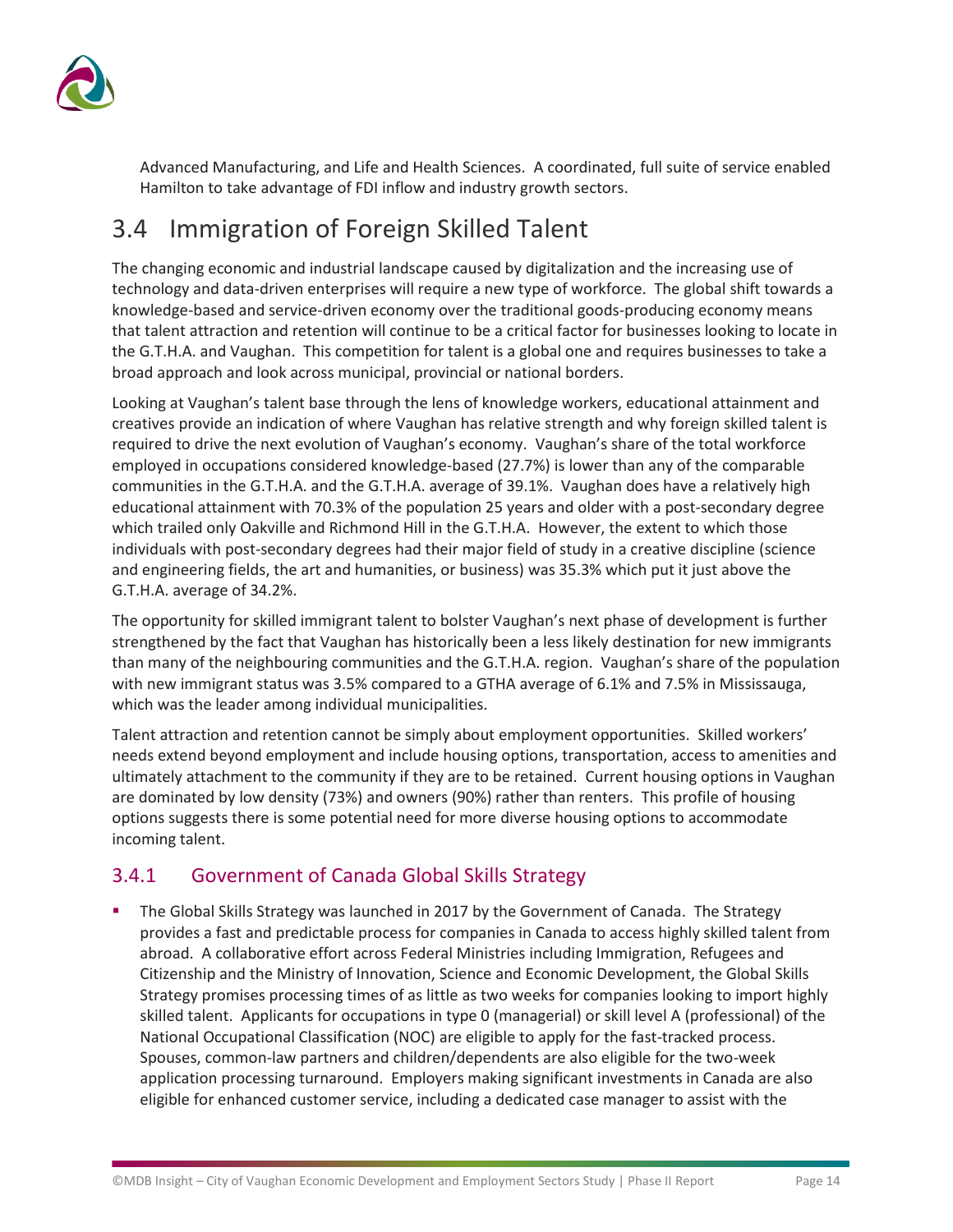

Advanced Manufacturing, and Life and Health Sciences. A coordinated, full suite of service enabled Hamilton to take advantage of FDI inflow and industry growth sectors.

# <span id="page-15-0"></span>3.4 Immigration of Foreign Skilled Talent

The changing economic and industrial landscape caused by digitalization and the increasing use of technology and data-driven enterprises will require a new type of workforce. The global shift towards a knowledge-based and service-driven economy over the traditional goods-producing economy means that talent attraction and retention will continue to be a critical factor for businesses looking to locate in the G.T.H.A. and Vaughan. This competition for talent is a global one and requires businesses to take a broad approach and look across municipal, provincial or national borders.

Looking at Vaughan's talent base through the lens of knowledge workers, educational attainment and creatives provide an indication of where Vaughan has relative strength and why foreign skilled talent is required to drive the next evolution of Vaughan's economy. Vaughan's share of the total workforce employed in occupations considered knowledge-based (27.7%) is lower than any of the comparable communities in the G.T.H.A. and the G.T.H.A. average of 39.1%. Vaughan does have a relatively high educational attainment with 70.3% of the population 25 years and older with a post-secondary degree which trailed only Oakville and Richmond Hill in the G.T.H.A. However, the extent to which those individuals with post-secondary degrees had their major field of study in a creative discipline (science and engineering fields, the art and humanities, or business) was 35.3% which put it just above the G.T.H.A. average of 34.2%.

The opportunity for skilled immigrant talent to bolster Vaughan's next phase of development is further strengthened by the fact that Vaughan has historically been a less likely destination for new immigrants than many of the neighbouring communities and the G.T.H.A. region. Vaughan's share of the population with new immigrant status was 3.5% compared to a GTHA average of 6.1% and 7.5% in Mississauga, which was the leader among individual municipalities.

Talent attraction and retention cannot be simply about employment opportunities. Skilled workers' needs extend beyond employment and include housing options, transportation, access to amenities and ultimately attachment to the community if they are to be retained. Current housing options in Vaughan are dominated by low density (73%) and owners (90%) rather than renters. This profile of housing options suggests there is some potential need for more diverse housing options to accommodate incoming talent.

### 3.4.1 Government of Canada Global Skills Strategy

The Global Skills Strategy was launched in 2017 by the Government of Canada. The Strategy provides a fast and predictable process for companies in Canada to access highly skilled talent from abroad. A collaborative effort across Federal Ministries including Immigration, Refugees and Citizenship and the Ministry of Innovation, Science and Economic Development, the Global Skills Strategy promises processing times of as little as two weeks for companies looking to import highly skilled talent. Applicants for occupations in type 0 (managerial) or skill level A (professional) of the National Occupational Classification (NOC) are eligible to apply for the fast-tracked process. Spouses, common-law partners and children/dependents are also eligible for the two-week application processing turnaround. Employers making significant investments in Canada are also eligible for enhanced customer service, including a dedicated case manager to assist with the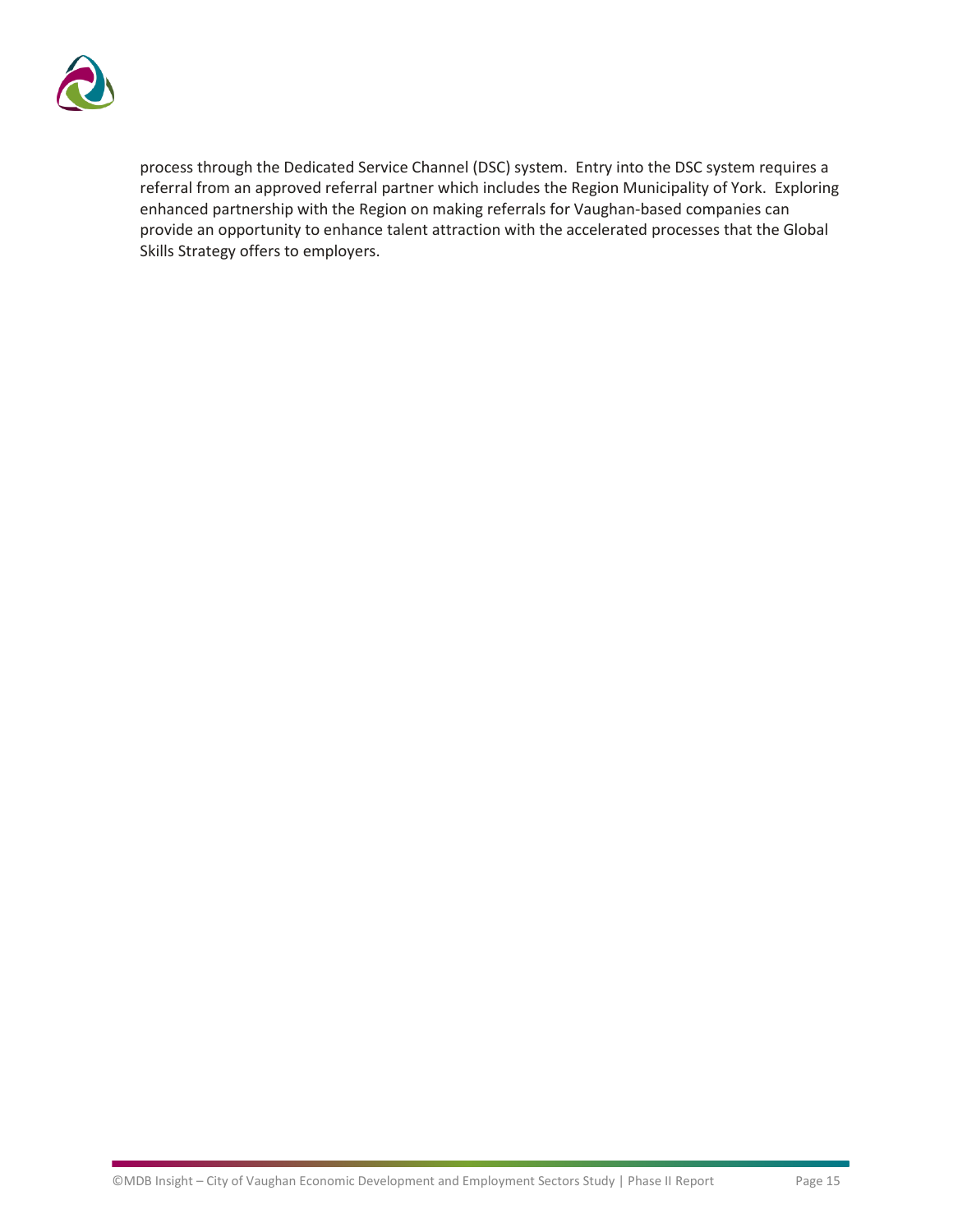

process through the Dedicated Service Channel (DSC) system. Entry into the DSC system requires a referral from an approved referral partner which includes the Region Municipality of York. Exploring enhanced partnership with the Region on making referrals for Vaughan-based companies can provide an opportunity to enhance talent attraction with the accelerated processes that the Global Skills Strategy offers to employers.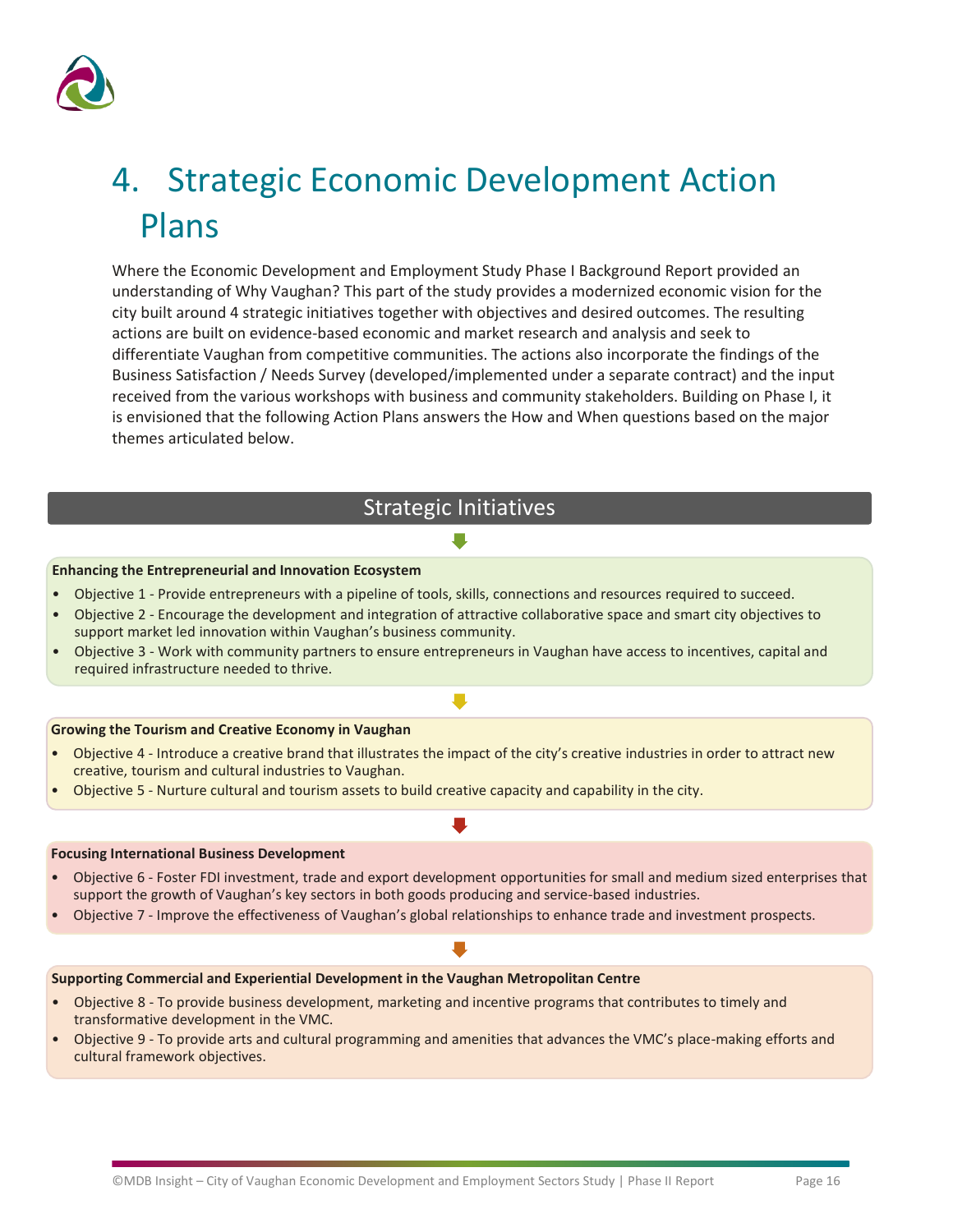

# <span id="page-17-0"></span>4. Strategic Economic Development Action Plans

Where the Economic Development and Employment Study Phase I Background Report provided an understanding of Why Vaughan? This part of the study provides a modernized economic vision for the city built around 4 strategic initiatives together with objectives and desired outcomes. The resulting actions are built on evidence-based economic and market research and analysis and seek to differentiate Vaughan from competitive communities. The actions also incorporate the findings of the Business Satisfaction / Needs Survey (developed/implemented under a separate contract) and the input received from the various workshops with business and community stakeholders. Building on Phase I, it is envisioned that the following Action Plans answers the How and When questions based on the major themes articulated below.

### Strategic Initiatives

#### **Enhancing the Entrepreneurial and Innovation Ecosystem**

- Objective 1 Provide entrepreneurs with a pipeline of tools, skills, connections and resources required to succeed.
- Objective 2 Encourage the development and integration of attractive collaborative space and smart city objectives to support market led innovation within Vaughan's business community.
- Objective 3 Work with community partners to ensure entrepreneurs in Vaughan have access to incentives, capital and required infrastructure needed to thrive.

 $\blacksquare$ 

#### **Growing the Tourism and Creative Economy in Vaughan**

- Objective 4 Introduce a creative brand that illustrates the impact of the city's creative industries in order to attract new creative, tourism and cultural industries to Vaughan.
- Objective 5 Nurture cultural and tourism assets to build creative capacity and capability in the city.

#### **Focusing International Business Development**

- Objective 6 Foster FDI investment, trade and export development opportunities for small and medium sized enterprises that support the growth of Vaughan's key sectors in both goods producing and service-based industries.
- Objective 7 Improve the effectiveness of Vaughan's global relationships to enhance trade and investment prospects.

#### **Supporting Commercial and Experiential Development in the Vaughan Metropolitan Centre**

- Objective 8 To provide business development, marketing and incentive programs that contributes to timely and transformative development in the VMC.
- Objective 9 To provide arts and cultural programming and amenities that advances the VMC's place-making efforts and cultural framework objectives.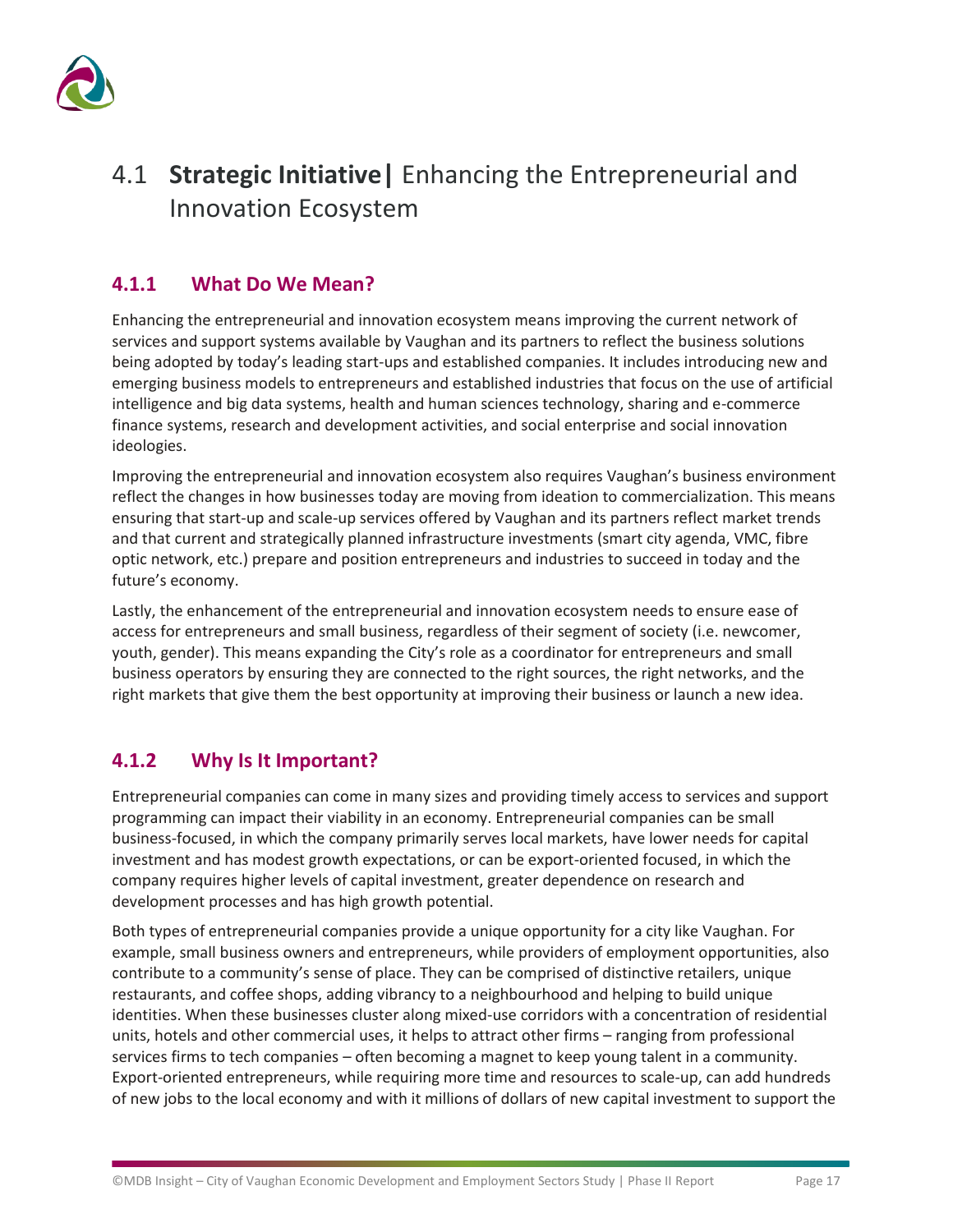

# <span id="page-18-0"></span>4.1 **Strategic Initiative|** Enhancing the Entrepreneurial and Innovation Ecosystem

### **4.1.1 What Do We Mean?**

Enhancing the entrepreneurial and innovation ecosystem means improving the current network of services and support systems available by Vaughan and its partners to reflect the business solutions being adopted by today's leading start-ups and established companies. It includes introducing new and emerging business models to entrepreneurs and established industries that focus on the use of artificial intelligence and big data systems, health and human sciences technology, sharing and e-commerce finance systems, research and development activities, and social enterprise and social innovation ideologies.

Improving the entrepreneurial and innovation ecosystem also requires Vaughan's business environment reflect the changes in how businesses today are moving from ideation to commercialization. This means ensuring that start-up and scale-up services offered by Vaughan and its partners reflect market trends and that current and strategically planned infrastructure investments (smart city agenda, VMC, fibre optic network, etc.) prepare and position entrepreneurs and industries to succeed in today and the future's economy.

Lastly, the enhancement of the entrepreneurial and innovation ecosystem needs to ensure ease of access for entrepreneurs and small business, regardless of their segment of society (i.e. newcomer, youth, gender). This means expanding the City's role as a coordinator for entrepreneurs and small business operators by ensuring they are connected to the right sources, the right networks, and the right markets that give them the best opportunity at improving their business or launch a new idea.

### **4.1.2 Why Is It Important?**

Entrepreneurial companies can come in many sizes and providing timely access to services and support programming can impact their viability in an economy. Entrepreneurial companies can be small business-focused, in which the company primarily serves local markets, have lower needs for capital investment and has modest growth expectations, or can be export-oriented focused, in which the company requires higher levels of capital investment, greater dependence on research and development processes and has high growth potential.

Both types of entrepreneurial companies provide a unique opportunity for a city like Vaughan. For example, small business owners and entrepreneurs, while providers of employment opportunities, also contribute to a community's sense of place. They can be comprised of distinctive retailers, unique restaurants, and coffee shops, adding vibrancy to a neighbourhood and helping to build unique identities. When these businesses cluster along mixed-use corridors with a concentration of residential units, hotels and other commercial uses, it helps to attract other firms – ranging from professional services firms to tech companies – often becoming a magnet to keep young talent in a community. Export-oriented entrepreneurs, while requiring more time and resources to scale-up, can add hundreds of new jobs to the local economy and with it millions of dollars of new capital investment to support the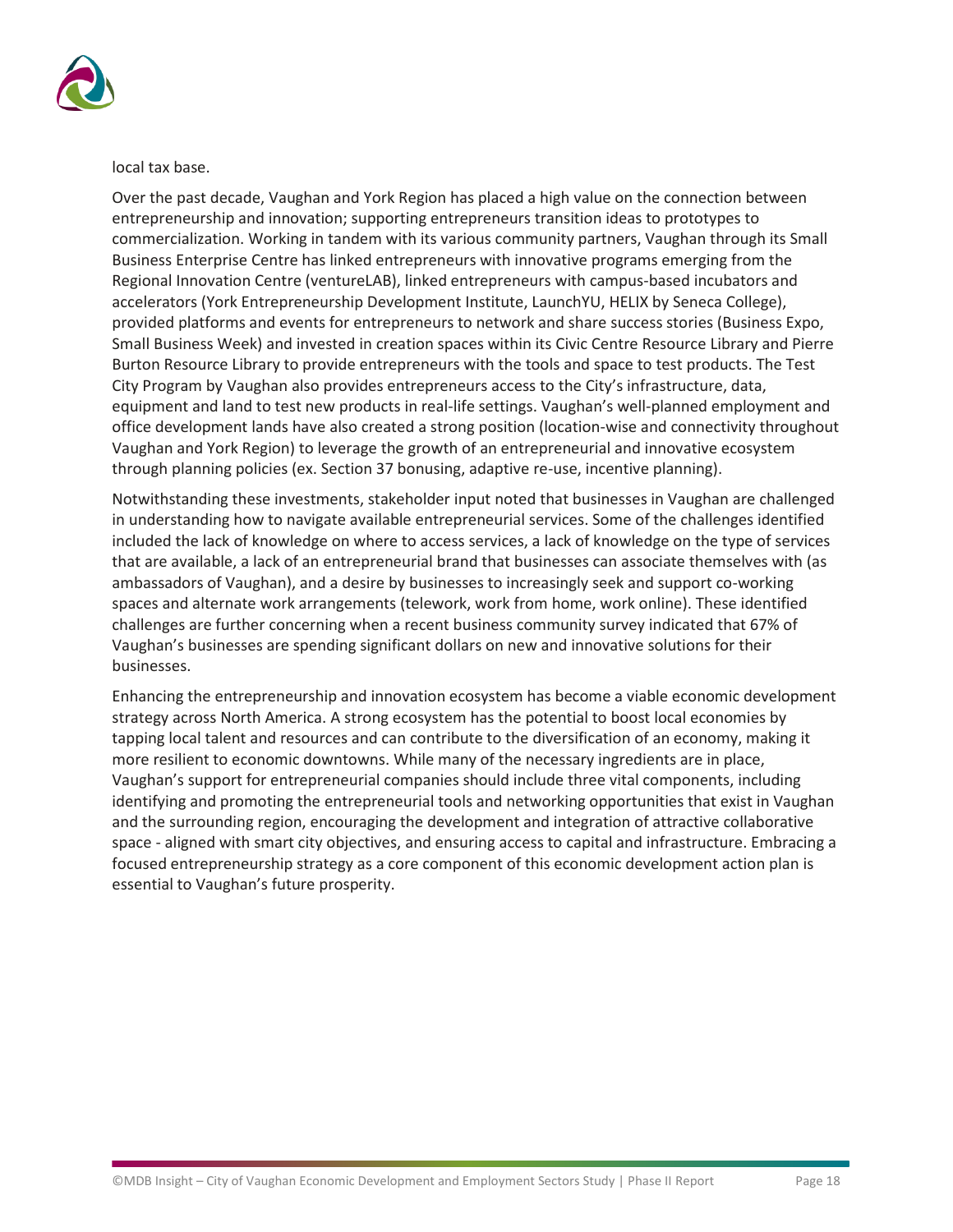

local tax base.

Over the past decade, Vaughan and York Region has placed a high value on the connection between entrepreneurship and innovation; supporting entrepreneurs transition ideas to prototypes to commercialization. Working in tandem with its various community partners, Vaughan through its Small Business Enterprise Centre has linked entrepreneurs with innovative programs emerging from the Regional Innovation Centre (ventureLAB), linked entrepreneurs with campus-based incubators and accelerators (York Entrepreneurship Development Institute, LaunchYU, HELIX by Seneca College), provided platforms and events for entrepreneurs to network and share success stories (Business Expo, Small Business Week) and invested in creation spaces within its Civic Centre Resource Library and Pierre Burton Resource Library to provide entrepreneurs with the tools and space to test products. The Test City Program by Vaughan also provides entrepreneurs access to the City's infrastructure, data, equipment and land to test new products in real-life settings. Vaughan's well-planned employment and office development lands have also created a strong position (location-wise and connectivity throughout Vaughan and York Region) to leverage the growth of an entrepreneurial and innovative ecosystem through planning policies (ex. Section 37 bonusing, adaptive re-use, incentive planning).

Notwithstanding these investments, stakeholder input noted that businesses in Vaughan are challenged in understanding how to navigate available entrepreneurial services. Some of the challenges identified included the lack of knowledge on where to access services, a lack of knowledge on the type of services that are available, a lack of an entrepreneurial brand that businesses can associate themselves with (as ambassadors of Vaughan), and a desire by businesses to increasingly seek and support co-working spaces and alternate work arrangements (telework, work from home, work online). These identified challenges are further concerning when a recent business community survey indicated that 67% of Vaughan's businesses are spending significant dollars on new and innovative solutions for their businesses.

Enhancing the entrepreneurship and innovation ecosystem has become a viable economic development strategy across North America. A strong ecosystem has the potential to boost local economies by tapping local talent and resources and can contribute to the diversification of an economy, making it more resilient to economic downtowns. While many of the necessary ingredients are in place, Vaughan's support for entrepreneurial companies should include three vital components, including identifying and promoting the entrepreneurial tools and networking opportunities that exist in Vaughan and the surrounding region, encouraging the development and integration of attractive collaborative space - aligned with smart city objectives, and ensuring access to capital and infrastructure. Embracing a focused entrepreneurship strategy as a core component of this economic development action plan is essential to Vaughan's future prosperity.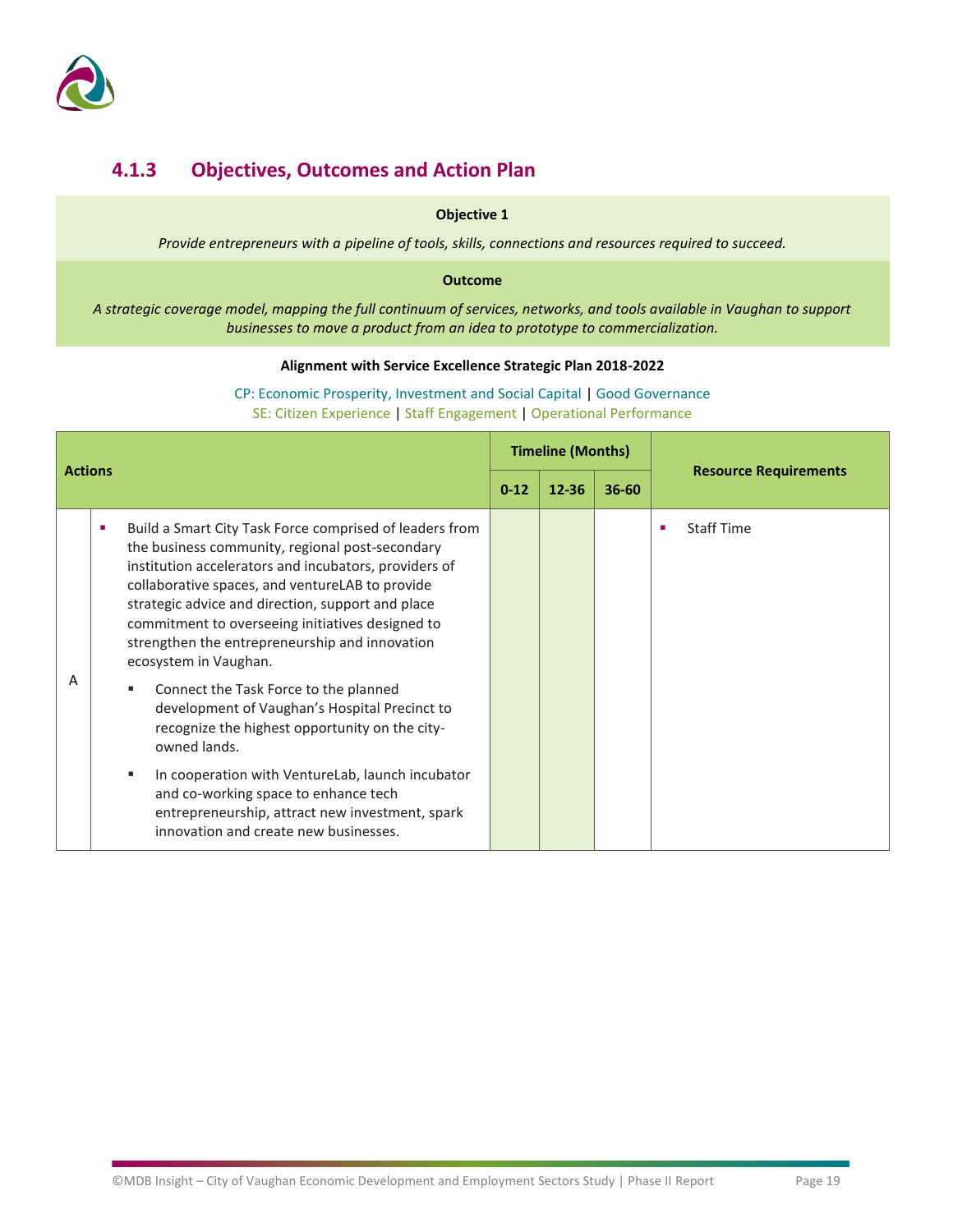

### **4.1.3 Objectives, Outcomes and Action Plan**

### **Objective 1**

*Provide entrepreneurs with a pipeline of tools, skills, connections and resources required to succeed.*

### **Outcome**

*A strategic coverage model, mapping the full continuum of services, networks, and tools available in Vaughan to support businesses to move a product from an idea to prototype to commercialization.*

### **Alignment with Service Excellence Strategic Plan 2018-2022**

| <b>Actions</b> |   | <b>Timeline (Months)</b>                                                                                                                                                                                                                                                                                                                                                                                                                                                                                                                                                                                                                                                                                                                                                 |           |           | <b>Resource Requirements</b> |                        |
|----------------|---|--------------------------------------------------------------------------------------------------------------------------------------------------------------------------------------------------------------------------------------------------------------------------------------------------------------------------------------------------------------------------------------------------------------------------------------------------------------------------------------------------------------------------------------------------------------------------------------------------------------------------------------------------------------------------------------------------------------------------------------------------------------------------|-----------|-----------|------------------------------|------------------------|
|                |   | $0 - 12$                                                                                                                                                                                                                                                                                                                                                                                                                                                                                                                                                                                                                                                                                                                                                                 | $12 - 36$ | $36 - 60$ |                              |                        |
| Α              | п | Build a Smart City Task Force comprised of leaders from<br>the business community, regional post-secondary<br>institution accelerators and incubators, providers of<br>collaborative spaces, and ventureLAB to provide<br>strategic advice and direction, support and place<br>commitment to overseeing initiatives designed to<br>strengthen the entrepreneurship and innovation<br>ecosystem in Vaughan.<br>Connect the Task Force to the planned<br>ш<br>development of Vaughan's Hospital Precinct to<br>recognize the highest opportunity on the city-<br>owned lands.<br>In cooperation with VentureLab, launch incubator<br>ш<br>and co-working space to enhance tech<br>entrepreneurship, attract new investment, spark<br>innovation and create new businesses. |           |           |                              | <b>Staff Time</b><br>п |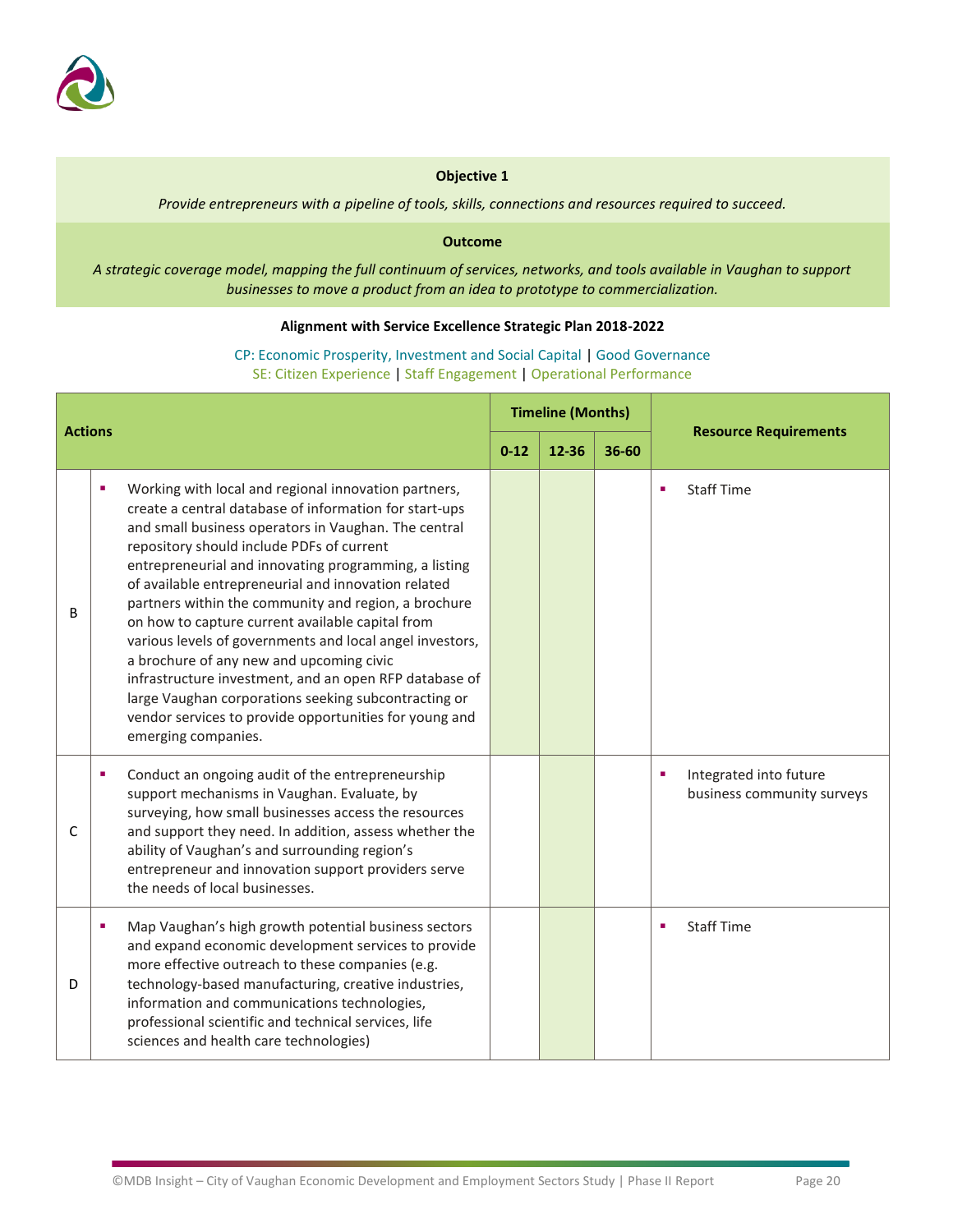

*Provide entrepreneurs with a pipeline of tools, skills, connections and resources required to succeed.*

#### **Outcome**

*A strategic coverage model, mapping the full continuum of services, networks, and tools available in Vaughan to support businesses to move a product from an idea to prototype to commercialization.*

### **Alignment with Service Excellence Strategic Plan 2018-2022**

| <b>Actions</b> |                                                                                                                                                                                                                                                                                                                                                                                                                                                                                                                                                                                                                                                                                                                                                                 | <b>Timeline (Months)</b> |       |       | <b>Resource Requirements</b>                              |
|----------------|-----------------------------------------------------------------------------------------------------------------------------------------------------------------------------------------------------------------------------------------------------------------------------------------------------------------------------------------------------------------------------------------------------------------------------------------------------------------------------------------------------------------------------------------------------------------------------------------------------------------------------------------------------------------------------------------------------------------------------------------------------------------|--------------------------|-------|-------|-----------------------------------------------------------|
|                |                                                                                                                                                                                                                                                                                                                                                                                                                                                                                                                                                                                                                                                                                                                                                                 | $0 - 12$                 | 12-36 | 36-60 |                                                           |
| B              | Working with local and regional innovation partners,<br>٠<br>create a central database of information for start-ups<br>and small business operators in Vaughan. The central<br>repository should include PDFs of current<br>entrepreneurial and innovating programming, a listing<br>of available entrepreneurial and innovation related<br>partners within the community and region, a brochure<br>on how to capture current available capital from<br>various levels of governments and local angel investors,<br>a brochure of any new and upcoming civic<br>infrastructure investment, and an open RFP database of<br>large Vaughan corporations seeking subcontracting or<br>vendor services to provide opportunities for young and<br>emerging companies. |                          |       |       | <b>Staff Time</b><br>$\blacksquare$                       |
| C              | Conduct an ongoing audit of the entrepreneurship<br>٠<br>support mechanisms in Vaughan. Evaluate, by<br>surveying, how small businesses access the resources<br>and support they need. In addition, assess whether the<br>ability of Vaughan's and surrounding region's<br>entrepreneur and innovation support providers serve<br>the needs of local businesses.                                                                                                                                                                                                                                                                                                                                                                                                |                          |       |       | Integrated into future<br>×<br>business community surveys |
| D              | Map Vaughan's high growth potential business sectors<br>٠<br>and expand economic development services to provide<br>more effective outreach to these companies (e.g.<br>technology-based manufacturing, creative industries,<br>information and communications technologies,<br>professional scientific and technical services, life<br>sciences and health care technologies)                                                                                                                                                                                                                                                                                                                                                                                  |                          |       |       | <b>Staff Time</b><br>$\blacksquare$                       |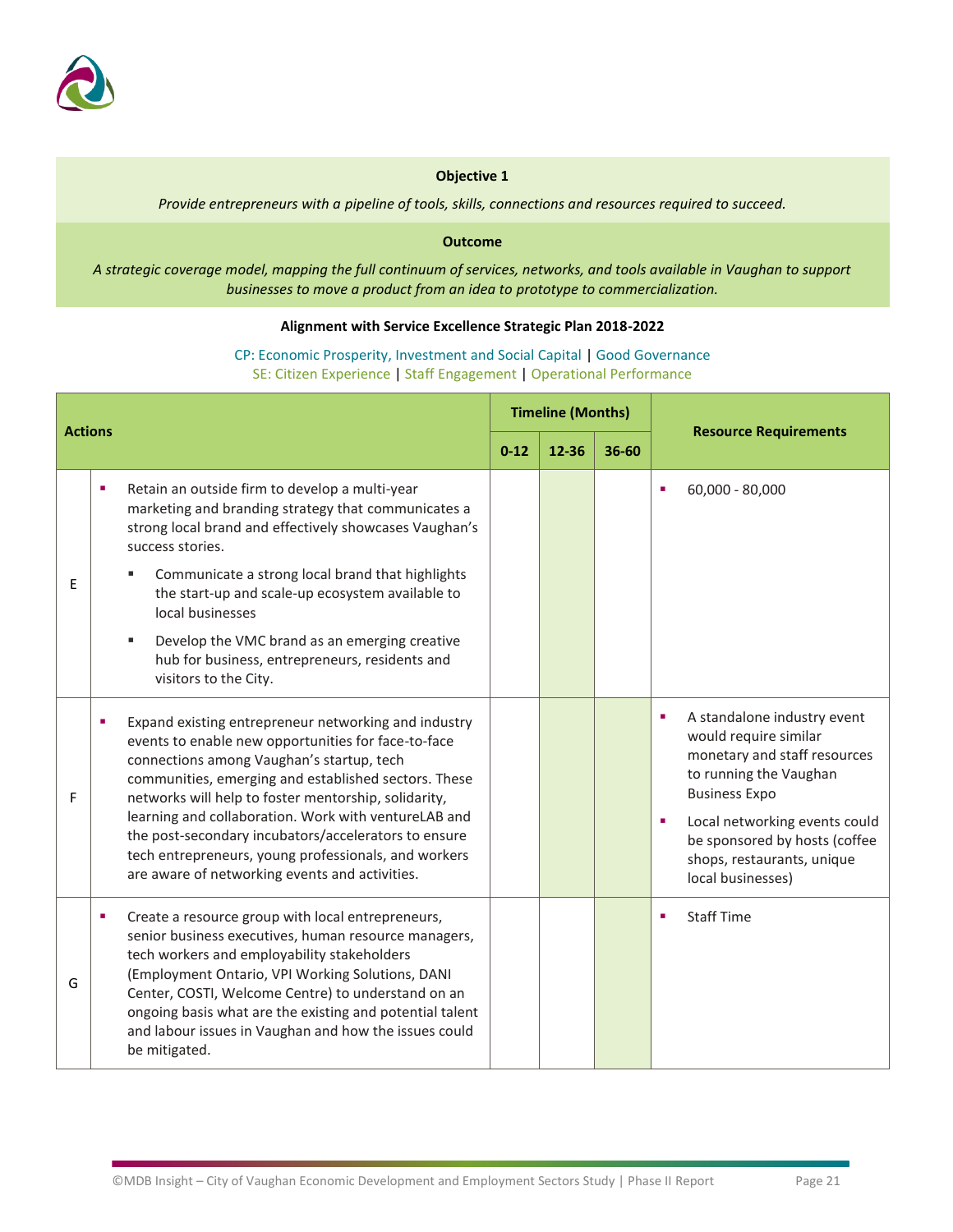

*Provide entrepreneurs with a pipeline of tools, skills, connections and resources required to succeed.*

#### **Outcome**

*A strategic coverage model, mapping the full continuum of services, networks, and tools available in Vaughan to support businesses to move a product from an idea to prototype to commercialization.*

### **Alignment with Service Excellence Strategic Plan 2018-2022**

| <b>Actions</b> |   | <b>Timeline (Months)</b>                                                                                                                                                                                                                                                                                                                                                                                                                                                                           |       |       | <b>Resource Requirements</b> |                                                                                                                                                                                                                                                                                                 |
|----------------|---|----------------------------------------------------------------------------------------------------------------------------------------------------------------------------------------------------------------------------------------------------------------------------------------------------------------------------------------------------------------------------------------------------------------------------------------------------------------------------------------------------|-------|-------|------------------------------|-------------------------------------------------------------------------------------------------------------------------------------------------------------------------------------------------------------------------------------------------------------------------------------------------|
|                |   | $0 - 12$                                                                                                                                                                                                                                                                                                                                                                                                                                                                                           | 12-36 | 36-60 |                              |                                                                                                                                                                                                                                                                                                 |
|                | ٠ | Retain an outside firm to develop a multi-year<br>marketing and branding strategy that communicates a<br>strong local brand and effectively showcases Vaughan's<br>success stories.                                                                                                                                                                                                                                                                                                                |       |       |                              | 60,000 - 80,000<br>п                                                                                                                                                                                                                                                                            |
| E.             |   | Communicate a strong local brand that highlights<br>the start-up and scale-up ecosystem available to<br>local businesses                                                                                                                                                                                                                                                                                                                                                                           |       |       |                              |                                                                                                                                                                                                                                                                                                 |
|                |   | Develop the VMC brand as an emerging creative<br>hub for business, entrepreneurs, residents and<br>visitors to the City.                                                                                                                                                                                                                                                                                                                                                                           |       |       |                              |                                                                                                                                                                                                                                                                                                 |
| F              |   | Expand existing entrepreneur networking and industry<br>events to enable new opportunities for face-to-face<br>connections among Vaughan's startup, tech<br>communities, emerging and established sectors. These<br>networks will help to foster mentorship, solidarity,<br>learning and collaboration. Work with ventureLAB and<br>the post-secondary incubators/accelerators to ensure<br>tech entrepreneurs, young professionals, and workers<br>are aware of networking events and activities. |       |       |                              | $\blacksquare$<br>A standalone industry event<br>would require similar<br>monetary and staff resources<br>to running the Vaughan<br><b>Business Expo</b><br>Local networking events could<br>$\blacksquare$<br>be sponsored by hosts (coffee<br>shops, restaurants, unique<br>local businesses) |
| G              | ٠ | Create a resource group with local entrepreneurs,<br>senior business executives, human resource managers,<br>tech workers and employability stakeholders<br>(Employment Ontario, VPI Working Solutions, DANI<br>Center, COSTI, Welcome Centre) to understand on an<br>ongoing basis what are the existing and potential talent<br>and labour issues in Vaughan and how the issues could<br>be mitigated.                                                                                           |       |       |                              | <b>Staff Time</b><br>л                                                                                                                                                                                                                                                                          |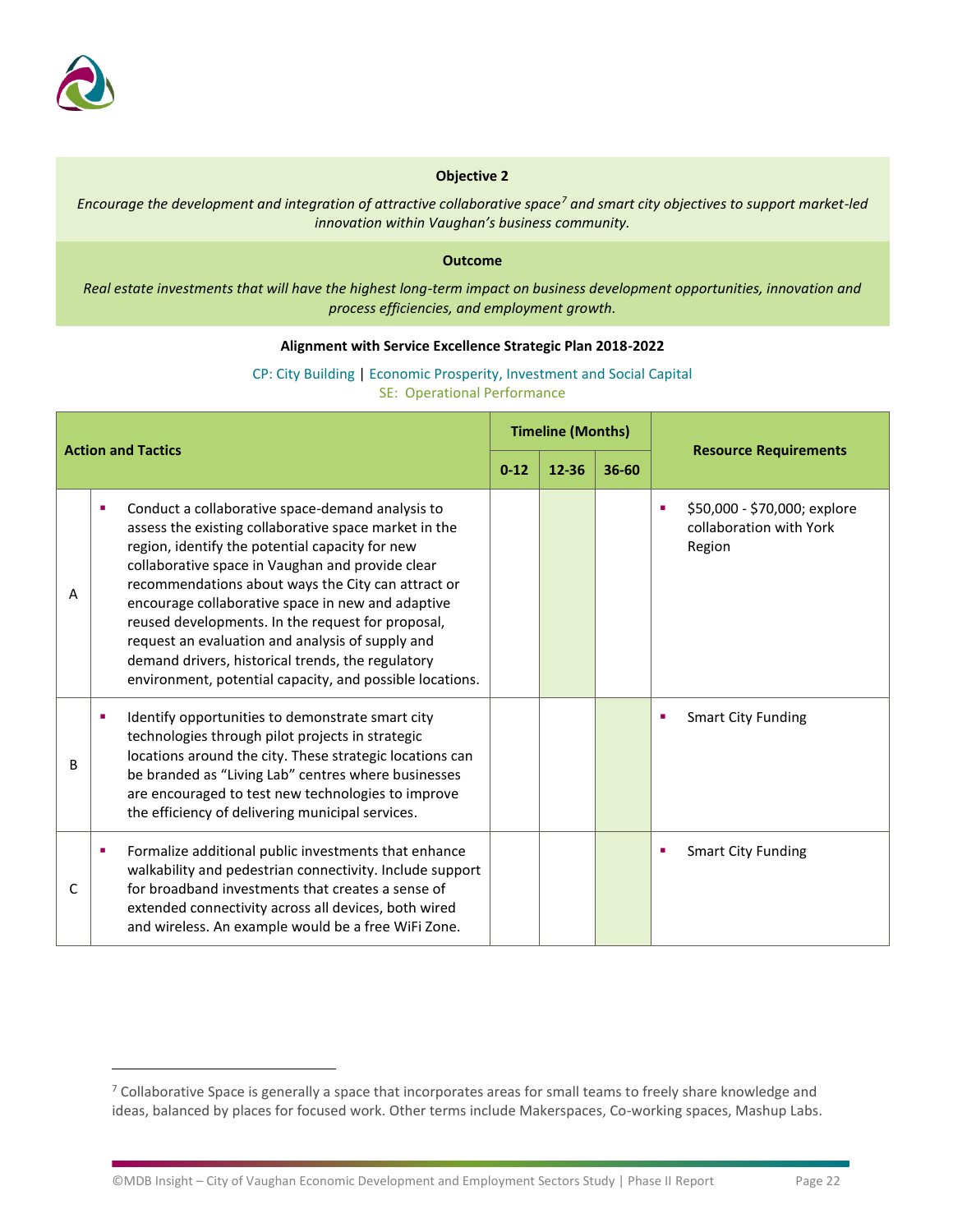

*Encourage the development and integration of attractive collaborative space<sup>7</sup> and smart city objectives to support market-led innovation within Vaughan's business community.*

#### **Outcome**

*Real estate investments that will have the highest long-term impact on business development opportunities, innovation and process efficiencies, and employment growth.* 

### **Alignment with Service Excellence Strategic Plan 2018-2022**

CP: City Building | Economic Prosperity, Investment and Social Capital SE: Operational Performance

| <b>Action and Tactics</b> |   | <b>Timeline (Months)</b>                                                                                                                                                                                                                                                                                                                                                                                                                                                                                                                              |          |       |           |                                                                        |
|---------------------------|---|-------------------------------------------------------------------------------------------------------------------------------------------------------------------------------------------------------------------------------------------------------------------------------------------------------------------------------------------------------------------------------------------------------------------------------------------------------------------------------------------------------------------------------------------------------|----------|-------|-----------|------------------------------------------------------------------------|
|                           |   |                                                                                                                                                                                                                                                                                                                                                                                                                                                                                                                                                       | $0 - 12$ | 12-36 | $36 - 60$ | <b>Resource Requirements</b>                                           |
| A                         | ٠ | Conduct a collaborative space-demand analysis to<br>assess the existing collaborative space market in the<br>region, identify the potential capacity for new<br>collaborative space in Vaughan and provide clear<br>recommendations about ways the City can attract or<br>encourage collaborative space in new and adaptive<br>reused developments. In the request for proposal,<br>request an evaluation and analysis of supply and<br>demand drivers, historical trends, the regulatory<br>environment, potential capacity, and possible locations. |          |       |           | \$50,000 - \$70,000; explore<br>٠<br>collaboration with York<br>Region |
| B                         | ٠ | Identify opportunities to demonstrate smart city<br>technologies through pilot projects in strategic<br>locations around the city. These strategic locations can<br>be branded as "Living Lab" centres where businesses<br>are encouraged to test new technologies to improve<br>the efficiency of delivering municipal services.                                                                                                                                                                                                                     |          |       |           | <b>Smart City Funding</b><br>п                                         |
| C                         | ٠ | Formalize additional public investments that enhance<br>walkability and pedestrian connectivity. Include support<br>for broadband investments that creates a sense of<br>extended connectivity across all devices, both wired<br>and wireless. An example would be a free WiFi Zone.                                                                                                                                                                                                                                                                  |          |       |           | <b>Smart City Funding</b><br>п                                         |

 $7$  Collaborative Space is generally a space that incorporates areas for small teams to freely share knowledge and ideas, balanced by places for focused work. Other terms include Makerspaces, Co-working spaces, Mashup Labs.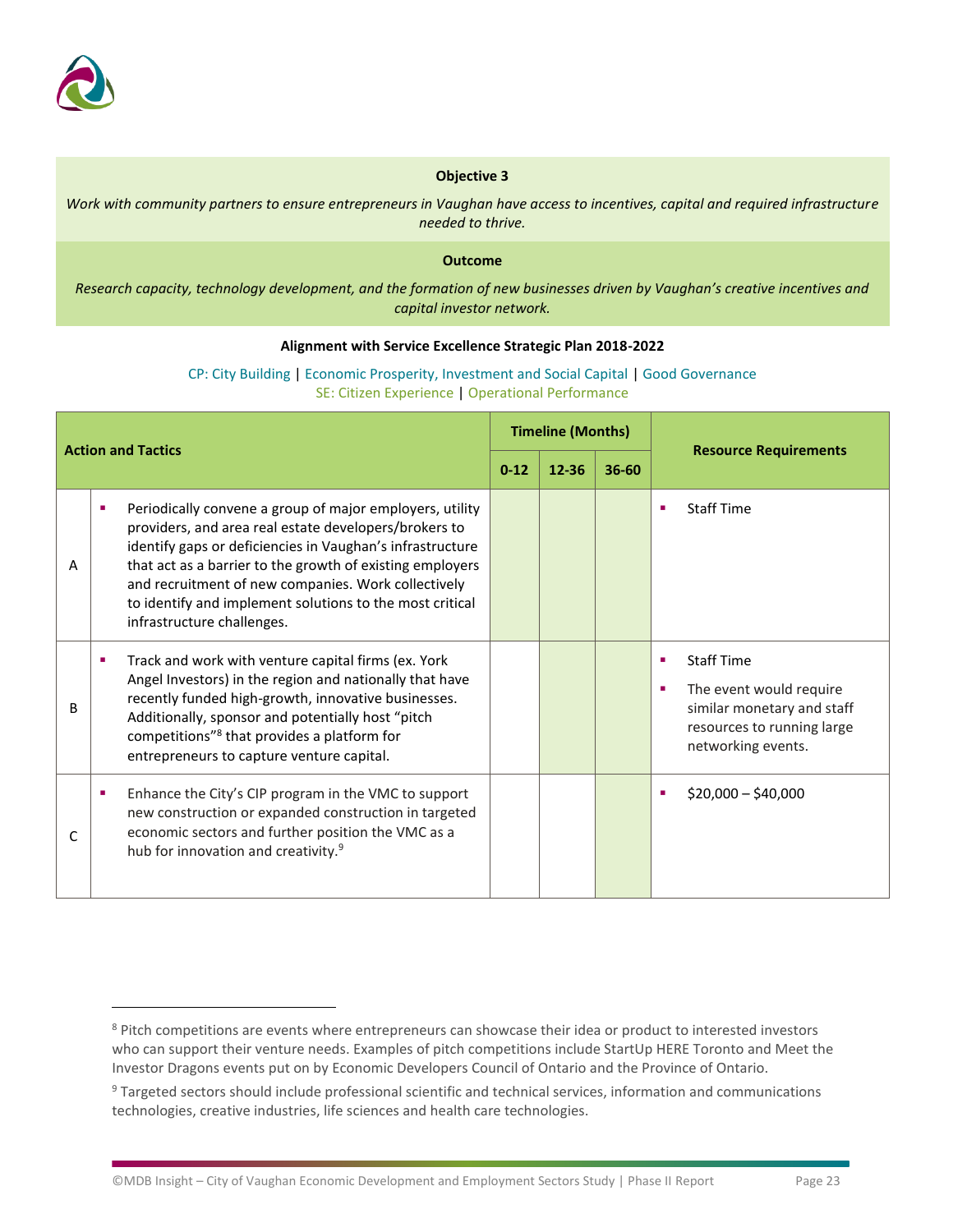

*Work with community partners to ensure entrepreneurs in Vaughan have access to incentives, capital and required infrastructure needed to thrive.*

#### **Outcome**

*Research capacity, technology development, and the formation of new businesses driven by Vaughan's creative incentives and capital investor network.*

### **Alignment with Service Excellence Strategic Plan 2018-2022**

### CP: City Building | Economic Prosperity, Investment and Social Capital | Good Governance SE: Citizen Experience | Operational Performance

| <b>Action and Tactics</b> |                                                                                                                                                                                                                                                                                                                                                                                              | <b>Timeline (Months)</b> |       |           |                                                                                                                                          |
|---------------------------|----------------------------------------------------------------------------------------------------------------------------------------------------------------------------------------------------------------------------------------------------------------------------------------------------------------------------------------------------------------------------------------------|--------------------------|-------|-----------|------------------------------------------------------------------------------------------------------------------------------------------|
|                           |                                                                                                                                                                                                                                                                                                                                                                                              | $0 - 12$                 | 12-36 | $36 - 60$ | <b>Resource Requirements</b>                                                                                                             |
| Α                         | Periodically convene a group of major employers, utility<br>providers, and area real estate developers/brokers to<br>identify gaps or deficiencies in Vaughan's infrastructure<br>that act as a barrier to the growth of existing employers<br>and recruitment of new companies. Work collectively<br>to identify and implement solutions to the most critical<br>infrastructure challenges. |                          |       |           | <b>Staff Time</b><br>٠                                                                                                                   |
| B                         | Track and work with venture capital firms (ex. York<br>Angel Investors) in the region and nationally that have<br>recently funded high-growth, innovative businesses.<br>Additionally, sponsor and potentially host "pitch<br>competitions" <sup>8</sup> that provides a platform for<br>entrepreneurs to capture venture capital.                                                           |                          |       |           | <b>Staff Time</b><br>٠<br>The event would require<br>г<br>similar monetary and staff<br>resources to running large<br>networking events. |
| C                         | Enhance the City's CIP program in the VMC to support<br>٠<br>new construction or expanded construction in targeted<br>economic sectors and further position the VMC as a<br>hub for innovation and creativity. <sup>9</sup>                                                                                                                                                                  |                          |       |           | $$20,000 - $40,000$<br>٠                                                                                                                 |

<sup>&</sup>lt;sup>8</sup> Pitch competitions are events where entrepreneurs can showcase their idea or product to interested investors who can support their venture needs. Examples of pitch competitions include StartUp HERE Toronto and Meet the Investor Dragons events put on by Economic Developers Council of Ontario and the Province of Ontario.

<sup>&</sup>lt;sup>9</sup> Targeted sectors should include professional scientific and technical services, information and communications technologies, creative industries, life sciences and health care technologies.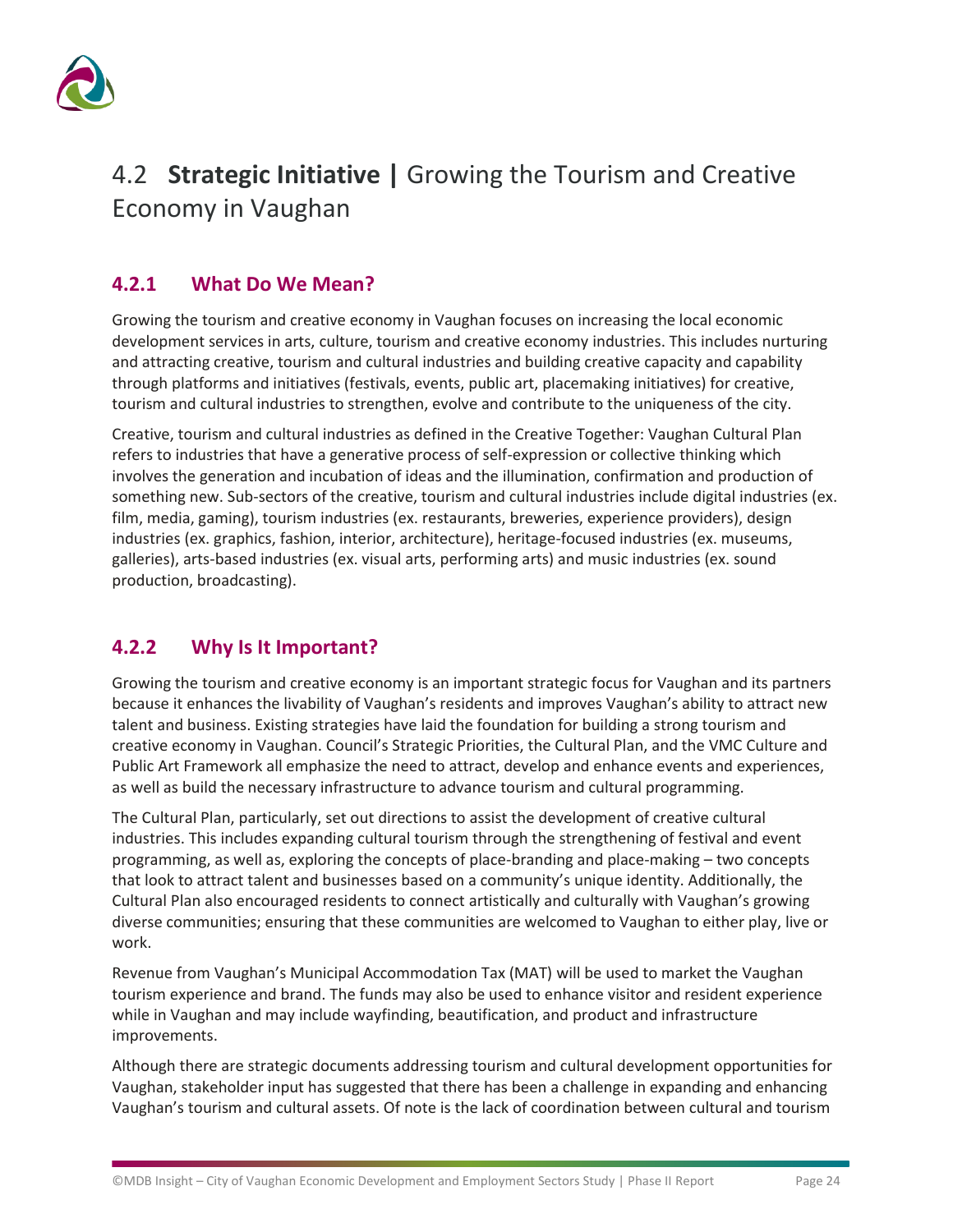

# <span id="page-25-0"></span>4.2 **Strategic Initiative |** Growing the Tourism and Creative Economy in Vaughan

### **4.2.1 What Do We Mean?**

Growing the tourism and creative economy in Vaughan focuses on increasing the local economic development services in arts, culture, tourism and creative economy industries. This includes nurturing and attracting creative, tourism and cultural industries and building creative capacity and capability through platforms and initiatives (festivals, events, public art, placemaking initiatives) for creative, tourism and cultural industries to strengthen, evolve and contribute to the uniqueness of the city.

Creative, tourism and cultural industries as defined in the Creative Together: Vaughan Cultural Plan refers to industries that have a generative process of self-expression or collective thinking which involves the generation and incubation of ideas and the illumination, confirmation and production of something new. Sub-sectors of the creative, tourism and cultural industries include digital industries (ex. film, media, gaming), tourism industries (ex. restaurants, breweries, experience providers), design industries (ex. graphics, fashion, interior, architecture), heritage-focused industries (ex. museums, galleries), arts-based industries (ex. visual arts, performing arts) and music industries (ex. sound production, broadcasting).

### **4.2.2 Why Is It Important?**

Growing the tourism and creative economy is an important strategic focus for Vaughan and its partners because it enhances the livability of Vaughan's residents and improves Vaughan's ability to attract new talent and business. Existing strategies have laid the foundation for building a strong tourism and creative economy in Vaughan. Council's Strategic Priorities, the Cultural Plan, and the VMC Culture and Public Art Framework all emphasize the need to attract, develop and enhance events and experiences, as well as build the necessary infrastructure to advance tourism and cultural programming.

The Cultural Plan, particularly, set out directions to assist the development of creative cultural industries. This includes expanding cultural tourism through the strengthening of festival and event programming, as well as, exploring the concepts of place-branding and place-making – two concepts that look to attract talent and businesses based on a community's unique identity. Additionally, the Cultural Plan also encouraged residents to connect artistically and culturally with Vaughan's growing diverse communities; ensuring that these communities are welcomed to Vaughan to either play, live or work.

Revenue from Vaughan's Municipal Accommodation Tax (MAT) will be used to market the Vaughan tourism experience and brand. The funds may also be used to enhance visitor and resident experience while in Vaughan and may include wayfinding, beautification, and product and infrastructure improvements.

Although there are strategic documents addressing tourism and cultural development opportunities for Vaughan, stakeholder input has suggested that there has been a challenge in expanding and enhancing Vaughan's tourism and cultural assets. Of note is the lack of coordination between cultural and tourism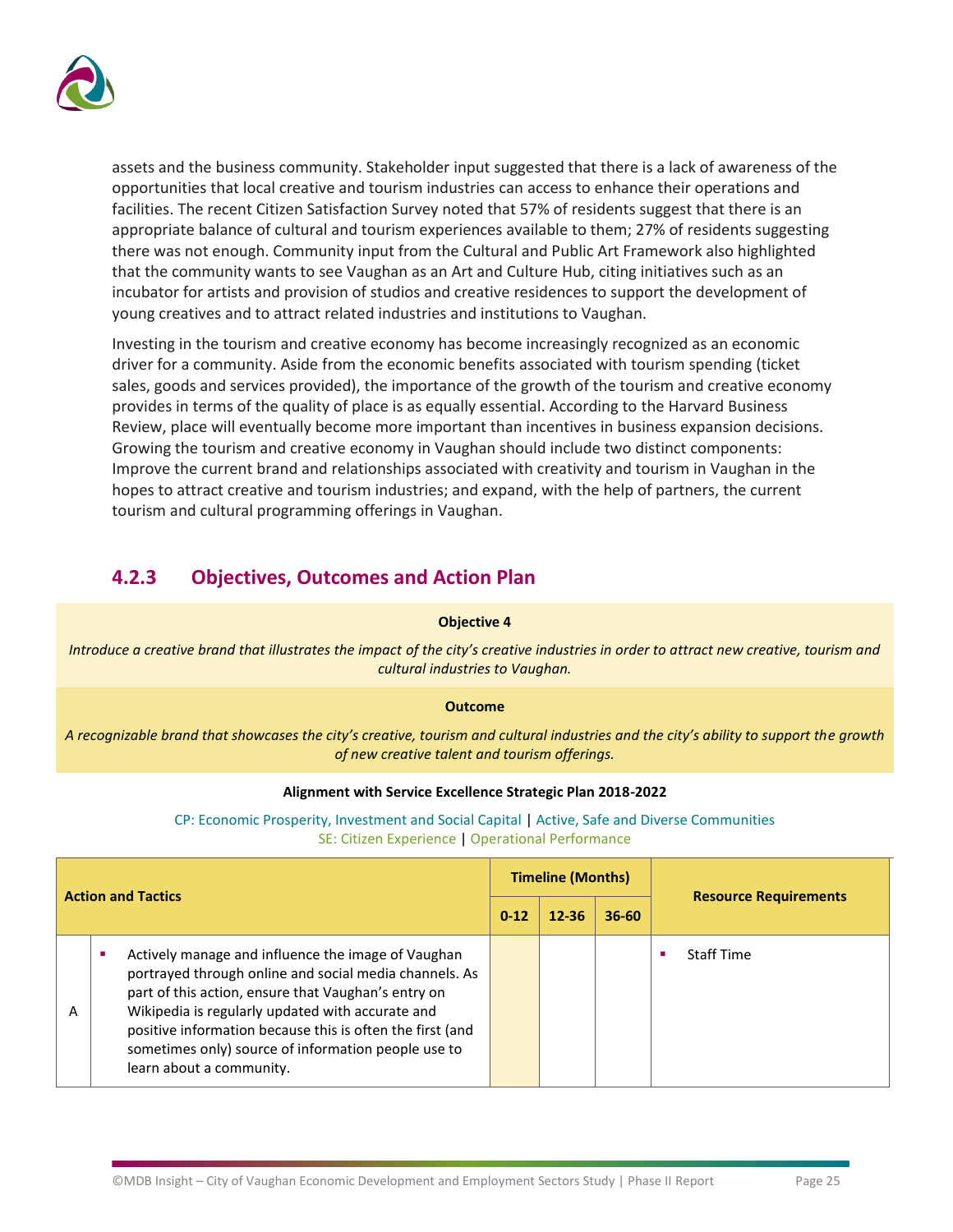

assets and the business community. Stakeholder input suggested that there is a lack of awareness of the opportunities that local creative and tourism industries can access to enhance their operations and facilities. The recent Citizen Satisfaction Survey noted that 57% of residents suggest that there is an appropriate balance of cultural and tourism experiences available to them; 27% of residents suggesting there was not enough. Community input from the Cultural and Public Art Framework also highlighted that the community wants to see Vaughan as an Art and Culture Hub, citing initiatives such as an incubator for artists and provision of studios and creative residences to support the development of young creatives and to attract related industries and institutions to Vaughan.

Investing in the tourism and creative economy has become increasingly recognized as an economic driver for a community. Aside from the economic benefits associated with tourism spending (ticket sales, goods and services provided), the importance of the growth of the tourism and creative economy provides in terms of the quality of place is as equally essential. According to the Harvard Business Review, place will eventually become more important than incentives in business expansion decisions. Growing the tourism and creative economy in Vaughan should include two distinct components: Improve the current brand and relationships associated with creativity and tourism in Vaughan in the hopes to attract creative and tourism industries; and expand, with the help of partners, the current tourism and cultural programming offerings in Vaughan.

### **4.2.3 Objectives, Outcomes and Action Plan**

### **Objective 4**

*Introduce a creative brand that illustrates the impact of the city's creative industries in order to attract new creative, tourism and cultural industries to Vaughan.*

### **Outcome**

*A recognizable brand that showcases the city's creative, tourism and cultural industries and the city's ability to support the growth of new creative talent and tourism offerings.* 

### **Alignment with Service Excellence Strategic Plan 2018-2022**

CP: Economic Prosperity, Investment and Social Capital | Active, Safe and Diverse Communities SE: Citizen Experience | Operational Performance

| <b>Action and Tactics</b> |  | <b>Timeline (Months)</b>                                                                                                                                                                                                                                                                                                                                                |           |           | <b>Resource Requirements</b> |                   |
|---------------------------|--|-------------------------------------------------------------------------------------------------------------------------------------------------------------------------------------------------------------------------------------------------------------------------------------------------------------------------------------------------------------------------|-----------|-----------|------------------------------|-------------------|
|                           |  | $0 - 12$                                                                                                                                                                                                                                                                                                                                                                | $12 - 36$ | $36 - 60$ |                              |                   |
| А                         |  | Actively manage and influence the image of Vaughan<br>portrayed through online and social media channels. As<br>part of this action, ensure that Vaughan's entry on<br>Wikipedia is regularly updated with accurate and<br>positive information because this is often the first (and<br>sometimes only) source of information people use to<br>learn about a community. |           |           |                              | <b>Staff Time</b> |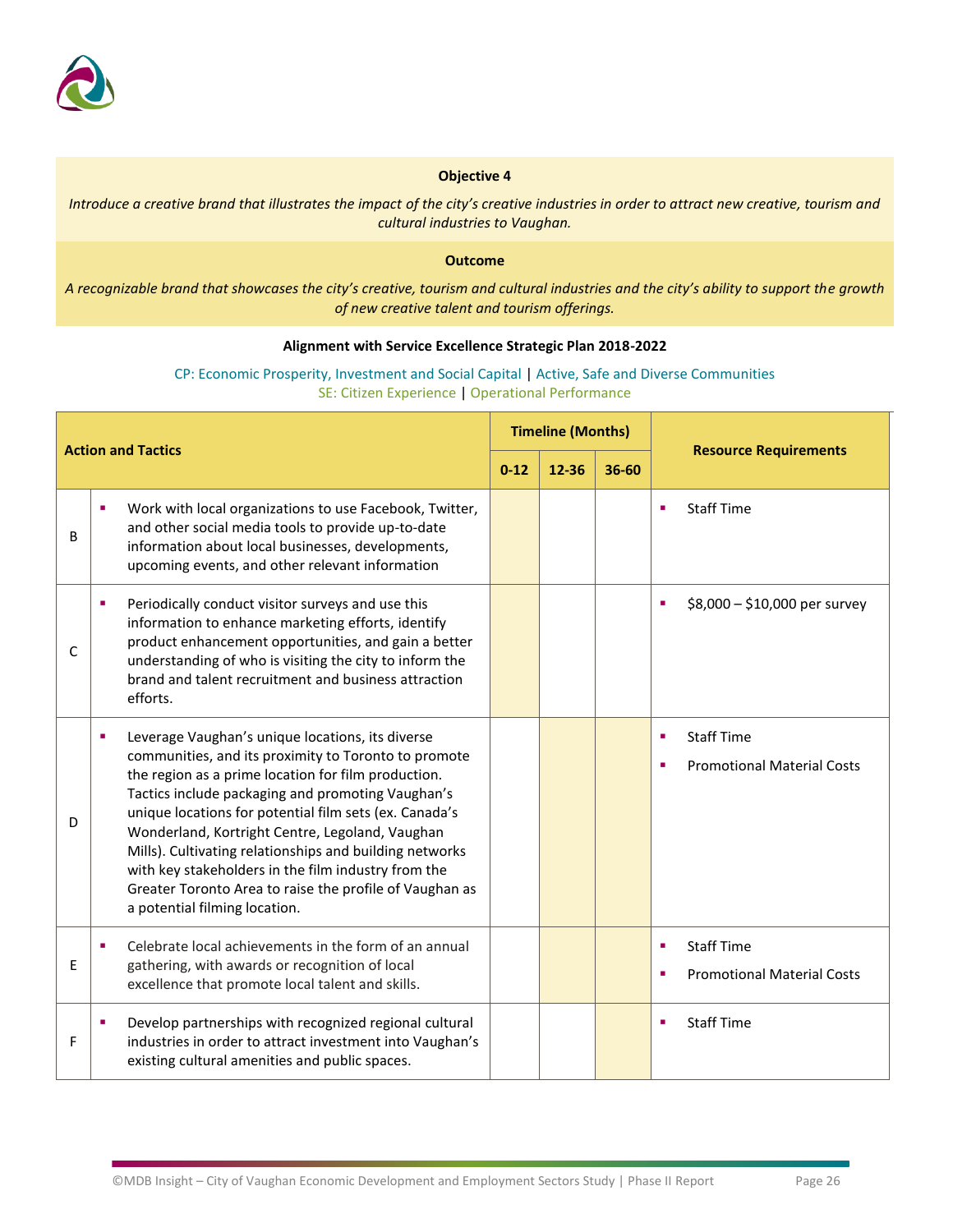

*Introduce a creative brand that illustrates the impact of the city's creative industries in order to attract new creative, tourism and cultural industries to Vaughan.*

### **Outcome**

*A recognizable brand that showcases the city's creative, tourism and cultural industries and the city's ability to support the growth of new creative talent and tourism offerings.* 

### **Alignment with Service Excellence Strategic Plan 2018-2022**

### CP: Economic Prosperity, Investment and Social Capital | Active, Safe and Diverse Communities SE: Citizen Experience | Operational Performance

| <b>Action and Tactics</b> |                                                                                                                                                                                                                                                                                                                                                                                                                                                                                                                                                 |          | <b>Timeline (Months)</b> |       | <b>Resource Requirements</b>                                     |
|---------------------------|-------------------------------------------------------------------------------------------------------------------------------------------------------------------------------------------------------------------------------------------------------------------------------------------------------------------------------------------------------------------------------------------------------------------------------------------------------------------------------------------------------------------------------------------------|----------|--------------------------|-------|------------------------------------------------------------------|
|                           |                                                                                                                                                                                                                                                                                                                                                                                                                                                                                                                                                 | $0 - 12$ | 12-36                    | 36-60 |                                                                  |
| B                         | Work with local organizations to use Facebook, Twitter,<br>and other social media tools to provide up-to-date<br>information about local businesses, developments,<br>upcoming events, and other relevant information                                                                                                                                                                                                                                                                                                                           |          |                          |       | <b>Staff Time</b><br>٠                                           |
| C                         | Periodically conduct visitor surveys and use this<br>٠<br>information to enhance marketing efforts, identify<br>product enhancement opportunities, and gain a better<br>understanding of who is visiting the city to inform the<br>brand and talent recruitment and business attraction<br>efforts.                                                                                                                                                                                                                                             |          |                          |       | \$8,000 - \$10,000 per survey<br>٠                               |
| D                         | Leverage Vaughan's unique locations, its diverse<br>communities, and its proximity to Toronto to promote<br>the region as a prime location for film production.<br>Tactics include packaging and promoting Vaughan's<br>unique locations for potential film sets (ex. Canada's<br>Wonderland, Kortright Centre, Legoland, Vaughan<br>Mills). Cultivating relationships and building networks<br>with key stakeholders in the film industry from the<br>Greater Toronto Area to raise the profile of Vaughan as<br>a potential filming location. |          |                          |       | <b>Staff Time</b><br>ш<br><b>Promotional Material Costs</b><br>ш |
| E                         | Celebrate local achievements in the form of an annual<br>٠<br>gathering, with awards or recognition of local<br>excellence that promote local talent and skills.                                                                                                                                                                                                                                                                                                                                                                                |          |                          |       | <b>Staff Time</b><br>٠<br><b>Promotional Material Costs</b><br>٠ |
| F                         | Develop partnerships with recognized regional cultural<br>industries in order to attract investment into Vaughan's<br>existing cultural amenities and public spaces.                                                                                                                                                                                                                                                                                                                                                                            |          |                          |       | <b>Staff Time</b><br>ш                                           |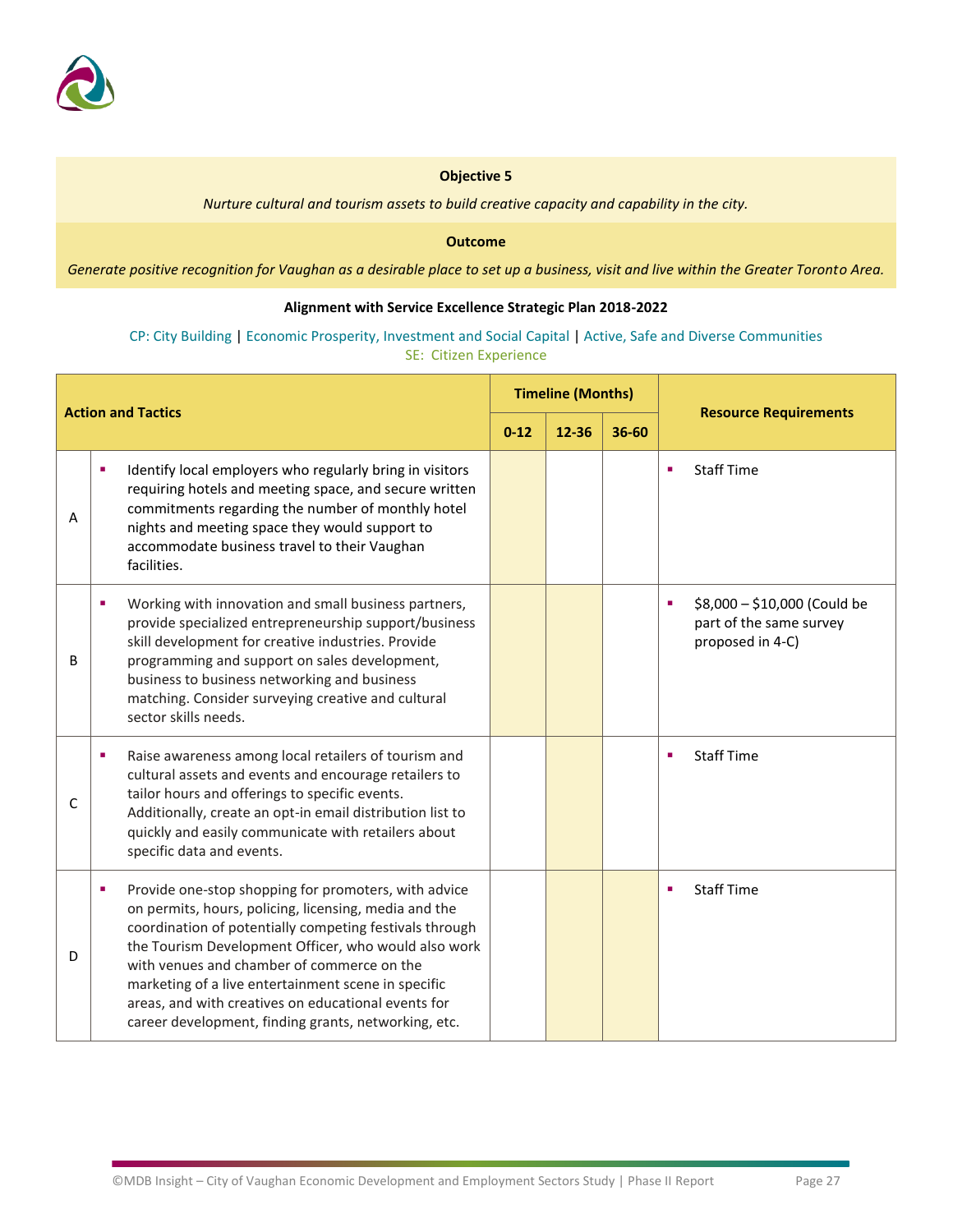

*Nurture cultural and tourism assets to build creative capacity and capability in the city.*

#### **Outcome**

*Generate positive recognition for Vaughan as a desirable place to set up a business, visit and live within the Greater Toronto Area.*

### **Alignment with Service Excellence Strategic Plan 2018-2022**

### CP: City Building | Economic Prosperity, Investment and Social Capital | Active, Safe and Diverse Communities SE: Citizen Experience

| <b>Action and Tactics</b> |   | <b>Timeline (Months)</b>                                                                                                                                                                                                                                                                                                                                                                                                                             |          |       | <b>Resource Requirements</b> |                                                                                  |
|---------------------------|---|------------------------------------------------------------------------------------------------------------------------------------------------------------------------------------------------------------------------------------------------------------------------------------------------------------------------------------------------------------------------------------------------------------------------------------------------------|----------|-------|------------------------------|----------------------------------------------------------------------------------|
|                           |   |                                                                                                                                                                                                                                                                                                                                                                                                                                                      | $0 - 12$ | 12-36 | 36-60                        |                                                                                  |
| А                         | × | Identify local employers who regularly bring in visitors<br>requiring hotels and meeting space, and secure written<br>commitments regarding the number of monthly hotel<br>nights and meeting space they would support to<br>accommodate business travel to their Vaughan<br>facilities.                                                                                                                                                             |          |       |                              | <b>Staff Time</b><br>×                                                           |
| B                         | п | Working with innovation and small business partners,<br>provide specialized entrepreneurship support/business<br>skill development for creative industries. Provide<br>programming and support on sales development,<br>business to business networking and business<br>matching. Consider surveying creative and cultural<br>sector skills needs.                                                                                                   |          |       |                              | \$8,000 - \$10,000 (Could be<br>п<br>part of the same survey<br>proposed in 4-C) |
| C                         | ٠ | Raise awareness among local retailers of tourism and<br>cultural assets and events and encourage retailers to<br>tailor hours and offerings to specific events.<br>Additionally, create an opt-in email distribution list to<br>quickly and easily communicate with retailers about<br>specific data and events.                                                                                                                                     |          |       |                              | <b>Staff Time</b><br>×                                                           |
| D                         | ٠ | Provide one-stop shopping for promoters, with advice<br>on permits, hours, policing, licensing, media and the<br>coordination of potentially competing festivals through<br>the Tourism Development Officer, who would also work<br>with venues and chamber of commerce on the<br>marketing of a live entertainment scene in specific<br>areas, and with creatives on educational events for<br>career development, finding grants, networking, etc. |          |       |                              | <b>Staff Time</b><br>п                                                           |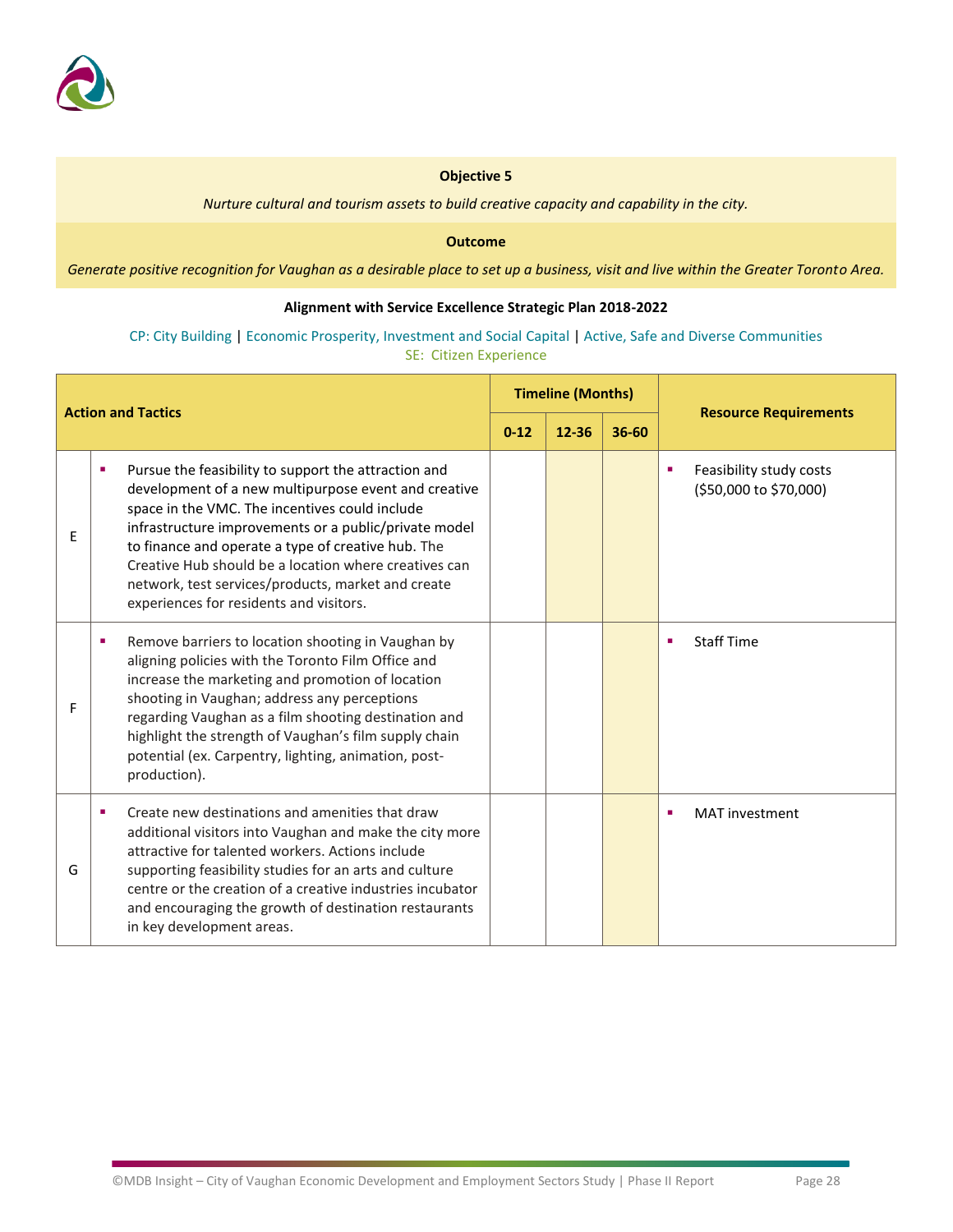

*Nurture cultural and tourism assets to build creative capacity and capability in the city.*

#### **Outcome**

*Generate positive recognition for Vaughan as a desirable place to set up a business, visit and live within the Greater Toronto Area.*

### **Alignment with Service Excellence Strategic Plan 2018-2022**

### CP: City Building | Economic Prosperity, Investment and Social Capital | Active, Safe and Diverse Communities SE: Citizen Experience

| <b>Action and Tactics</b> |                                                                                                                                                                                                                                                                                                                                                                                                                                         | <b>Timeline (Months)</b> |       |           |                                                        |
|---------------------------|-----------------------------------------------------------------------------------------------------------------------------------------------------------------------------------------------------------------------------------------------------------------------------------------------------------------------------------------------------------------------------------------------------------------------------------------|--------------------------|-------|-----------|--------------------------------------------------------|
|                           |                                                                                                                                                                                                                                                                                                                                                                                                                                         | $0 - 12$                 | 12-36 | $36 - 60$ | <b>Resource Requirements</b>                           |
| Ε                         | Pursue the feasibility to support the attraction and<br>development of a new multipurpose event and creative<br>space in the VMC. The incentives could include<br>infrastructure improvements or a public/private model<br>to finance and operate a type of creative hub. The<br>Creative Hub should be a location where creatives can<br>network, test services/products, market and create<br>experiences for residents and visitors. |                          |       |           | Feasibility study costs<br>г<br>(\$50,000 to \$70,000) |
| F                         | Remove barriers to location shooting in Vaughan by<br>п<br>aligning policies with the Toronto Film Office and<br>increase the marketing and promotion of location<br>shooting in Vaughan; address any perceptions<br>regarding Vaughan as a film shooting destination and<br>highlight the strength of Vaughan's film supply chain<br>potential (ex. Carpentry, lighting, animation, post-<br>production).                              |                          |       |           | <b>Staff Time</b><br>п                                 |
| G                         | Create new destinations and amenities that draw<br>٠<br>additional visitors into Vaughan and make the city more<br>attractive for talented workers. Actions include<br>supporting feasibility studies for an arts and culture<br>centre or the creation of a creative industries incubator<br>and encouraging the growth of destination restaurants<br>in key development areas.                                                        |                          |       |           | <b>MAT</b> investment<br>×                             |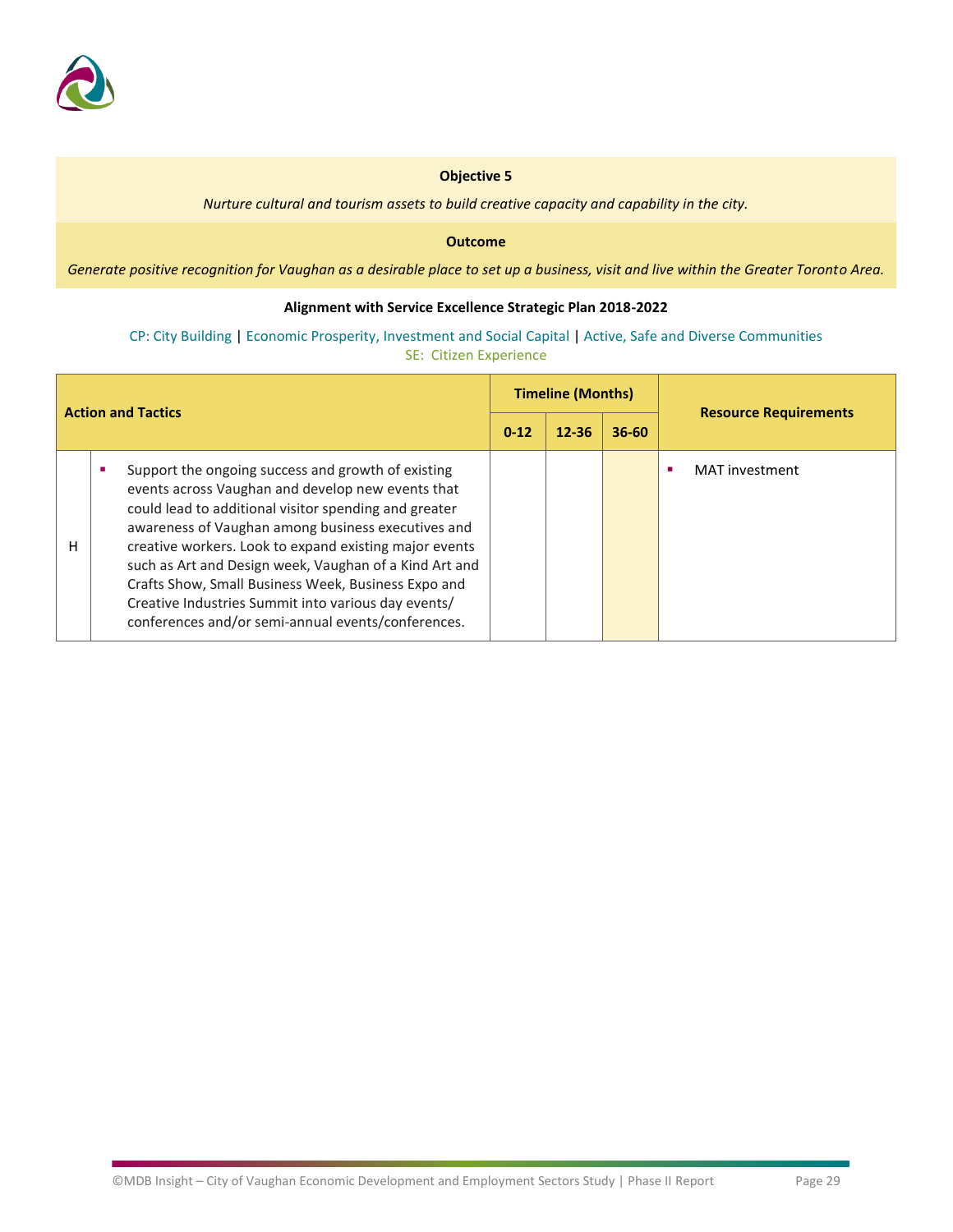

*Nurture cultural and tourism assets to build creative capacity and capability in the city.*

### **Outcome**

*Generate positive recognition for Vaughan as a desirable place to set up a business, visit and live within the Greater Toronto Area.*

### **Alignment with Service Excellence Strategic Plan 2018-2022**

### CP: City Building | Economic Prosperity, Investment and Social Capital | Active, Safe and Diverse Communities SE: Citizen Experience

| <b>Action and Tactics</b> |                                                                                                                                                                                                                                                                                                                                                                                                                                                                                                                | <b>Timeline (Months)</b> |           |           | <b>Resource Requirements</b> |
|---------------------------|----------------------------------------------------------------------------------------------------------------------------------------------------------------------------------------------------------------------------------------------------------------------------------------------------------------------------------------------------------------------------------------------------------------------------------------------------------------------------------------------------------------|--------------------------|-----------|-----------|------------------------------|
|                           |                                                                                                                                                                                                                                                                                                                                                                                                                                                                                                                | $0 - 12$                 | $12 - 36$ | $36 - 60$ |                              |
| н                         | Support the ongoing success and growth of existing<br>events across Vaughan and develop new events that<br>could lead to additional visitor spending and greater<br>awareness of Vaughan among business executives and<br>creative workers. Look to expand existing major events<br>such as Art and Design week, Vaughan of a Kind Art and<br>Crafts Show, Small Business Week, Business Expo and<br>Creative Industries Summit into various day events/<br>conferences and/or semi-annual events/conferences. |                          |           |           | MAT investment               |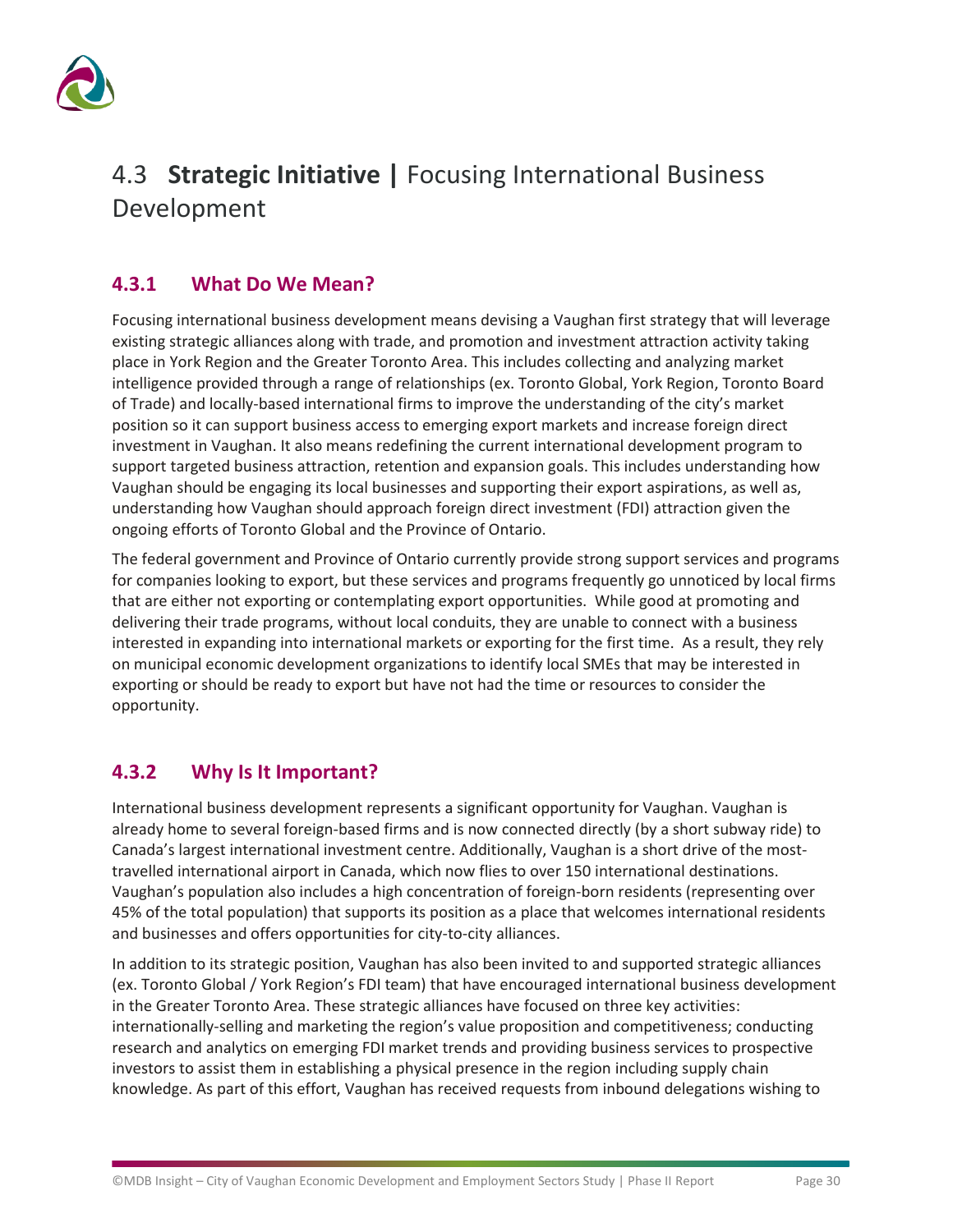

# <span id="page-31-0"></span>4.3 **Strategic Initiative |** Focusing International Business Development

### **4.3.1 What Do We Mean?**

Focusing international business development means devising a Vaughan first strategy that will leverage existing strategic alliances along with trade, and promotion and investment attraction activity taking place in York Region and the Greater Toronto Area. This includes collecting and analyzing market intelligence provided through a range of relationships (ex. Toronto Global, York Region, Toronto Board of Trade) and locally-based international firms to improve the understanding of the city's market position so it can support business access to emerging export markets and increase foreign direct investment in Vaughan. It also means redefining the current international development program to support targeted business attraction, retention and expansion goals. This includes understanding how Vaughan should be engaging its local businesses and supporting their export aspirations, as well as, understanding how Vaughan should approach foreign direct investment (FDI) attraction given the ongoing efforts of Toronto Global and the Province of Ontario.

The federal government and Province of Ontario currently provide strong support services and programs for companies looking to export, but these services and programs frequently go unnoticed by local firms that are either not exporting or contemplating export opportunities. While good at promoting and delivering their trade programs, without local conduits, they are unable to connect with a business interested in expanding into international markets or exporting for the first time. As a result, they rely on municipal economic development organizations to identify local SMEs that may be interested in exporting or should be ready to export but have not had the time or resources to consider the opportunity.

### **4.3.2 Why Is It Important?**

International business development represents a significant opportunity for Vaughan. Vaughan is already home to several foreign-based firms and is now connected directly (by a short subway ride) to Canada's largest international investment centre. Additionally, Vaughan is a short drive of the mosttravelled international airport in Canada, which now flies to over 150 international destinations. Vaughan's population also includes a high concentration of foreign-born residents (representing over 45% of the total population) that supports its position as a place that welcomes international residents and businesses and offers opportunities for city-to-city alliances.

In addition to its strategic position, Vaughan has also been invited to and supported strategic alliances (ex. Toronto Global / York Region's FDI team) that have encouraged international business development in the Greater Toronto Area. These strategic alliances have focused on three key activities: internationally-selling and marketing the region's value proposition and competitiveness; conducting research and analytics on emerging FDI market trends and providing business services to prospective investors to assist them in establishing a physical presence in the region including supply chain knowledge. As part of this effort, Vaughan has received requests from inbound delegations wishing to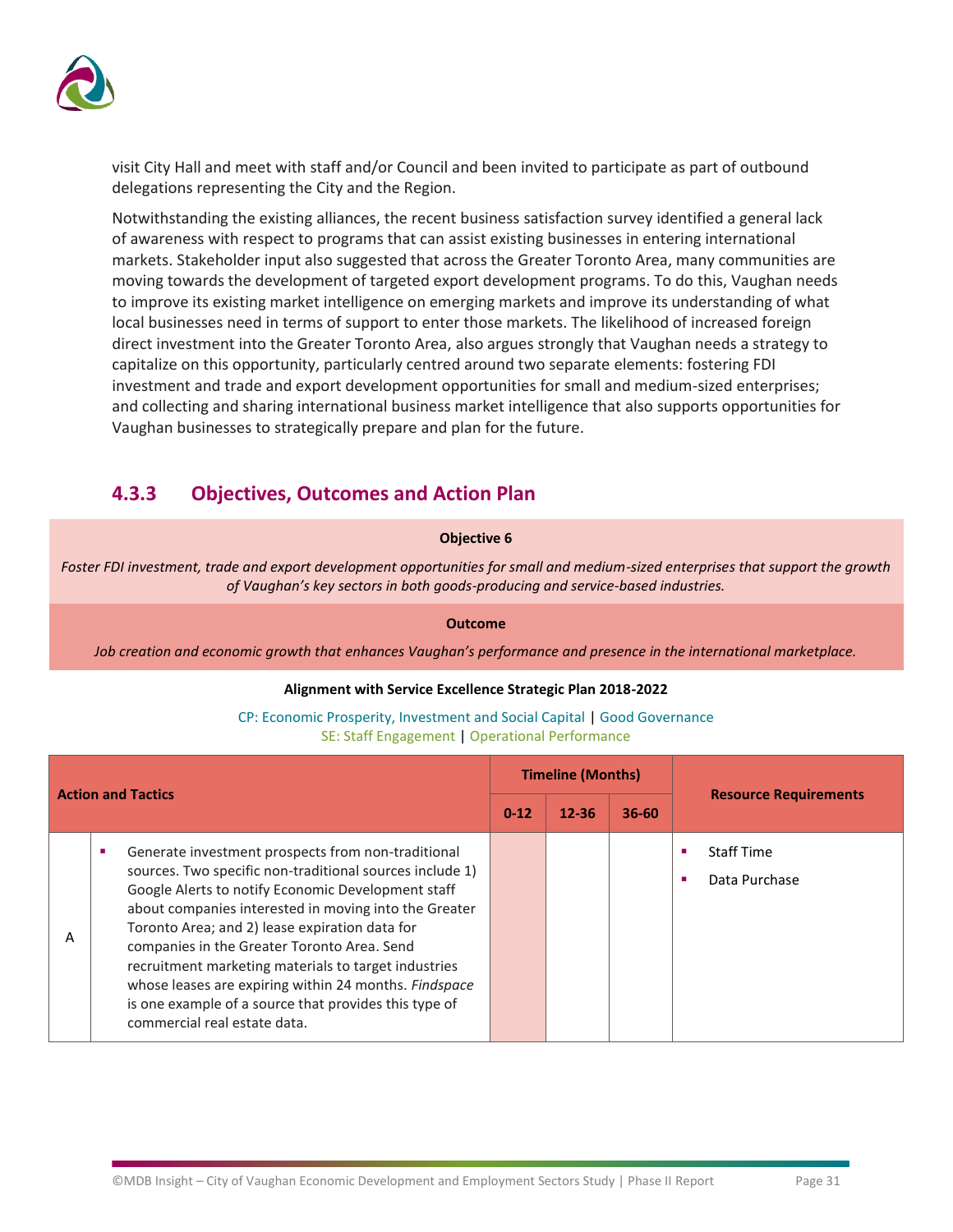

visit City Hall and meet with staff and/or Council and been invited to participate as part of outbound delegations representing the City and the Region.

Notwithstanding the existing alliances, the recent business satisfaction survey identified a general lack of awareness with respect to programs that can assist existing businesses in entering international markets. Stakeholder input also suggested that across the Greater Toronto Area, many communities are moving towards the development of targeted export development programs. To do this, Vaughan needs to improve its existing market intelligence on emerging markets and improve its understanding of what local businesses need in terms of support to enter those markets. The likelihood of increased foreign direct investment into the Greater Toronto Area, also argues strongly that Vaughan needs a strategy to capitalize on this opportunity, particularly centred around two separate elements: fostering FDI investment and trade and export development opportunities for small and medium-sized enterprises; and collecting and sharing international business market intelligence that also supports opportunities for Vaughan businesses to strategically prepare and plan for the future.

### **4.3.3 Objectives, Outcomes and Action Plan**

### **Objective 6**

*Foster FDI investment, trade and export development opportunities for small and medium-sized enterprises that support the growth of Vaughan's key sectors in both goods-producing and service-based industries.*

**Outcome**

*Job creation and economic growth that enhances Vaughan's performance and presence in the international marketplace.*

### **Alignment with Service Excellence Strategic Plan 2018-2022**

| <b>Action and Tactics</b> |                                                                                                                                                                                                                                                                                                                                                                                                                                                                                                                                          |          | <b>Timeline (Months)</b> |           | <b>Resource Requirements</b>       |
|---------------------------|------------------------------------------------------------------------------------------------------------------------------------------------------------------------------------------------------------------------------------------------------------------------------------------------------------------------------------------------------------------------------------------------------------------------------------------------------------------------------------------------------------------------------------------|----------|--------------------------|-----------|------------------------------------|
|                           |                                                                                                                                                                                                                                                                                                                                                                                                                                                                                                                                          | $0 - 12$ | $12 - 36$                | $36 - 60$ |                                    |
| Α                         | Generate investment prospects from non-traditional<br>sources. Two specific non-traditional sources include 1)<br>Google Alerts to notify Economic Development staff<br>about companies interested in moving into the Greater<br>Toronto Area; and 2) lease expiration data for<br>companies in the Greater Toronto Area. Send<br>recruitment marketing materials to target industries<br>whose leases are expiring within 24 months. Findspace<br>is one example of a source that provides this type of<br>commercial real estate data. |          |                          |           | <b>Staff Time</b><br>Data Purchase |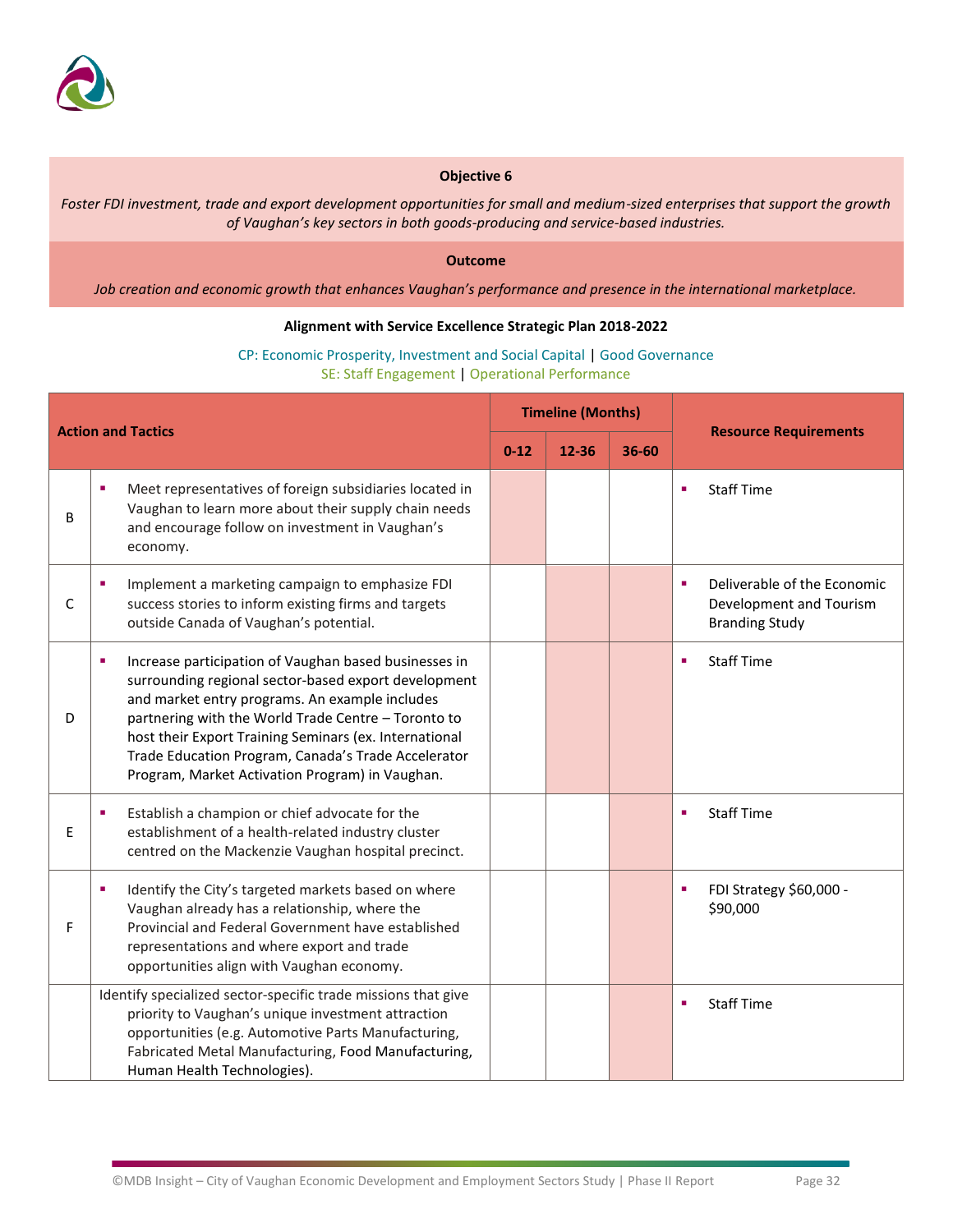

*Foster FDI investment, trade and export development opportunities for small and medium-sized enterprises that support the growth of Vaughan's key sectors in both goods-producing and service-based industries.*

### **Outcome**

*Job creation and economic growth that enhances Vaughan's performance and presence in the international marketplace.*

### **Alignment with Service Excellence Strategic Plan 2018-2022**

| <b>Action and Tactics</b> |                                                                                                                                                                                                                                                                                                                                                                                                 | <b>Timeline (Months)</b> |       |           |   |                                                                                 |
|---------------------------|-------------------------------------------------------------------------------------------------------------------------------------------------------------------------------------------------------------------------------------------------------------------------------------------------------------------------------------------------------------------------------------------------|--------------------------|-------|-----------|---|---------------------------------------------------------------------------------|
|                           |                                                                                                                                                                                                                                                                                                                                                                                                 | $0 - 12$                 | 12-36 | $36 - 60$ |   | <b>Resource Requirements</b>                                                    |
| B                         | Meet representatives of foreign subsidiaries located in<br>٠<br>Vaughan to learn more about their supply chain needs<br>and encourage follow on investment in Vaughan's<br>economy.                                                                                                                                                                                                             |                          |       |           | ٠ | <b>Staff Time</b>                                                               |
| $\mathsf C$               | Implement a marketing campaign to emphasize FDI<br>success stories to inform existing firms and targets<br>outside Canada of Vaughan's potential.                                                                                                                                                                                                                                               |                          |       |           | ٠ | Deliverable of the Economic<br>Development and Tourism<br><b>Branding Study</b> |
| D                         | Increase participation of Vaughan based businesses in<br>п<br>surrounding regional sector-based export development<br>and market entry programs. An example includes<br>partnering with the World Trade Centre - Toronto to<br>host their Export Training Seminars (ex. International<br>Trade Education Program, Canada's Trade Accelerator<br>Program, Market Activation Program) in Vaughan. |                          |       |           | ٠ | <b>Staff Time</b>                                                               |
| E                         | Establish a champion or chief advocate for the<br>establishment of a health-related industry cluster<br>centred on the Mackenzie Vaughan hospital precinct.                                                                                                                                                                                                                                     |                          |       |           | ٠ | <b>Staff Time</b>                                                               |
| F                         | Identify the City's targeted markets based on where<br>п<br>Vaughan already has a relationship, where the<br>Provincial and Federal Government have established<br>representations and where export and trade<br>opportunities align with Vaughan economy.                                                                                                                                      |                          |       |           | п | FDI Strategy \$60,000 -<br>\$90,000                                             |
|                           | Identify specialized sector-specific trade missions that give<br>priority to Vaughan's unique investment attraction<br>opportunities (e.g. Automotive Parts Manufacturing,<br>Fabricated Metal Manufacturing, Food Manufacturing,<br>Human Health Technologies).                                                                                                                                |                          |       |           | ٠ | <b>Staff Time</b>                                                               |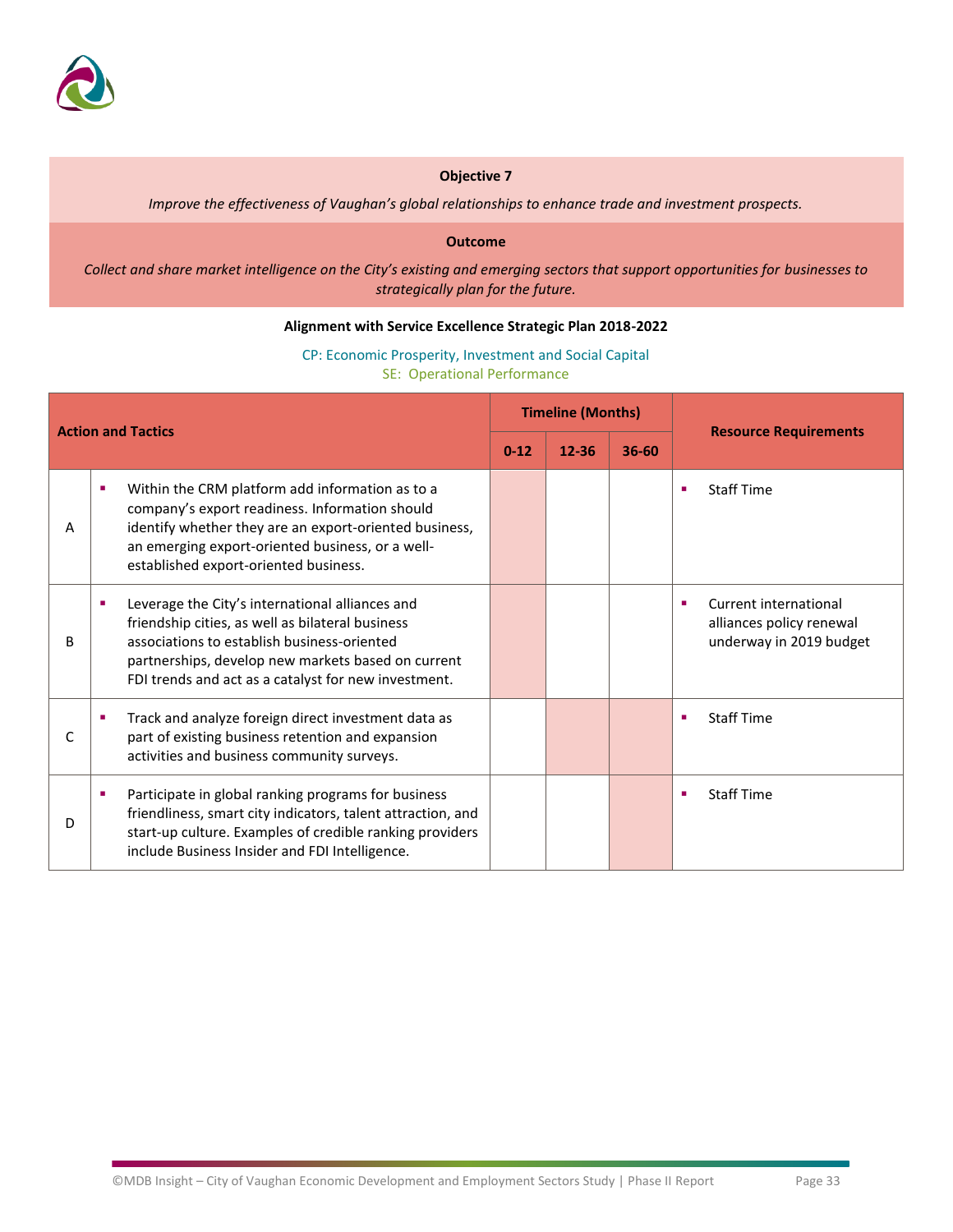

*Improve the effectiveness of Vaughan's global relationships to enhance trade and investment prospects.*

#### **Outcome**

*Collect and share market intelligence on the City's existing and emerging sectors that support opportunities for businesses to strategically plan for the future.*

### **Alignment with Service Excellence Strategic Plan 2018-2022**

CP: Economic Prosperity, Investment and Social Capital SE: Operational Performance

| <b>Action and Tactics</b> |                                                                                                                                                                                                                                                                  | <b>Timeline (Months)</b> |           |       |                                                                              |  |
|---------------------------|------------------------------------------------------------------------------------------------------------------------------------------------------------------------------------------------------------------------------------------------------------------|--------------------------|-----------|-------|------------------------------------------------------------------------------|--|
|                           |                                                                                                                                                                                                                                                                  | $0 - 12$                 | $12 - 36$ | 36-60 | <b>Resource Requirements</b>                                                 |  |
| А                         | Within the CRM platform add information as to a<br>г<br>company's export readiness. Information should<br>identify whether they are an export-oriented business,<br>an emerging export-oriented business, or a well-<br>established export-oriented business.    |                          |           |       | <b>Staff Time</b>                                                            |  |
| B                         | Leverage the City's international alliances and<br>friendship cities, as well as bilateral business<br>associations to establish business-oriented<br>partnerships, develop new markets based on current<br>FDI trends and act as a catalyst for new investment. |                          |           |       | Current international<br>alliances policy renewal<br>underway in 2019 budget |  |
| C                         | Track and analyze foreign direct investment data as<br>part of existing business retention and expansion<br>activities and business community surveys.                                                                                                           |                          |           |       | <b>Staff Time</b>                                                            |  |
| D                         | Participate in global ranking programs for business<br>friendliness, smart city indicators, talent attraction, and<br>start-up culture. Examples of credible ranking providers<br>include Business Insider and FDI Intelligence.                                 |                          |           |       | <b>Staff Time</b>                                                            |  |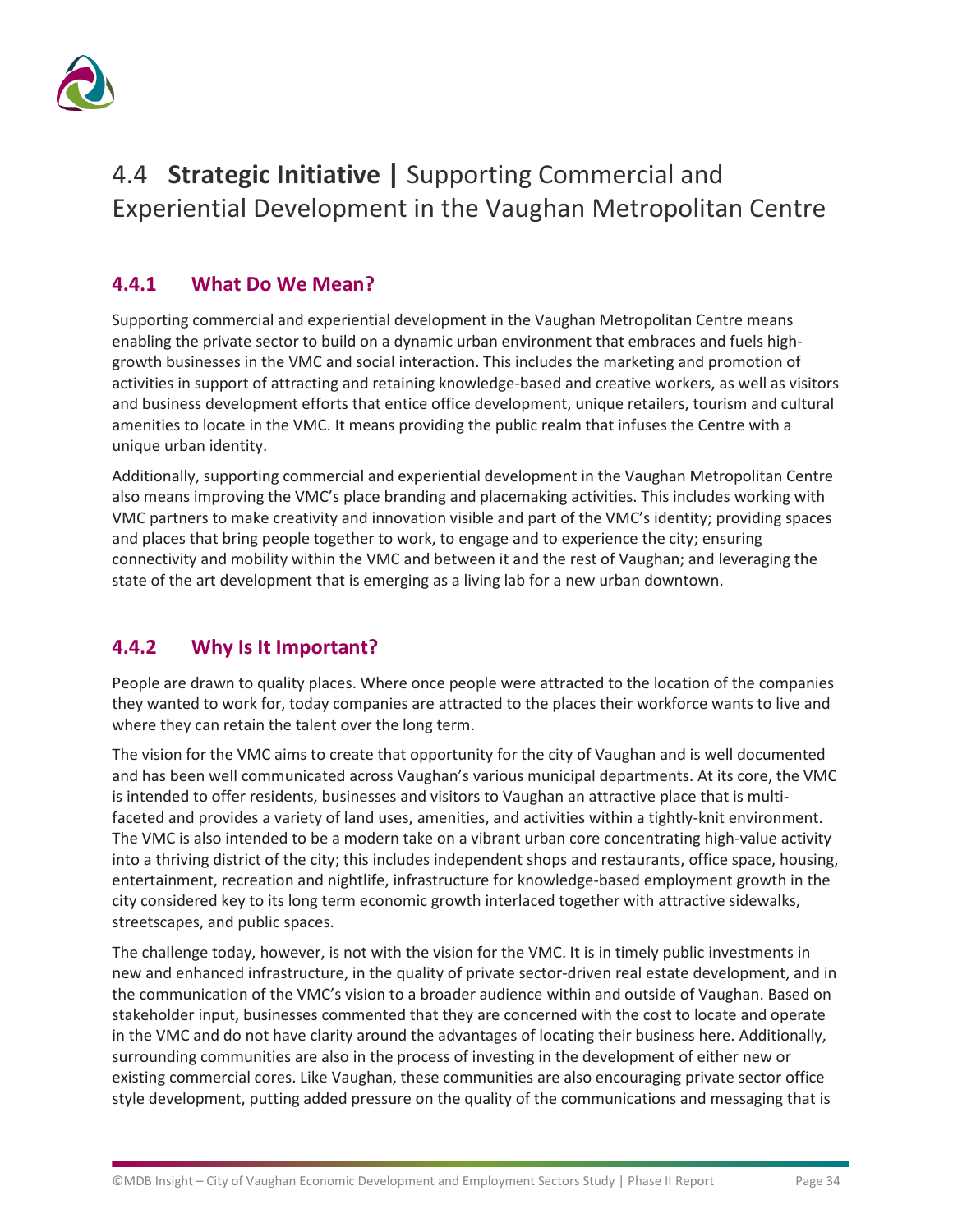

# <span id="page-35-0"></span>4.4 **Strategic Initiative |** Supporting Commercial and Experiential Development in the Vaughan Metropolitan Centre

### **4.4.1 What Do We Mean?**

Supporting commercial and experiential development in the Vaughan Metropolitan Centre means enabling the private sector to build on a dynamic urban environment that embraces and fuels highgrowth businesses in the VMC and social interaction. This includes the marketing and promotion of activities in support of attracting and retaining knowledge-based and creative workers, as well as visitors and business development efforts that entice office development, unique retailers, tourism and cultural amenities to locate in the VMC. It means providing the public realm that infuses the Centre with a unique urban identity.

Additionally, supporting commercial and experiential development in the Vaughan Metropolitan Centre also means improving the VMC's place branding and placemaking activities. This includes working with VMC partners to make creativity and innovation visible and part of the VMC's identity; providing spaces and places that bring people together to work, to engage and to experience the city; ensuring connectivity and mobility within the VMC and between it and the rest of Vaughan; and leveraging the state of the art development that is emerging as a living lab for a new urban downtown.

### **4.4.2 Why Is It Important?**

People are drawn to quality places. Where once people were attracted to the location of the companies they wanted to work for, today companies are attracted to the places their workforce wants to live and where they can retain the talent over the long term.

The vision for the VMC aims to create that opportunity for the city of Vaughan and is well documented and has been well communicated across Vaughan's various municipal departments. At its core, the VMC is intended to offer residents, businesses and visitors to Vaughan an attractive place that is multifaceted and provides a variety of land uses, amenities, and activities within a tightly-knit environment. The VMC is also intended to be a modern take on a vibrant urban core concentrating high-value activity into a thriving district of the city; this includes independent shops and restaurants, office space, housing, entertainment, recreation and nightlife, infrastructure for knowledge-based employment growth in the city considered key to its long term economic growth interlaced together with attractive sidewalks, streetscapes, and public spaces.

The challenge today, however, is not with the vision for the VMC. It is in timely public investments in new and enhanced infrastructure, in the quality of private sector-driven real estate development, and in the communication of the VMC's vision to a broader audience within and outside of Vaughan. Based on stakeholder input, businesses commented that they are concerned with the cost to locate and operate in the VMC and do not have clarity around the advantages of locating their business here. Additionally, surrounding communities are also in the process of investing in the development of either new or existing commercial cores. Like Vaughan, these communities are also encouraging private sector office style development, putting added pressure on the quality of the communications and messaging that is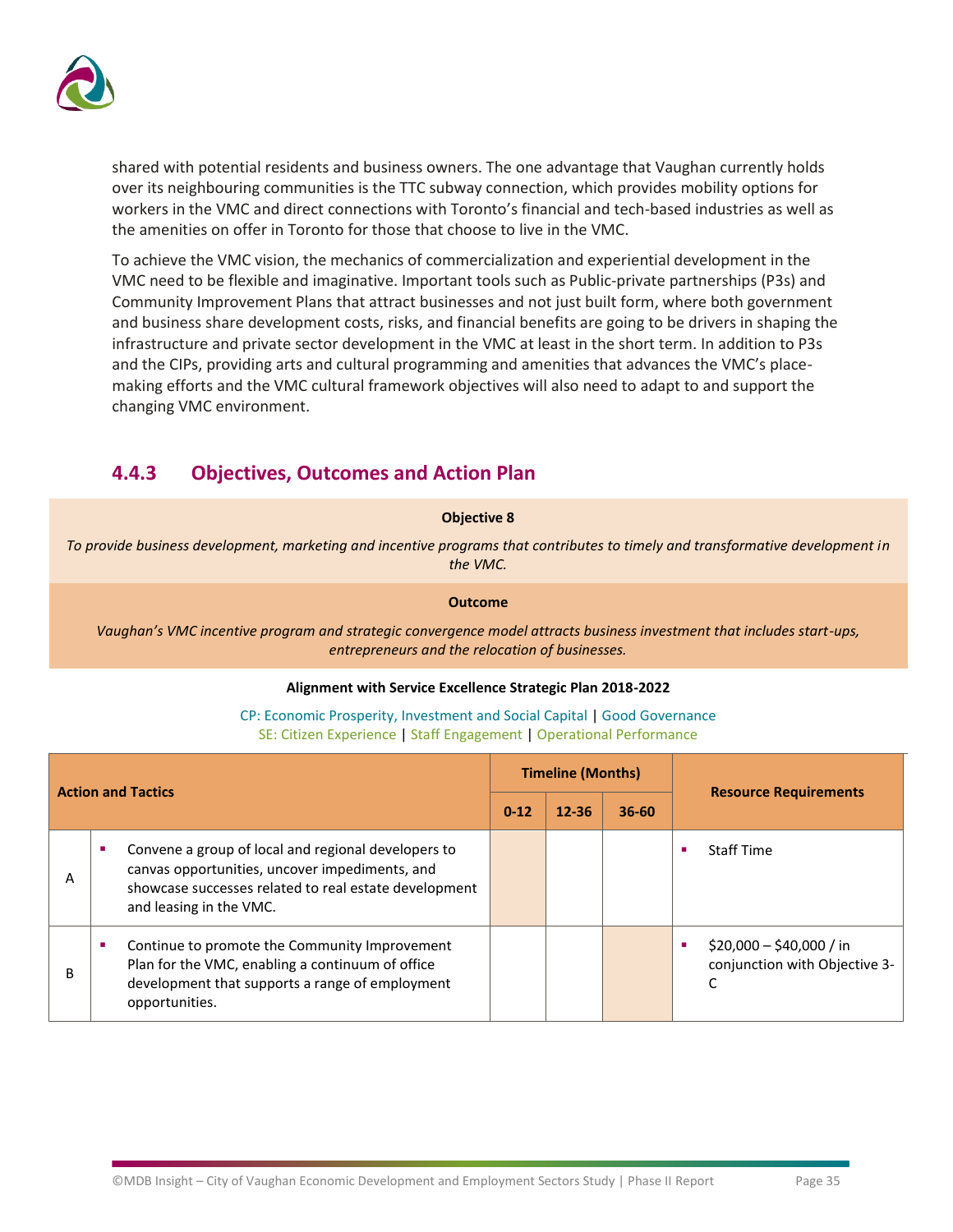

shared with potential residents and business owners. The one advantage that Vaughan currently holds over its neighbouring communities is the TTC subway connection, which provides mobility options for workers in the VMC and direct connections with Toronto's financial and tech-based industries as well as the amenities on offer in Toronto for those that choose to live in the VMC.

To achieve the VMC vision, the mechanics of commercialization and experiential development in the VMC need to be flexible and imaginative. Important tools such as Public-private partnerships (P3s) and Community Improvement Plans that attract businesses and not just built form, where both government and business share development costs, risks, and financial benefits are going to be drivers in shaping the infrastructure and private sector development in the VMC at least in the short term. In addition to P3s and the CIPs, providing arts and cultural programming and amenities that advances the VMC's placemaking efforts and the VMC cultural framework objectives will also need to adapt to and support the changing VMC environment.

### **4.4.3 Objectives, Outcomes and Action Plan**

### **Objective 8**

*To provide business development, marketing and incentive programs that contributes to timely and transformative development in the VMC.*

### **Outcome**

*Vaughan's VMC incentive program and strategic convergence model attracts business investment that includes start-ups, entrepreneurs and the relocation of businesses.*

### **Alignment with Service Excellence Strategic Plan 2018-2022**

| <b>Action and Tactics</b> |                                                                                                                                                                                           | <b>Timeline (Months)</b> |           |           |                                                                |  |
|---------------------------|-------------------------------------------------------------------------------------------------------------------------------------------------------------------------------------------|--------------------------|-----------|-----------|----------------------------------------------------------------|--|
|                           |                                                                                                                                                                                           | $0 - 12$                 | $12 - 36$ | $36 - 60$ | <b>Resource Requirements</b>                                   |  |
| А                         | Convene a group of local and regional developers to<br>canvas opportunities, uncover impediments, and<br>showcase successes related to real estate development<br>and leasing in the VMC. |                          |           |           | <b>Staff Time</b>                                              |  |
| B                         | Continue to promote the Community Improvement<br>Plan for the VMC, enabling a continuum of office<br>development that supports a range of employment<br>opportunities.                    |                          |           |           | $$20,000 - $40,000 / in$<br>ш<br>conjunction with Objective 3- |  |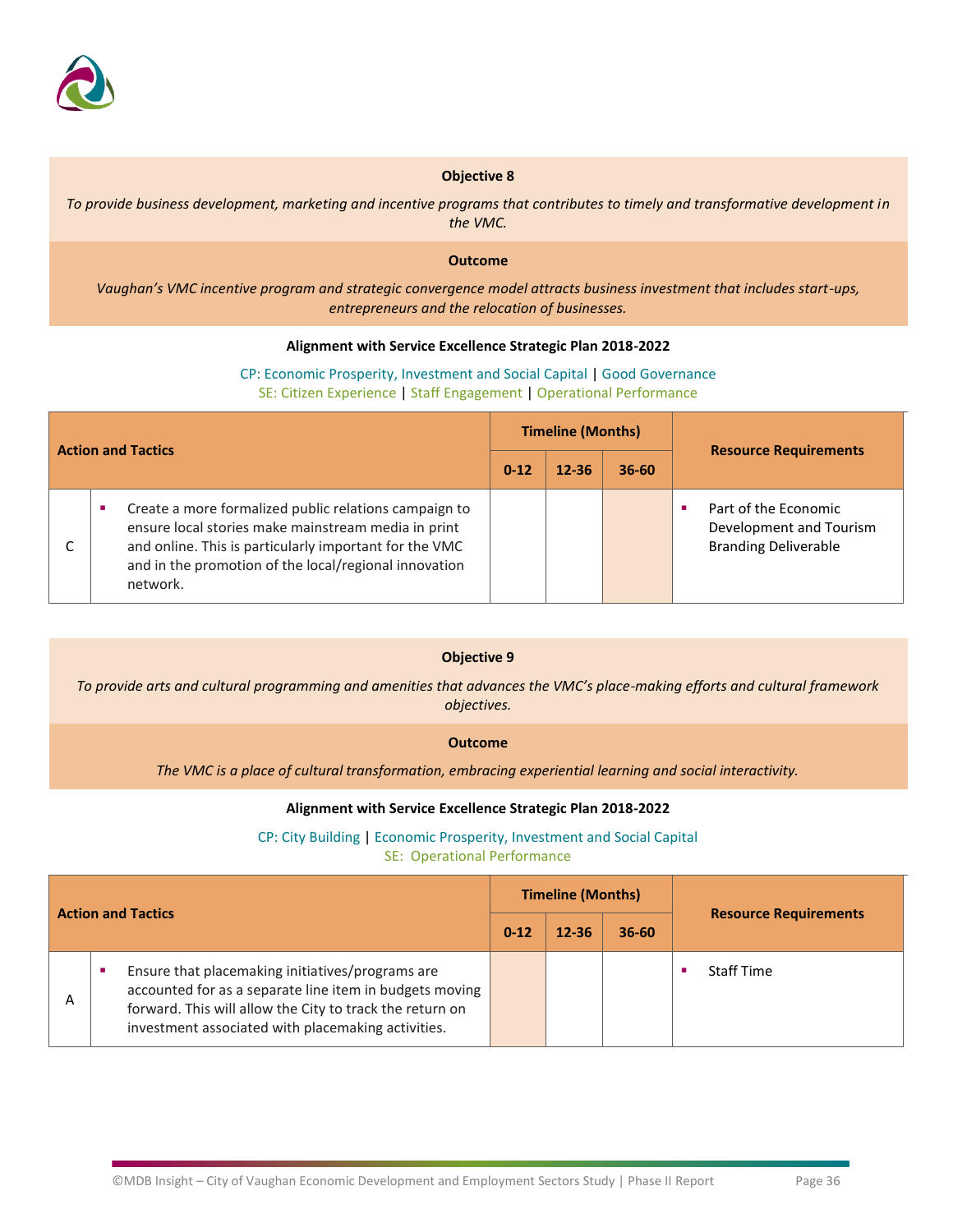

*To provide business development, marketing and incentive programs that contributes to timely and transformative development in the VMC.*

### **Outcome**

*Vaughan's VMC incentive program and strategic convergence model attracts business investment that includes start-ups, entrepreneurs and the relocation of businesses.*

#### **Alignment with Service Excellence Strategic Plan 2018-2022**

### CP: Economic Prosperity, Investment and Social Capital | Good Governance SE: Citizen Experience | Staff Engagement | Operational Performance

| <b>Action and Tactics</b> |                                                                                                                                                                                                                                             | <b>Timeline (Months)</b> |           |           |                                                                                |  |
|---------------------------|---------------------------------------------------------------------------------------------------------------------------------------------------------------------------------------------------------------------------------------------|--------------------------|-----------|-----------|--------------------------------------------------------------------------------|--|
|                           |                                                                                                                                                                                                                                             | $0 - 12$                 | $12 - 36$ | $36 - 60$ | <b>Resource Requirements</b>                                                   |  |
|                           | Create a more formalized public relations campaign to<br>ensure local stories make mainstream media in print<br>and online. This is particularly important for the VMC<br>and in the promotion of the local/regional innovation<br>network. |                          |           |           | Part of the Economic<br>Development and Tourism<br><b>Branding Deliverable</b> |  |

### **Objective 9**

*To provide arts and cultural programming and amenities that advances the VMC's place-making efforts and cultural framework objectives.*

#### **Outcome**

*The VMC is a place of cultural transformation, embracing experiential learning and social interactivity.*

#### **Alignment with Service Excellence Strategic Plan 2018-2022**

### CP: City Building | Economic Prosperity, Investment and Social Capital

SE: Operational Performance

| <b>Action and Tactics</b> |                                                                                                                                                                                                                               | <b>Timeline (Months)</b> |           |           | <b>Resource Requirements</b> |                   |
|---------------------------|-------------------------------------------------------------------------------------------------------------------------------------------------------------------------------------------------------------------------------|--------------------------|-----------|-----------|------------------------------|-------------------|
|                           |                                                                                                                                                                                                                               | $0 - 12$                 | $12 - 36$ | $36 - 60$ |                              |                   |
| A                         | Ensure that placemaking initiatives/programs are<br>accounted for as a separate line item in budgets moving<br>forward. This will allow the City to track the return on<br>investment associated with placemaking activities. |                          |           |           |                              | <b>Staff Time</b> |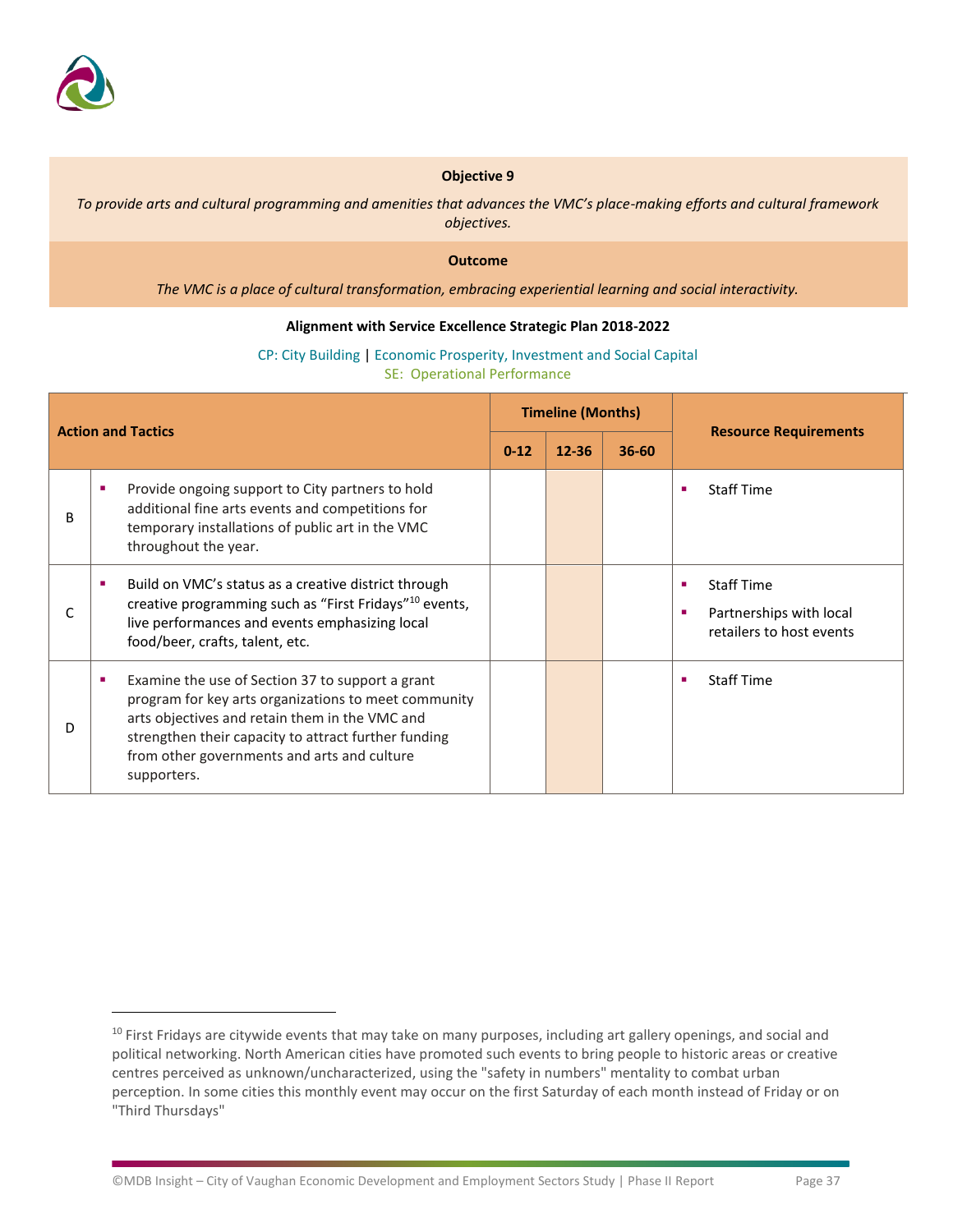

*To provide arts and cultural programming and amenities that advances the VMC's place-making efforts and cultural framework objectives.*

#### **Outcome**

*The VMC is a place of cultural transformation, embracing experiential learning and social interactivity.*

#### **Alignment with Service Excellence Strategic Plan 2018-2022**

| <b>Action and Tactics</b> |                                                                                                                                                                                                                                                                                       | <b>Timeline (Months)</b> |           |           |                                                                               |
|---------------------------|---------------------------------------------------------------------------------------------------------------------------------------------------------------------------------------------------------------------------------------------------------------------------------------|--------------------------|-----------|-----------|-------------------------------------------------------------------------------|
|                           |                                                                                                                                                                                                                                                                                       | $0 - 12$                 | $12 - 36$ | $36 - 60$ | <b>Resource Requirements</b>                                                  |
| B                         | Provide ongoing support to City partners to hold<br>п<br>additional fine arts events and competitions for<br>temporary installations of public art in the VMC<br>throughout the year.                                                                                                 |                          |           |           | <b>Staff Time</b><br>п                                                        |
| C                         | Build on VMC's status as a creative district through<br><b>CO</b><br>creative programming such as "First Fridays" <sup>10</sup> events,<br>live performances and events emphasizing local<br>food/beer, crafts, talent, etc.                                                          |                          |           |           | <b>Staff Time</b><br>Partnerships with local<br>п<br>retailers to host events |
| D                         | Examine the use of Section 37 to support a grant<br>ш<br>program for key arts organizations to meet community<br>arts objectives and retain them in the VMC and<br>strengthen their capacity to attract further funding<br>from other governments and arts and culture<br>supporters. |                          |           |           | <b>Staff Time</b>                                                             |

CP: City Building | Economic Prosperity, Investment and Social Capital SE: Operational Performance

 $10$  First Fridays are citywide events that may take on many purposes, including art gallery openings, and social and political networking. North American cities have promoted such events to bring people to historic areas or creative centres perceived as unknown/uncharacterized, using the "safety in numbers" mentality to combat urban perception. In some cities this monthly event may occur on the first Saturday of each month instead of Friday or on "Third Thursdays"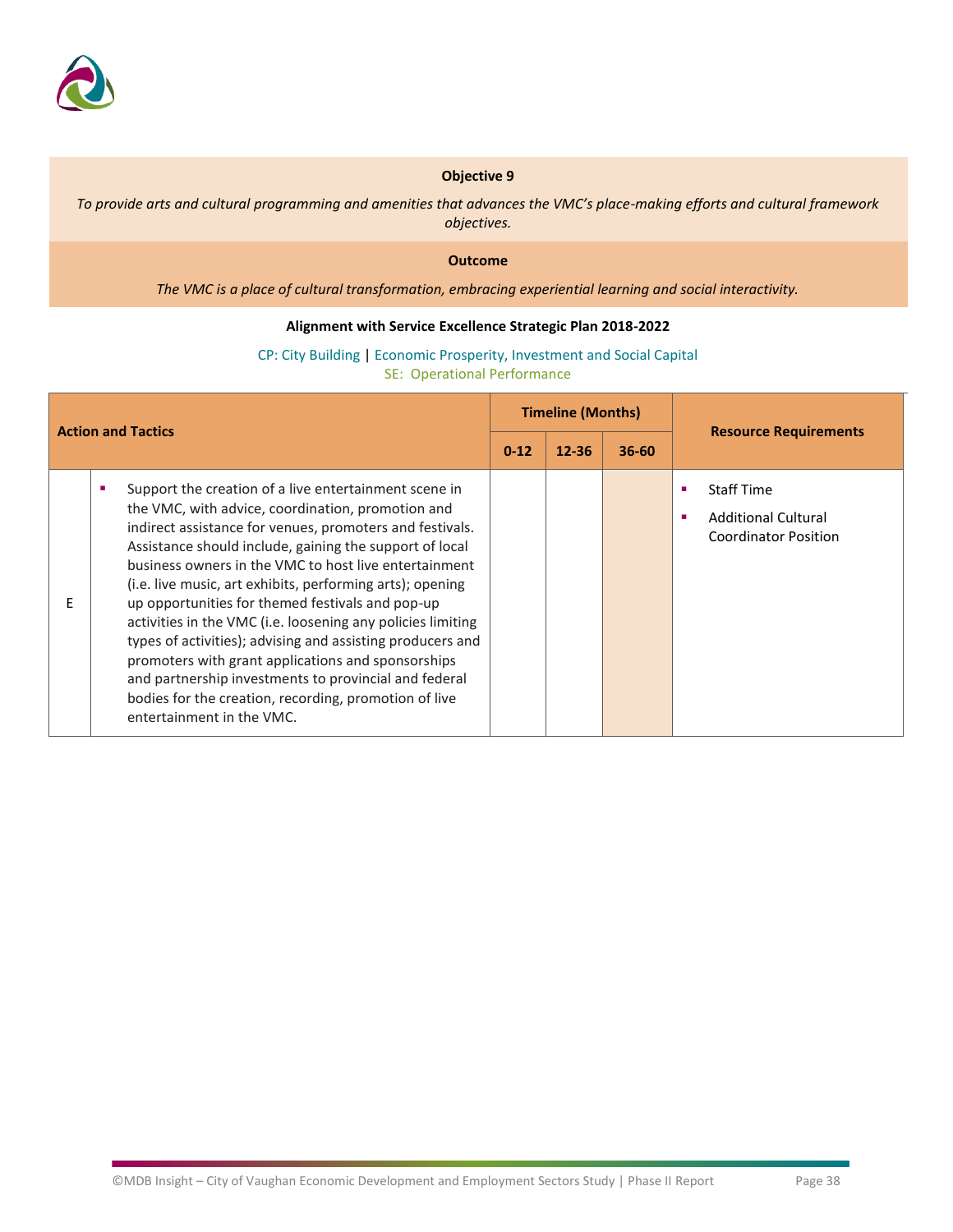

*To provide arts and cultural programming and amenities that advances the VMC's place-making efforts and cultural framework objectives.*

### **Outcome**

*The VMC is a place of cultural transformation, embracing experiential learning and social interactivity.*

### **Alignment with Service Excellence Strategic Plan 2018-2022**

CP: City Building | Economic Prosperity, Investment and Social Capital SE: Operational Performance

| <b>Action and Tactics</b> |                                                                                                                                                                                                                                                                                                                                                                                                                                                                                                                                                                                                                                                                                                                                               | <b>Timeline (Months)</b> |           |           |                                                                                     |
|---------------------------|-----------------------------------------------------------------------------------------------------------------------------------------------------------------------------------------------------------------------------------------------------------------------------------------------------------------------------------------------------------------------------------------------------------------------------------------------------------------------------------------------------------------------------------------------------------------------------------------------------------------------------------------------------------------------------------------------------------------------------------------------|--------------------------|-----------|-----------|-------------------------------------------------------------------------------------|
|                           |                                                                                                                                                                                                                                                                                                                                                                                                                                                                                                                                                                                                                                                                                                                                               | $0 - 12$                 | $12 - 36$ | $36 - 60$ | <b>Resource Requirements</b>                                                        |
| F                         | Support the creation of a live entertainment scene in<br>the VMC, with advice, coordination, promotion and<br>indirect assistance for venues, promoters and festivals.<br>Assistance should include, gaining the support of local<br>business owners in the VMC to host live entertainment<br>(i.e. live music, art exhibits, performing arts); opening<br>up opportunities for themed festivals and pop-up<br>activities in the VMC (i.e. loosening any policies limiting<br>types of activities); advising and assisting producers and<br>promoters with grant applications and sponsorships<br>and partnership investments to provincial and federal<br>bodies for the creation, recording, promotion of live<br>entertainment in the VMC. |                          |           |           | <b>Staff Time</b><br><b>Additional Cultural</b><br>٠<br><b>Coordinator Position</b> |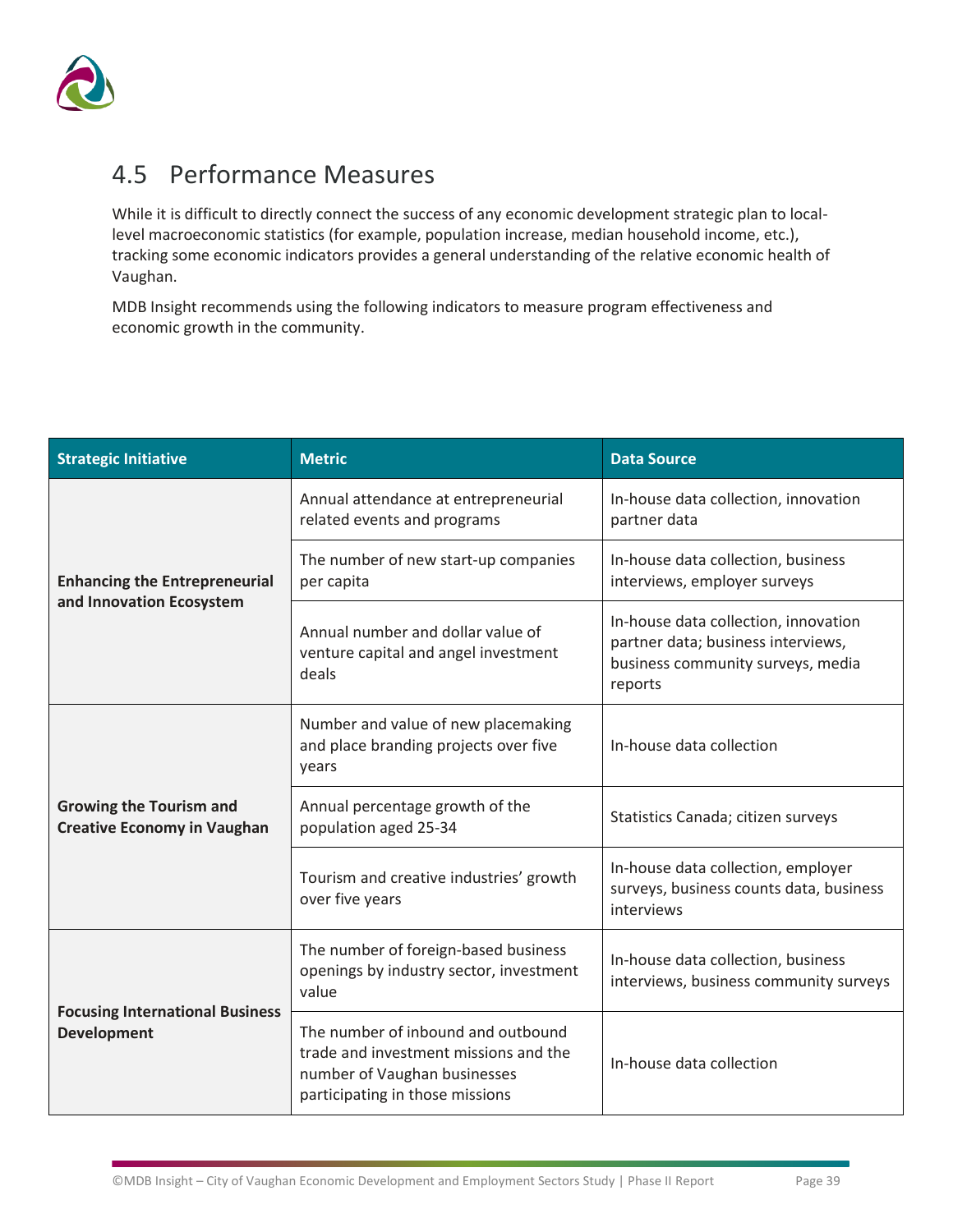

# <span id="page-40-0"></span>4.5 Performance Measures

While it is difficult to directly connect the success of any economic development strategic plan to locallevel macroeconomic statistics (for example, population increase, median household income, etc.), tracking some economic indicators provides a general understanding of the relative economic health of Vaughan.

MDB Insight recommends using the following indicators to measure program effectiveness and economic growth in the community.

| <b>Strategic Initiative</b>                                          | <b>Metric</b>                                                                                                                                  | <b>Data Source</b>                                                                                                         |
|----------------------------------------------------------------------|------------------------------------------------------------------------------------------------------------------------------------------------|----------------------------------------------------------------------------------------------------------------------------|
|                                                                      | Annual attendance at entrepreneurial<br>related events and programs                                                                            | In-house data collection, innovation<br>partner data                                                                       |
| <b>Enhancing the Entrepreneurial</b><br>and Innovation Ecosystem     | The number of new start-up companies<br>per capita                                                                                             | In-house data collection, business<br>interviews, employer surveys                                                         |
|                                                                      | Annual number and dollar value of<br>venture capital and angel investment<br>deals                                                             | In-house data collection, innovation<br>partner data; business interviews,<br>business community surveys, media<br>reports |
|                                                                      | Number and value of new placemaking<br>and place branding projects over five<br>years                                                          | In-house data collection                                                                                                   |
| <b>Growing the Tourism and</b><br><b>Creative Economy in Vaughan</b> | Annual percentage growth of the<br>population aged 25-34                                                                                       | Statistics Canada; citizen surveys                                                                                         |
|                                                                      | Tourism and creative industries' growth<br>over five years                                                                                     | In-house data collection, employer<br>surveys, business counts data, business<br>interviews                                |
|                                                                      | The number of foreign-based business<br>openings by industry sector, investment<br>value                                                       | In-house data collection, business<br>interviews, business community surveys                                               |
| <b>Focusing International Business</b><br><b>Development</b>         | The number of inbound and outbound<br>trade and investment missions and the<br>number of Vaughan businesses<br>participating in those missions | In-house data collection                                                                                                   |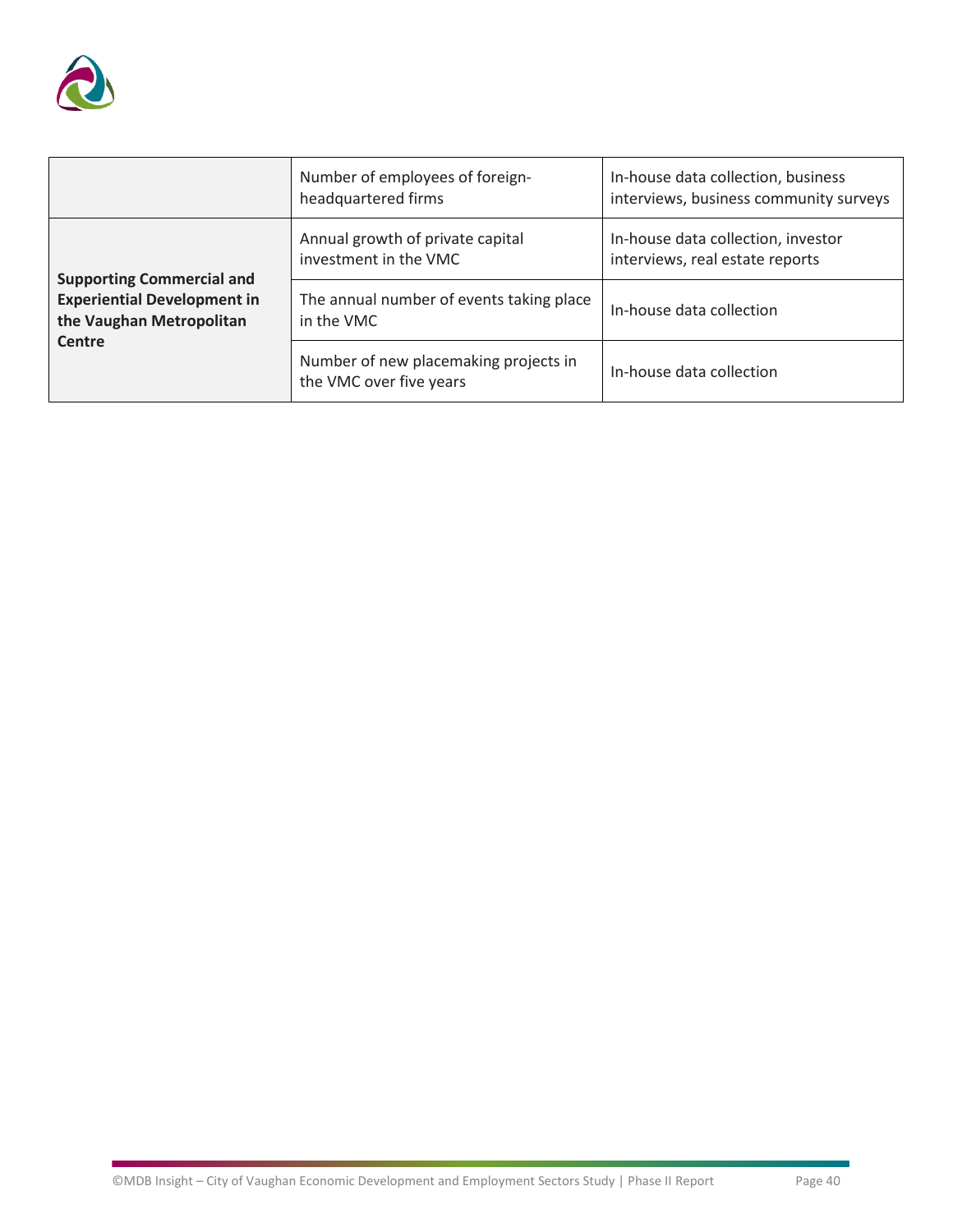

|                                                                                                    | Number of employees of foreign-<br>headquartered firms           | In-house data collection, business<br>interviews, business community surveys |
|----------------------------------------------------------------------------------------------------|------------------------------------------------------------------|------------------------------------------------------------------------------|
|                                                                                                    | Annual growth of private capital<br>investment in the VMC        | In-house data collection, investor<br>interviews, real estate reports        |
| <b>Supporting Commercial and</b><br><b>Experiential Development in</b><br>the Vaughan Metropolitan | The annual number of events taking place<br>in the VMC           | In-house data collection                                                     |
| Centre                                                                                             | Number of new placemaking projects in<br>the VMC over five years | In-house data collection                                                     |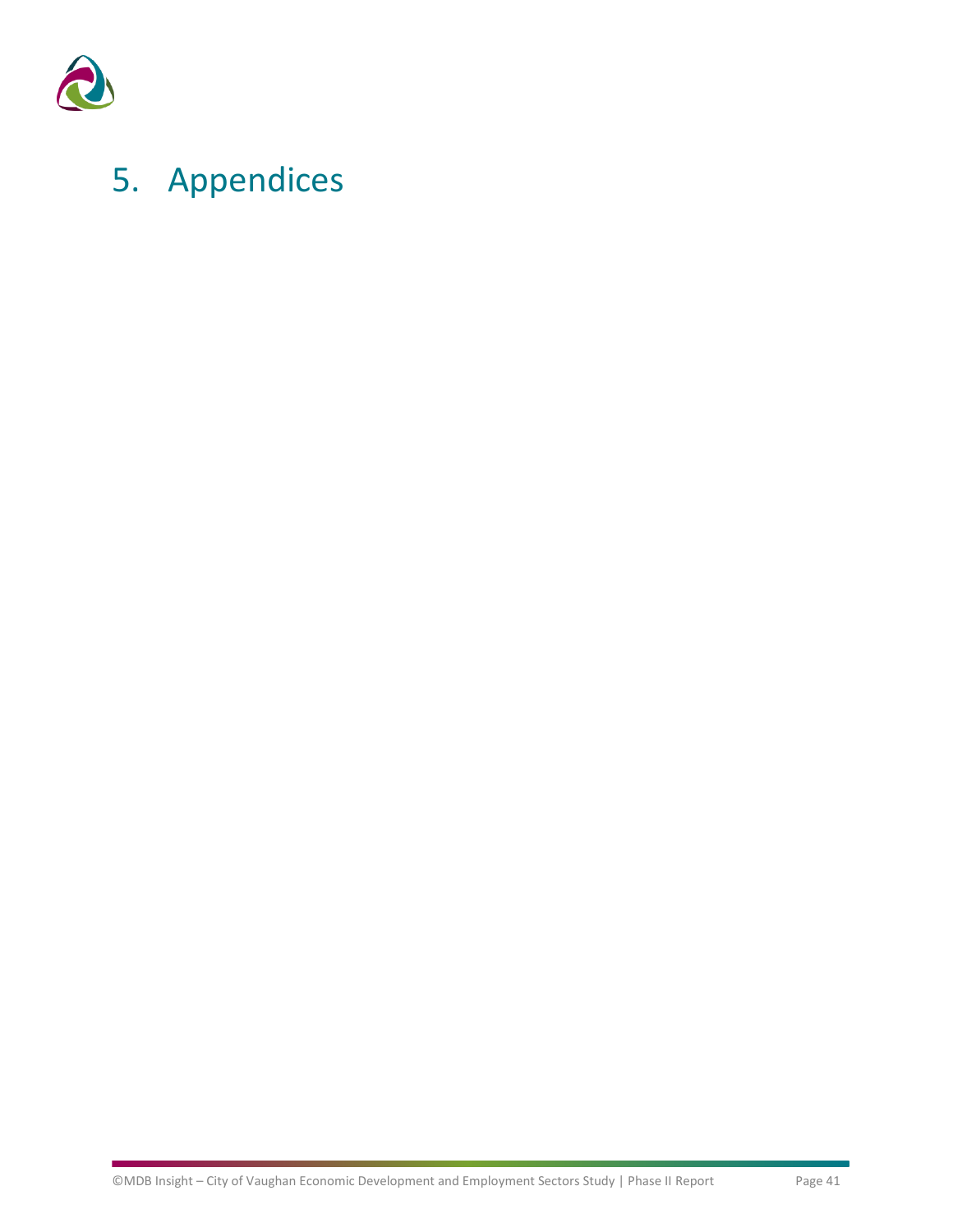

# <span id="page-42-0"></span>5. Appendices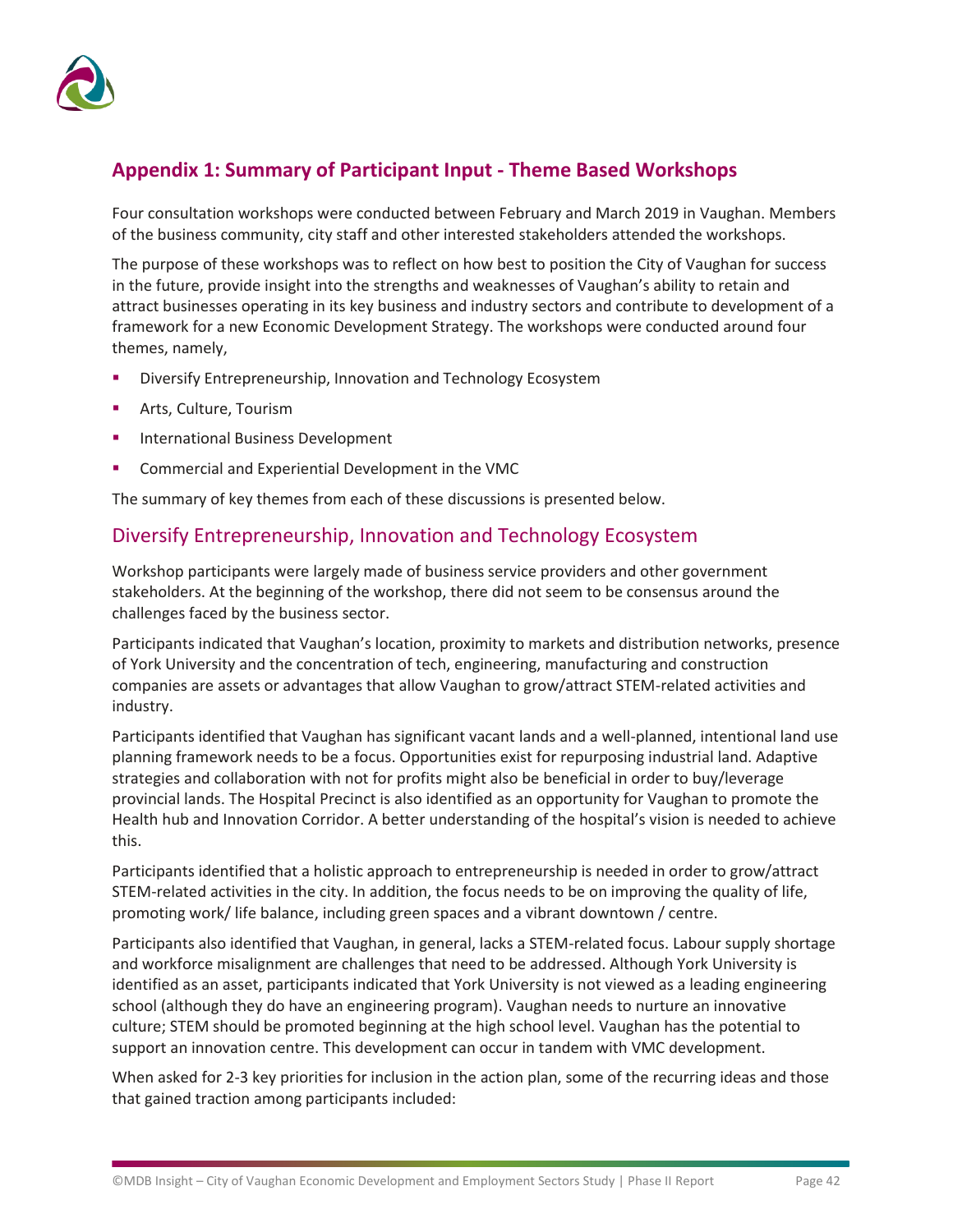

### **Appendix 1: Summary of Participant Input - Theme Based Workshops**

Four consultation workshops were conducted between February and March 2019 in Vaughan. Members of the business community, city staff and other interested stakeholders attended the workshops.

The purpose of these workshops was to reflect on how best to position the City of Vaughan for success in the future, provide insight into the strengths and weaknesses of Vaughan's ability to retain and attract businesses operating in its key business and industry sectors and contribute to development of a framework for a new Economic Development Strategy. The workshops were conducted around four themes, namely,

- Diversify Entrepreneurship, Innovation and Technology Ecosystem
- Arts, Culture, Tourism
- **International Business Development**
- Commercial and Experiential Development in the VMC

The summary of key themes from each of these discussions is presented below.

### Diversify Entrepreneurship, Innovation and Technology Ecosystem

Workshop participants were largely made of business service providers and other government stakeholders. At the beginning of the workshop, there did not seem to be consensus around the challenges faced by the business sector.

Participants indicated that Vaughan's location, proximity to markets and distribution networks, presence of York University and the concentration of tech, engineering, manufacturing and construction companies are assets or advantages that allow Vaughan to grow/attract STEM-related activities and industry.

Participants identified that Vaughan has significant vacant lands and a well-planned, intentional land use planning framework needs to be a focus. Opportunities exist for repurposing industrial land. Adaptive strategies and collaboration with not for profits might also be beneficial in order to buy/leverage provincial lands. The Hospital Precinct is also identified as an opportunity for Vaughan to promote the Health hub and Innovation Corridor. A better understanding of the hospital's vision is needed to achieve this.

Participants identified that a holistic approach to entrepreneurship is needed in order to grow/attract STEM-related activities in the city. In addition, the focus needs to be on improving the quality of life, promoting work/ life balance, including green spaces and a vibrant downtown / centre.

Participants also identified that Vaughan, in general, lacks a STEM-related focus. Labour supply shortage and workforce misalignment are challenges that need to be addressed. Although York University is identified as an asset, participants indicated that York University is not viewed as a leading engineering school (although they do have an engineering program). Vaughan needs to nurture an innovative culture; STEM should be promoted beginning at the high school level. Vaughan has the potential to support an innovation centre. This development can occur in tandem with VMC development.

When asked for 2-3 key priorities for inclusion in the action plan, some of the recurring ideas and those that gained traction among participants included: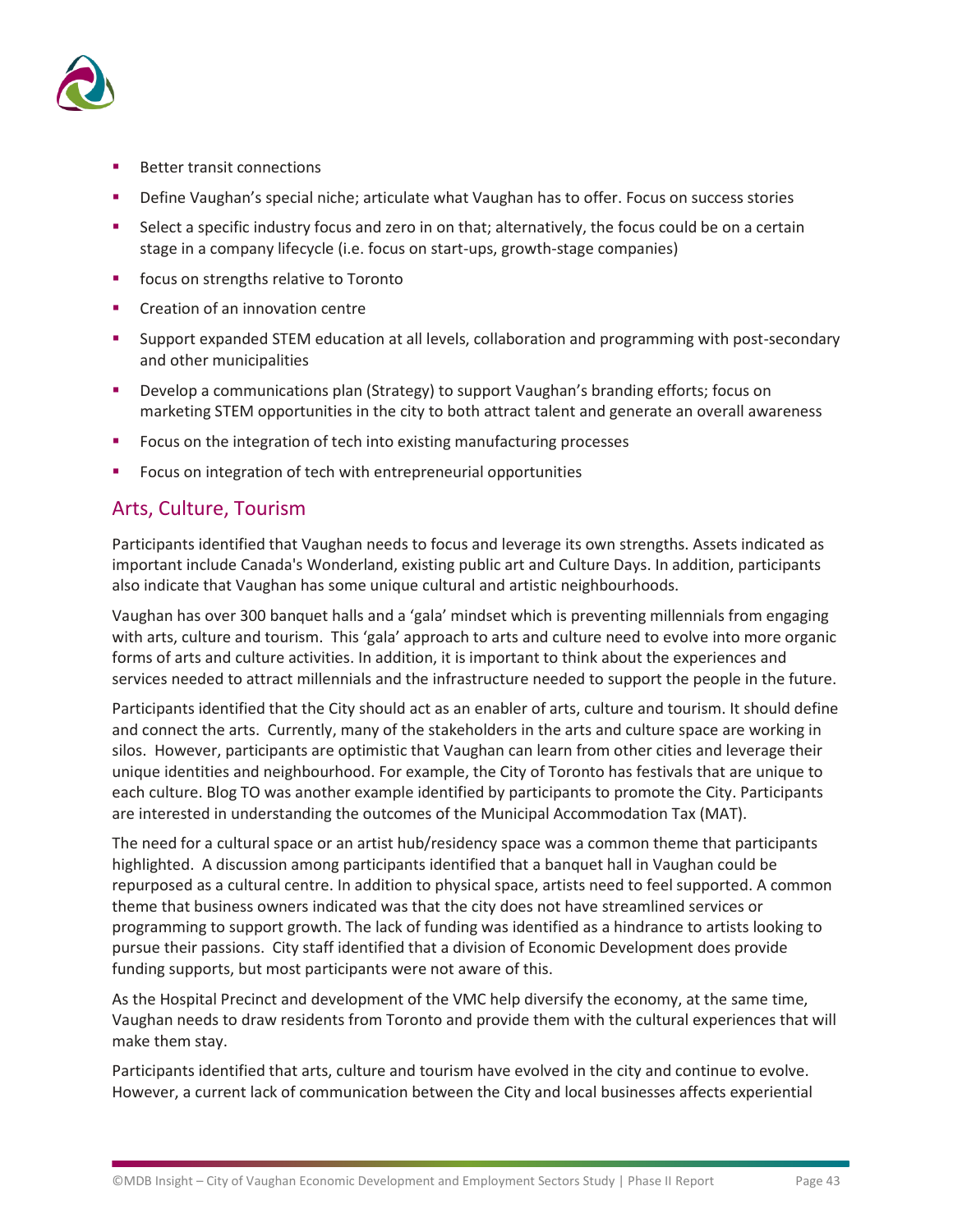

- **Better transit connections**
- Define Vaughan's special niche; articulate what Vaughan has to offer. Focus on success stories
- Select a specific industry focus and zero in on that; alternatively, the focus could be on a certain stage in a company lifecycle (i.e. focus on start-ups, growth-stage companies)
- focus on strengths relative to Toronto
- Creation of an innovation centre
- Support expanded STEM education at all levels, collaboration and programming with post-secondary and other municipalities
- Develop a communications plan (Strategy) to support Vaughan's branding efforts; focus on marketing STEM opportunities in the city to both attract talent and generate an overall awareness
- Focus on the integration of tech into existing manufacturing processes
- Focus on integration of tech with entrepreneurial opportunities

### Arts, Culture, Tourism

Participants identified that Vaughan needs to focus and leverage its own strengths. Assets indicated as important include Canada's Wonderland, existing public art and Culture Days. In addition, participants also indicate that Vaughan has some unique cultural and artistic neighbourhoods.

Vaughan has over 300 banquet halls and a 'gala' mindset which is preventing millennials from engaging with arts, culture and tourism. This 'gala' approach to arts and culture need to evolve into more organic forms of arts and culture activities. In addition, it is important to think about the experiences and services needed to attract millennials and the infrastructure needed to support the people in the future.

Participants identified that the City should act as an enabler of arts, culture and tourism. It should define and connect the arts. Currently, many of the stakeholders in the arts and culture space are working in silos. However, participants are optimistic that Vaughan can learn from other cities and leverage their unique identities and neighbourhood. For example, the City of Toronto has festivals that are unique to each culture. Blog TO was another example identified by participants to promote the City. Participants are interested in understanding the outcomes of the Municipal Accommodation Tax (MAT).

The need for a cultural space or an artist hub/residency space was a common theme that participants highlighted. A discussion among participants identified that a banquet hall in Vaughan could be repurposed as a cultural centre. In addition to physical space, artists need to feel supported. A common theme that business owners indicated was that the city does not have streamlined services or programming to support growth. The lack of funding was identified as a hindrance to artists looking to pursue their passions. City staff identified that a division of Economic Development does provide funding supports, but most participants were not aware of this.

As the Hospital Precinct and development of the VMC help diversify the economy, at the same time, Vaughan needs to draw residents from Toronto and provide them with the cultural experiences that will make them stay.

Participants identified that arts, culture and tourism have evolved in the city and continue to evolve. However, a current lack of communication between the City and local businesses affects experiential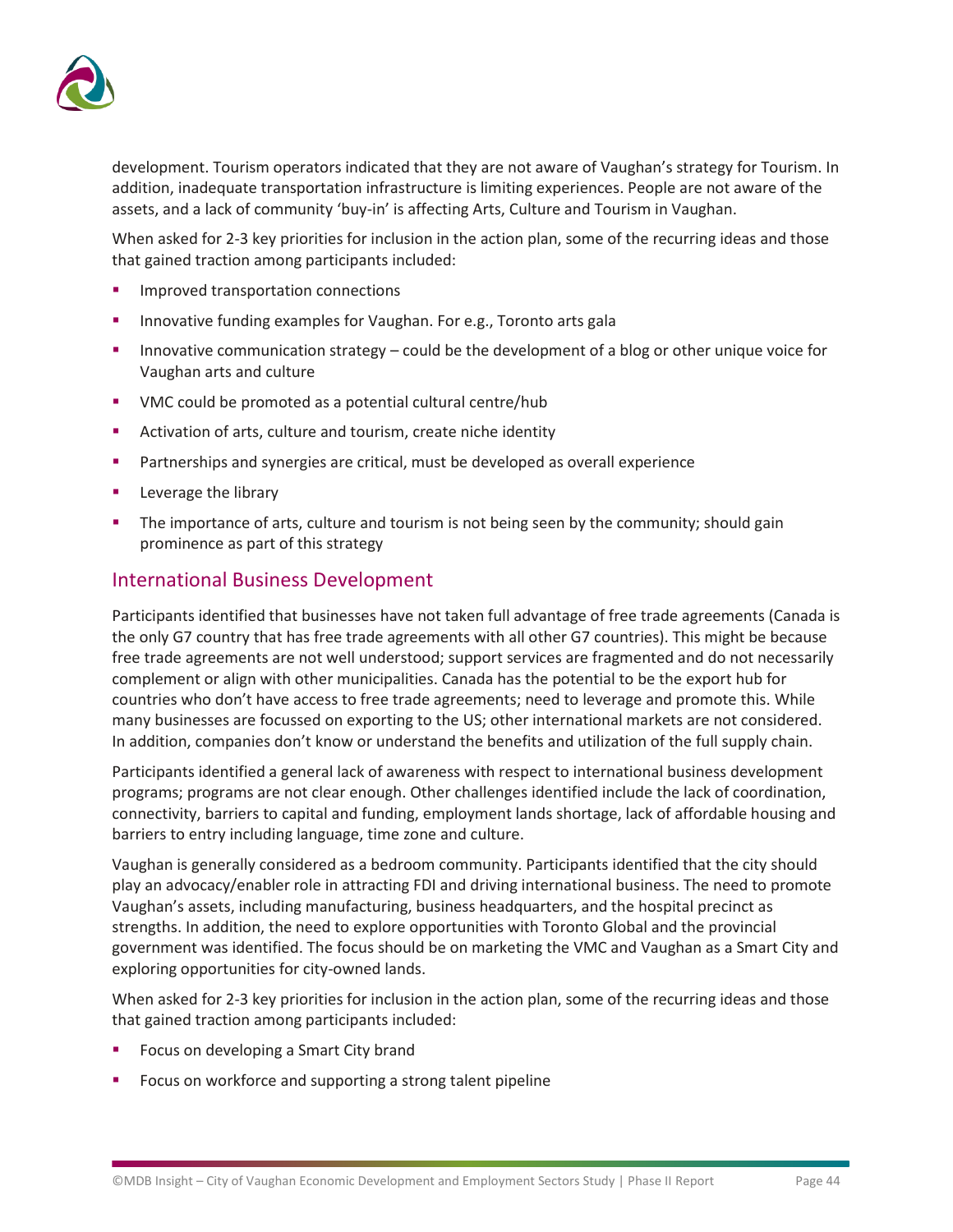

development. Tourism operators indicated that they are not aware of Vaughan's strategy for Tourism. In addition, inadequate transportation infrastructure is limiting experiences. People are not aware of the assets, and a lack of community 'buy-in' is affecting Arts, Culture and Tourism in Vaughan.

When asked for 2-3 key priorities for inclusion in the action plan, some of the recurring ideas and those that gained traction among participants included:

- Improved transportation connections
- Innovative funding examples for Vaughan. For e.g., Toronto arts gala
- Innovative communication strategy could be the development of a blog or other unique voice for Vaughan arts and culture
- VMC could be promoted as a potential cultural centre/hub
- Activation of arts, culture and tourism, create niche identity
- **•** Partnerships and synergies are critical, must be developed as overall experience
- Leverage the library
- The importance of arts, culture and tourism is not being seen by the community; should gain prominence as part of this strategy

### International Business Development

Participants identified that businesses have not taken full advantage of free trade agreements (Canada is the only G7 country that has free trade agreements with all other G7 countries). This might be because free trade agreements are not well understood; support services are fragmented and do not necessarily complement or align with other municipalities. Canada has the potential to be the export hub for countries who don't have access to free trade agreements; need to leverage and promote this. While many businesses are focussed on exporting to the US; other international markets are not considered. In addition, companies don't know or understand the benefits and utilization of the full supply chain.

Participants identified a general lack of awareness with respect to international business development programs; programs are not clear enough. Other challenges identified include the lack of coordination, connectivity, barriers to capital and funding, employment lands shortage, lack of affordable housing and barriers to entry including language, time zone and culture.

Vaughan is generally considered as a bedroom community. Participants identified that the city should play an advocacy/enabler role in attracting FDI and driving international business. The need to promote Vaughan's assets, including manufacturing, business headquarters, and the hospital precinct as strengths. In addition, the need to explore opportunities with Toronto Global and the provincial government was identified. The focus should be on marketing the VMC and Vaughan as a Smart City and exploring opportunities for city-owned lands.

When asked for 2-3 key priorities for inclusion in the action plan, some of the recurring ideas and those that gained traction among participants included:

- Focus on developing a Smart City brand
- Focus on workforce and supporting a strong talent pipeline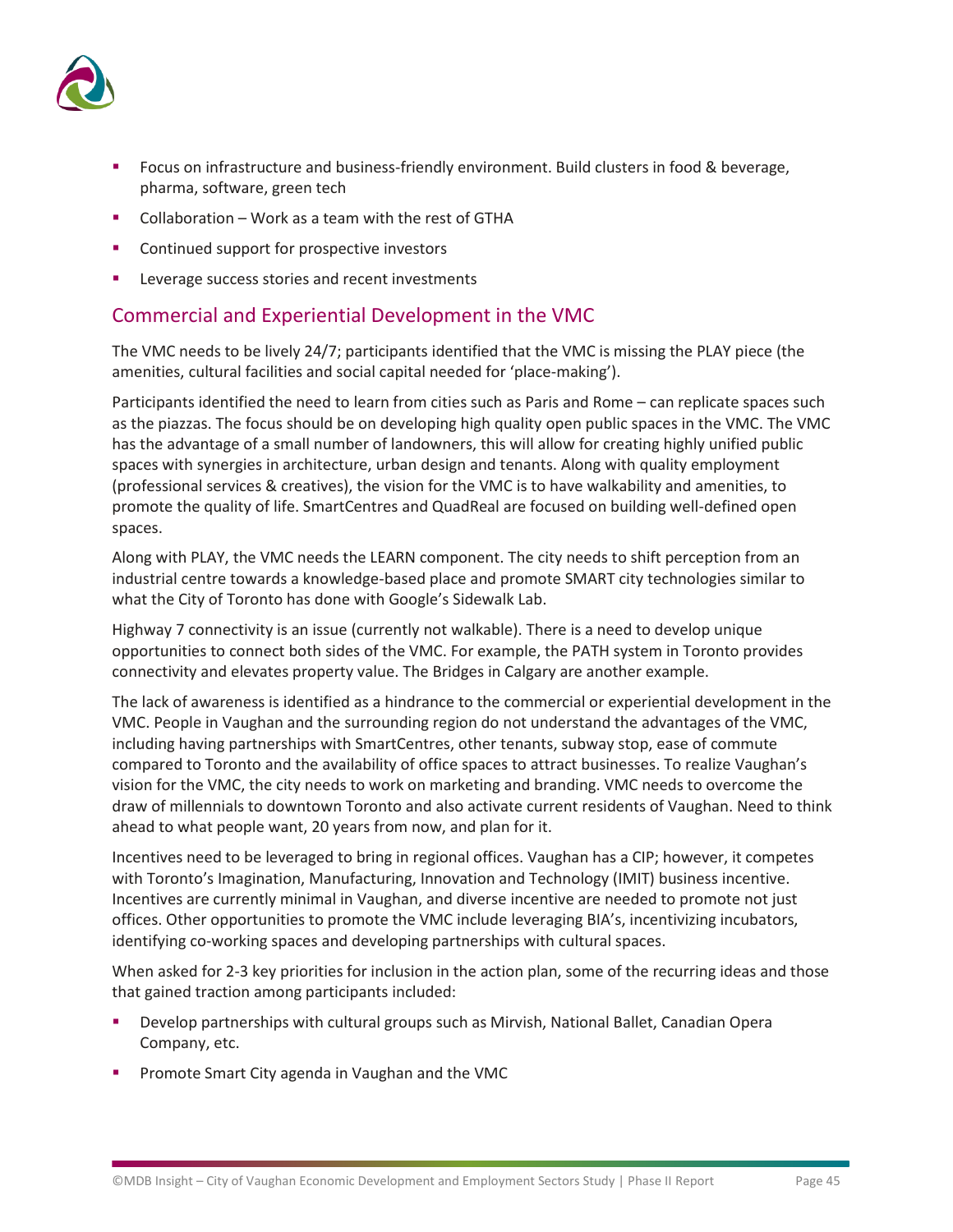

- Focus on infrastructure and business-friendly environment. Build clusters in food & beverage, pharma, software, green tech
- Collaboration Work as a team with the rest of GTHA
- Continued support for prospective investors
- Leverage success stories and recent investments

### Commercial and Experiential Development in the VMC

The VMC needs to be lively 24/7; participants identified that the VMC is missing the PLAY piece (the amenities, cultural facilities and social capital needed for 'place-making').

Participants identified the need to learn from cities such as Paris and Rome – can replicate spaces such as the piazzas. The focus should be on developing high quality open public spaces in the VMC. The VMC has the advantage of a small number of landowners, this will allow for creating highly unified public spaces with synergies in architecture, urban design and tenants. Along with quality employment (professional services & creatives), the vision for the VMC is to have walkability and amenities, to promote the quality of life. SmartCentres and QuadReal are focused on building well-defined open spaces.

Along with PLAY, the VMC needs the LEARN component. The city needs to shift perception from an industrial centre towards a knowledge-based place and promote SMART city technologies similar to what the City of Toronto has done with Google's Sidewalk Lab.

Highway 7 connectivity is an issue (currently not walkable). There is a need to develop unique opportunities to connect both sides of the VMC. For example, the PATH system in Toronto provides connectivity and elevates property value. The Bridges in Calgary are another example.

The lack of awareness is identified as a hindrance to the commercial or experiential development in the VMC. People in Vaughan and the surrounding region do not understand the advantages of the VMC, including having partnerships with SmartCentres, other tenants, subway stop, ease of commute compared to Toronto and the availability of office spaces to attract businesses. To realize Vaughan's vision for the VMC, the city needs to work on marketing and branding. VMC needs to overcome the draw of millennials to downtown Toronto and also activate current residents of Vaughan. Need to think ahead to what people want, 20 years from now, and plan for it.

Incentives need to be leveraged to bring in regional offices. Vaughan has a CIP; however, it competes with Toronto's Imagination, Manufacturing, Innovation and Technology (IMIT) business incentive. Incentives are currently minimal in Vaughan, and diverse incentive are needed to promote not just offices. Other opportunities to promote the VMC include leveraging BIA's, incentivizing incubators, identifying co-working spaces and developing partnerships with cultural spaces.

When asked for 2-3 key priorities for inclusion in the action plan, some of the recurring ideas and those that gained traction among participants included:

- Develop partnerships with cultural groups such as Mirvish, National Ballet, Canadian Opera Company, etc.
- Promote Smart City agenda in Vaughan and the VMC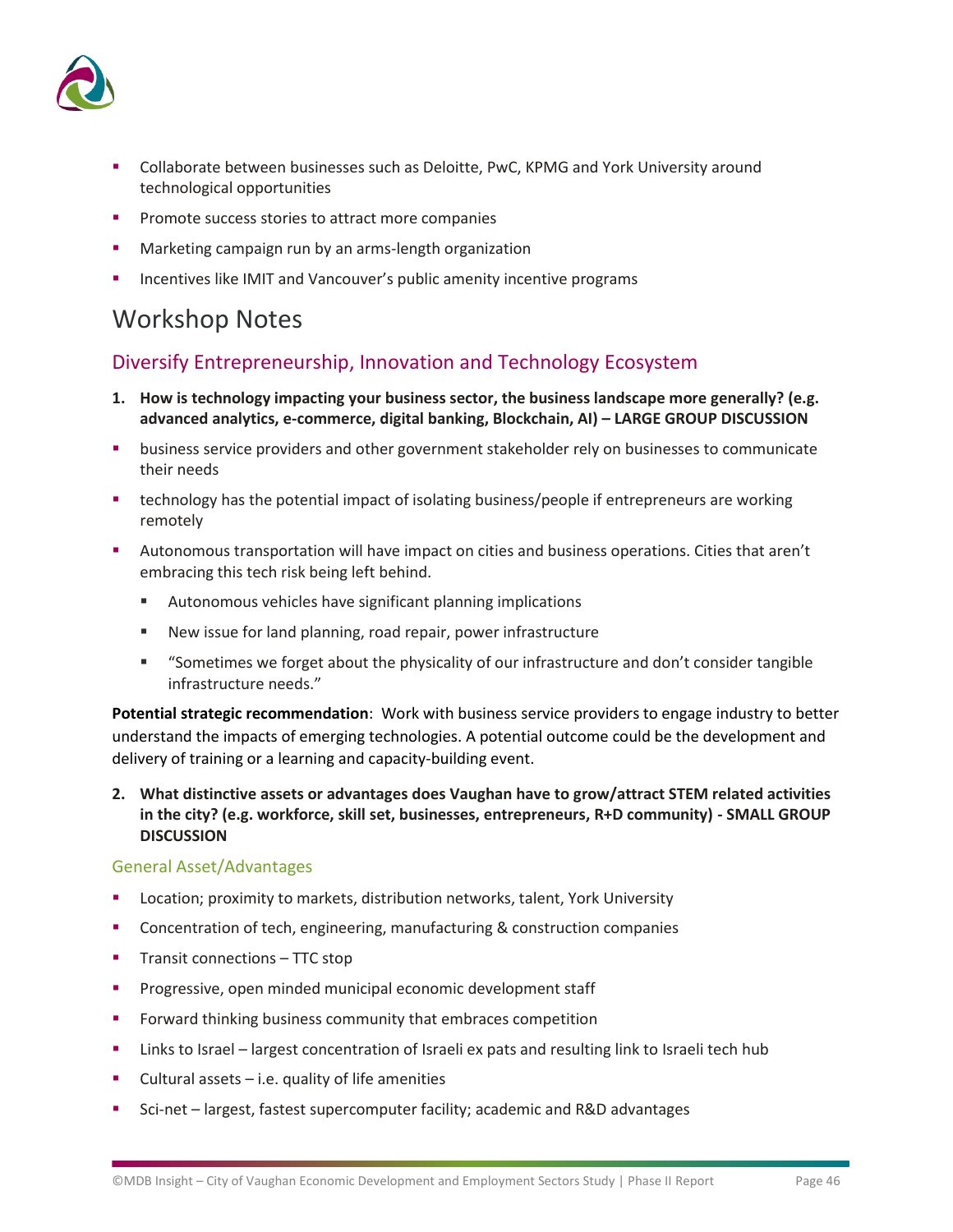

- Collaborate between businesses such as Deloitte, PwC, KPMG and York University around technological opportunities
- Promote success stories to attract more companies
- Marketing campaign run by an arms-length organization
- Incentives like IMIT and Vancouver's public amenity incentive programs

## Workshop Notes

### Diversify Entrepreneurship, Innovation and Technology Ecosystem

- **1. How is technology impacting your business sector, the business landscape more generally? (e.g. advanced analytics, e-commerce, digital banking, Blockchain, AI) – LARGE GROUP DISCUSSION**
- **■** business service providers and other government stakeholder rely on businesses to communicate their needs
- **■** technology has the potential impact of isolating business/people if entrepreneurs are working remotely
- Autonomous transportation will have impact on cities and business operations. Cities that aren't embracing this tech risk being left behind.
	- Autonomous vehicles have significant planning implications
	- New issue for land planning, road repair, power infrastructure
	- "Sometimes we forget about the physicality of our infrastructure and don't consider tangible infrastructure needs."

**Potential strategic recommendation**: Work with business service providers to engage industry to better understand the impacts of emerging technologies. A potential outcome could be the development and delivery of training or a learning and capacity-building event.

**2. What distinctive assets or advantages does Vaughan have to grow/attract STEM related activities in the city? (e.g. workforce, skill set, businesses, entrepreneurs, R+D community) - SMALL GROUP DISCUSSION**

### General Asset/Advantages

- Location; proximity to markets, distribution networks, talent, York University
- Concentration of tech, engineering, manufacturing & construction companies
- Transit connections TTC stop
- **•** Progressive, open minded municipal economic development staff
- **•** Forward thinking business community that embraces competition
- **EXECT** Links to Israel largest concentration of Israeli ex pats and resulting link to Israeli tech hub
- $\blacksquare$  Cultural assets i.e. quality of life amenities
- Sci-net largest, fastest supercomputer facility; academic and R&D advantages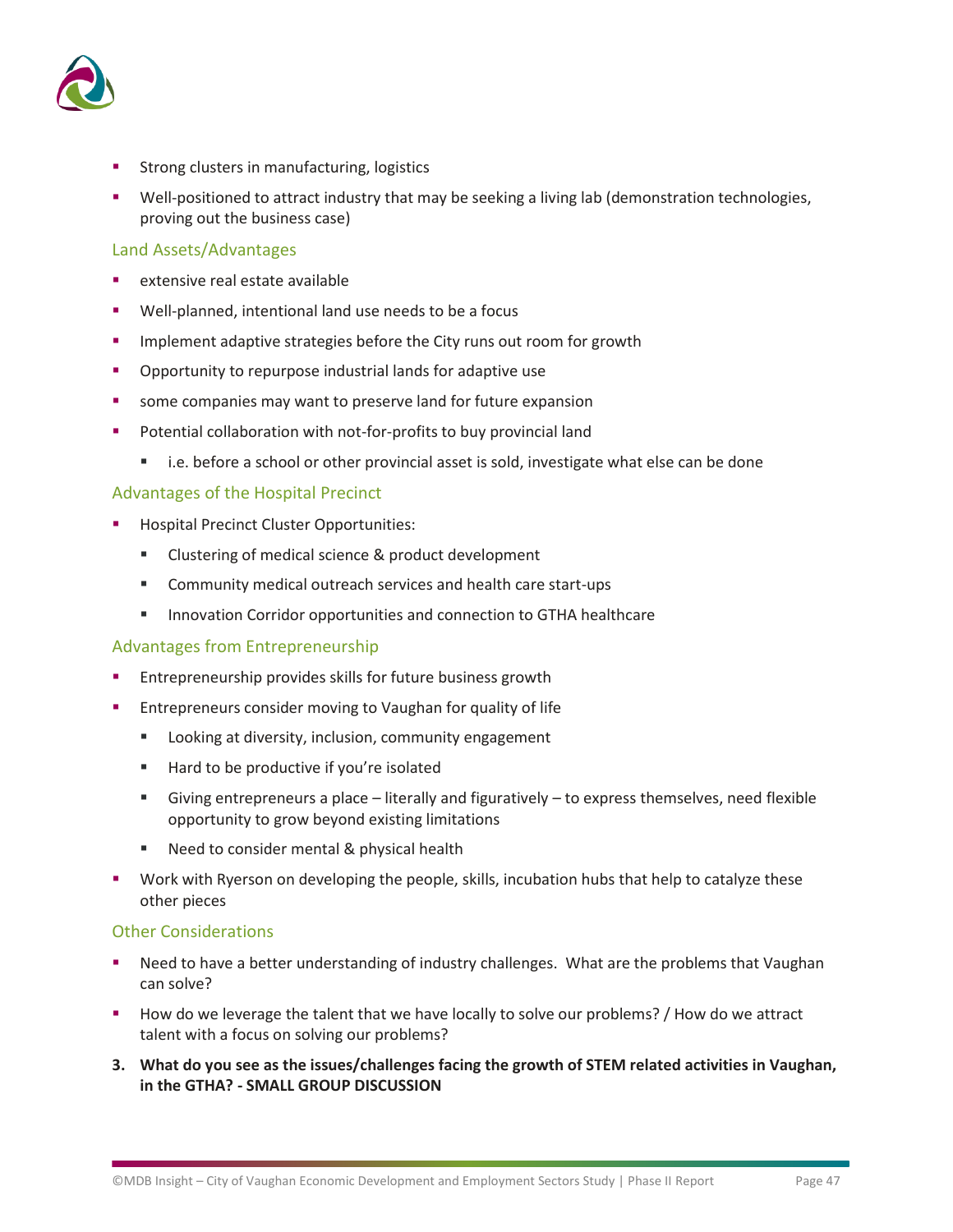

- **Strong clusters in manufacturing, logistics**
- Well-positioned to attract industry that may be seeking a living lab (demonstration technologies, proving out the business case)

### Land Assets/Advantages

- extensive real estate available
- Well-planned, intentional land use needs to be a focus
- **■** Implement adaptive strategies before the City runs out room for growth
- Opportunity to repurpose industrial lands for adaptive use
- some companies may want to preserve land for future expansion
- Potential collaboration with not-for-profits to buy provincial land
	- i.e. before a school or other provincial asset is sold, investigate what else can be done

### Advantages of the Hospital Precinct

- **Hospital Precinct Cluster Opportunities:** 
	- Clustering of medical science & product development
	- Community medical outreach services and health care start-ups
	- Innovation Corridor opportunities and connection to GTHA healthcare

### Advantages from Entrepreneurship

- Entrepreneurship provides skills for future business growth
- Entrepreneurs consider moving to Vaughan for quality of life
	- Looking at diversity, inclusion, community engagement
	- Hard to be productive if you're isolated
	- Giving entrepreneurs a place literally and figuratively to express themselves, need flexible opportunity to grow beyond existing limitations
	- Need to consider mental & physical health
- Work with Ryerson on developing the people, skills, incubation hubs that help to catalyze these other pieces

### Other Considerations

- Need to have a better understanding of industry challenges. What are the problems that Vaughan can solve?
- How do we leverage the talent that we have locally to solve our problems? / How do we attract talent with a focus on solving our problems?
- **3. What do you see as the issues/challenges facing the growth of STEM related activities in Vaughan, in the GTHA? - SMALL GROUP DISCUSSION**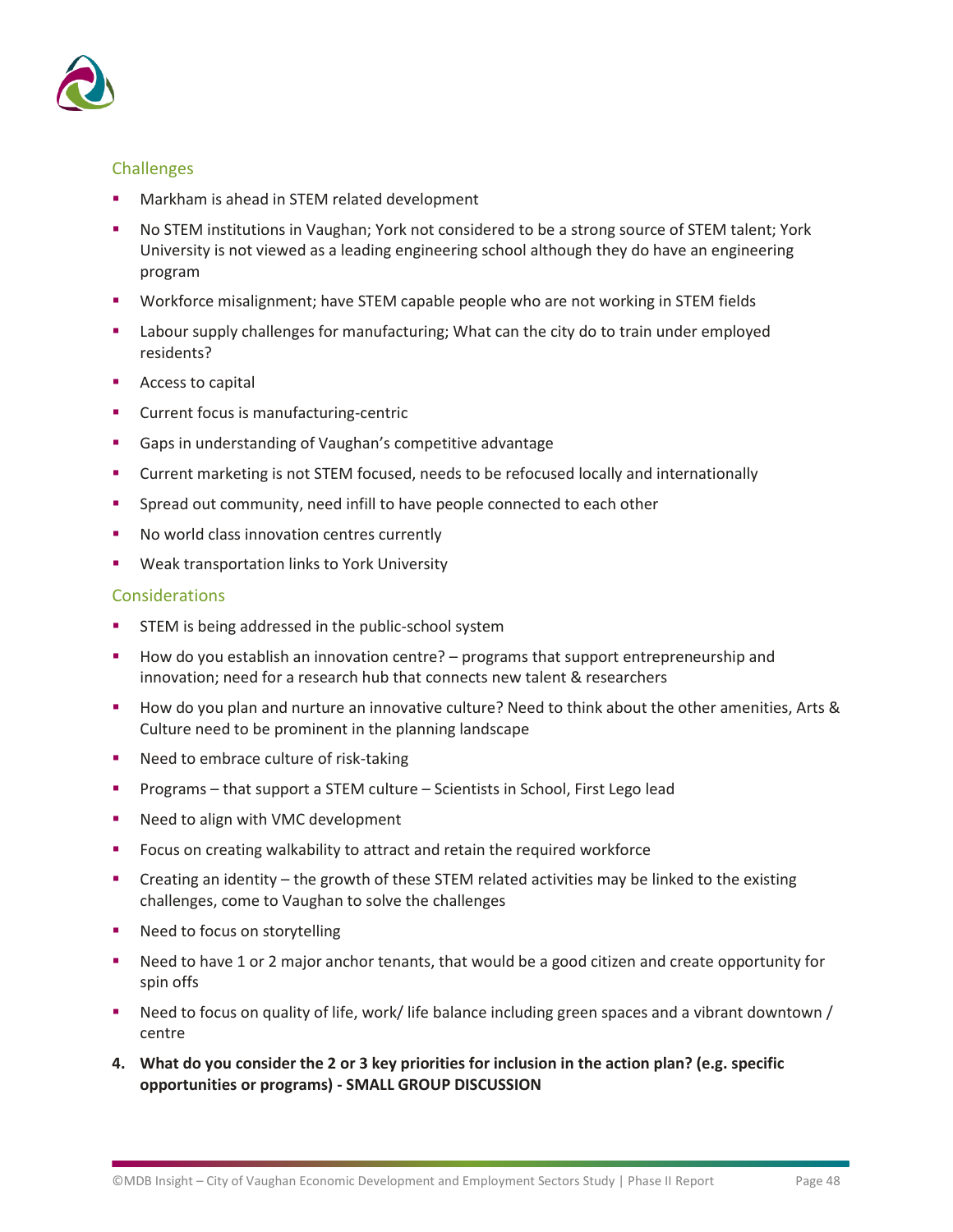

### Challenges

- Markham is ahead in STEM related development
- No STEM institutions in Vaughan; York not considered to be a strong source of STEM talent; York University is not viewed as a leading engineering school although they do have an engineering program
- Workforce misalignment; have STEM capable people who are not working in STEM fields
- Labour supply challenges for manufacturing; What can the city do to train under employed residents?
- Access to capital
- Current focus is manufacturing-centric
- Gaps in understanding of Vaughan's competitive advantage
- Current marketing is not STEM focused, needs to be refocused locally and internationally
- **E** Spread out community, need infill to have people connected to each other
- No world class innovation centres currently
- Weak transportation links to York University

### Considerations

- **EXECUTE:** STEM is being addressed in the public-school system
- How do you establish an innovation centre? programs that support entrepreneurship and innovation; need for a research hub that connects new talent & researchers
- How do you plan and nurture an innovative culture? Need to think about the other amenities, Arts & Culture need to be prominent in the planning landscape
- Need to embrace culture of risk-taking
- Programs that support a STEM culture Scientists in School, First Lego lead
- Need to align with VMC development
- Focus on creating walkability to attract and retain the required workforce
- Creating an identity the growth of these STEM related activities may be linked to the existing challenges, come to Vaughan to solve the challenges
- Need to focus on storytelling
- Need to have 1 or 2 major anchor tenants, that would be a good citizen and create opportunity for spin offs
- Need to focus on quality of life, work/ life balance including green spaces and a vibrant downtown / centre
- **4. What do you consider the 2 or 3 key priorities for inclusion in the action plan? (e.g. specific opportunities or programs) - SMALL GROUP DISCUSSION**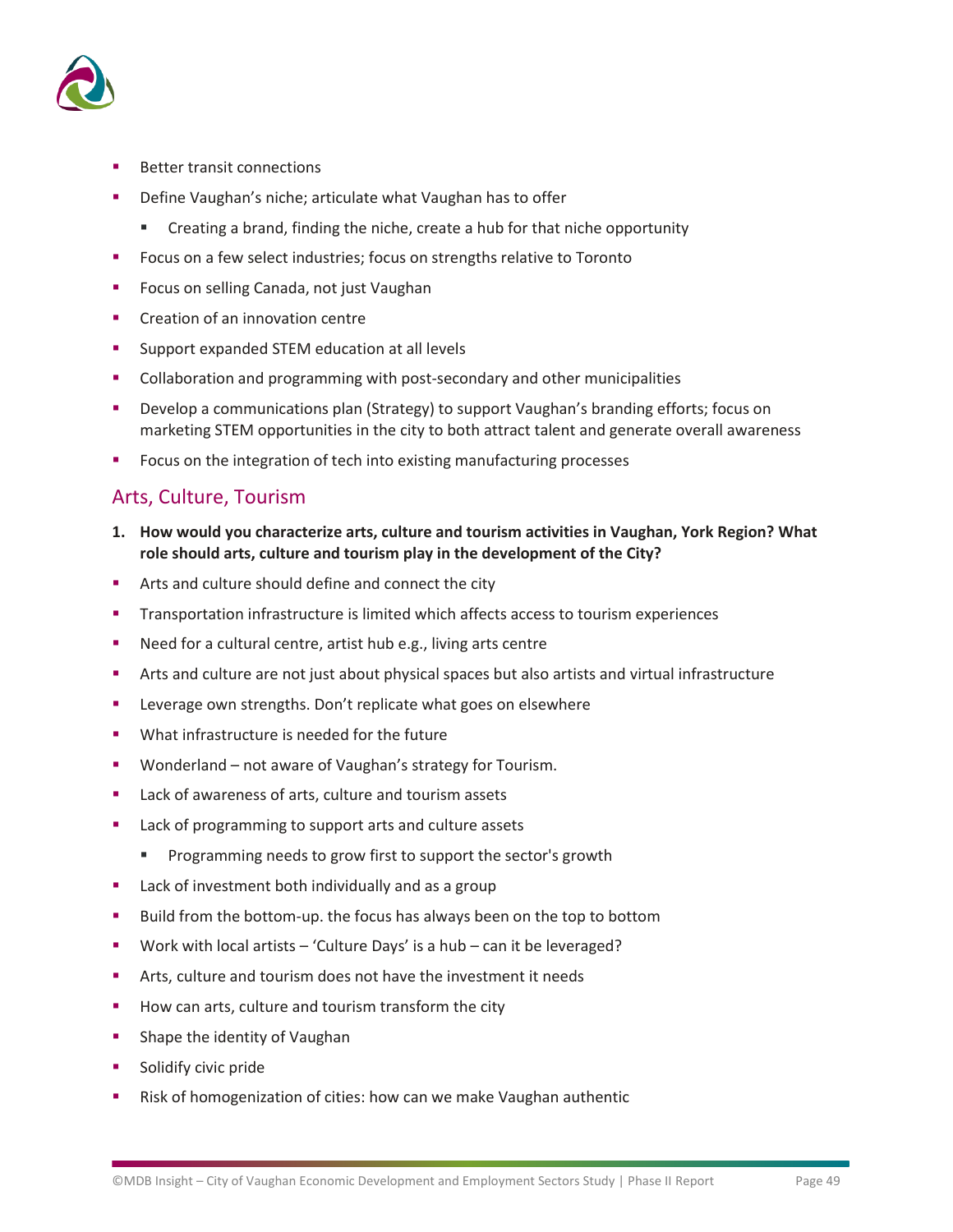

- **Better transit connections**
- Define Vaughan's niche; articulate what Vaughan has to offer
	- Creating a brand, finding the niche, create a hub for that niche opportunity
- Focus on a few select industries; focus on strengths relative to Toronto
- Focus on selling Canada, not just Vaughan
- Creation of an innovation centre
- Support expanded STEM education at all levels
- Collaboration and programming with post-secondary and other municipalities
- **•** Develop a communications plan (Strategy) to support Vaughan's branding efforts; focus on marketing STEM opportunities in the city to both attract talent and generate overall awareness
- Focus on the integration of tech into existing manufacturing processes

### Arts, Culture, Tourism

- **1. How would you characterize arts, culture and tourism activities in Vaughan, York Region? What role should arts, culture and tourism play in the development of the City?**
- Arts and culture should define and connect the city
- Transportation infrastructure is limited which affects access to tourism experiences
- Need for a cultural centre, artist hub e.g., living arts centre
- Arts and culture are not just about physical spaces but also artists and virtual infrastructure
- Leverage own strengths. Don't replicate what goes on elsewhere
- What infrastructure is needed for the future
- Wonderland not aware of Vaughan's strategy for Tourism.
- Lack of awareness of arts, culture and tourism assets
- Lack of programming to support arts and culture assets
	- Programming needs to grow first to support the sector's growth
- Lack of investment both individually and as a group
- Build from the bottom-up. the focus has always been on the top to bottom
- Work with local artists 'Culture Days' is a hub can it be leveraged?
- Arts, culture and tourism does not have the investment it needs
- How can arts, culture and tourism transform the city
- **■** Shape the identity of Vaughan
- Solidify civic pride
- Risk of homogenization of cities: how can we make Vaughan authentic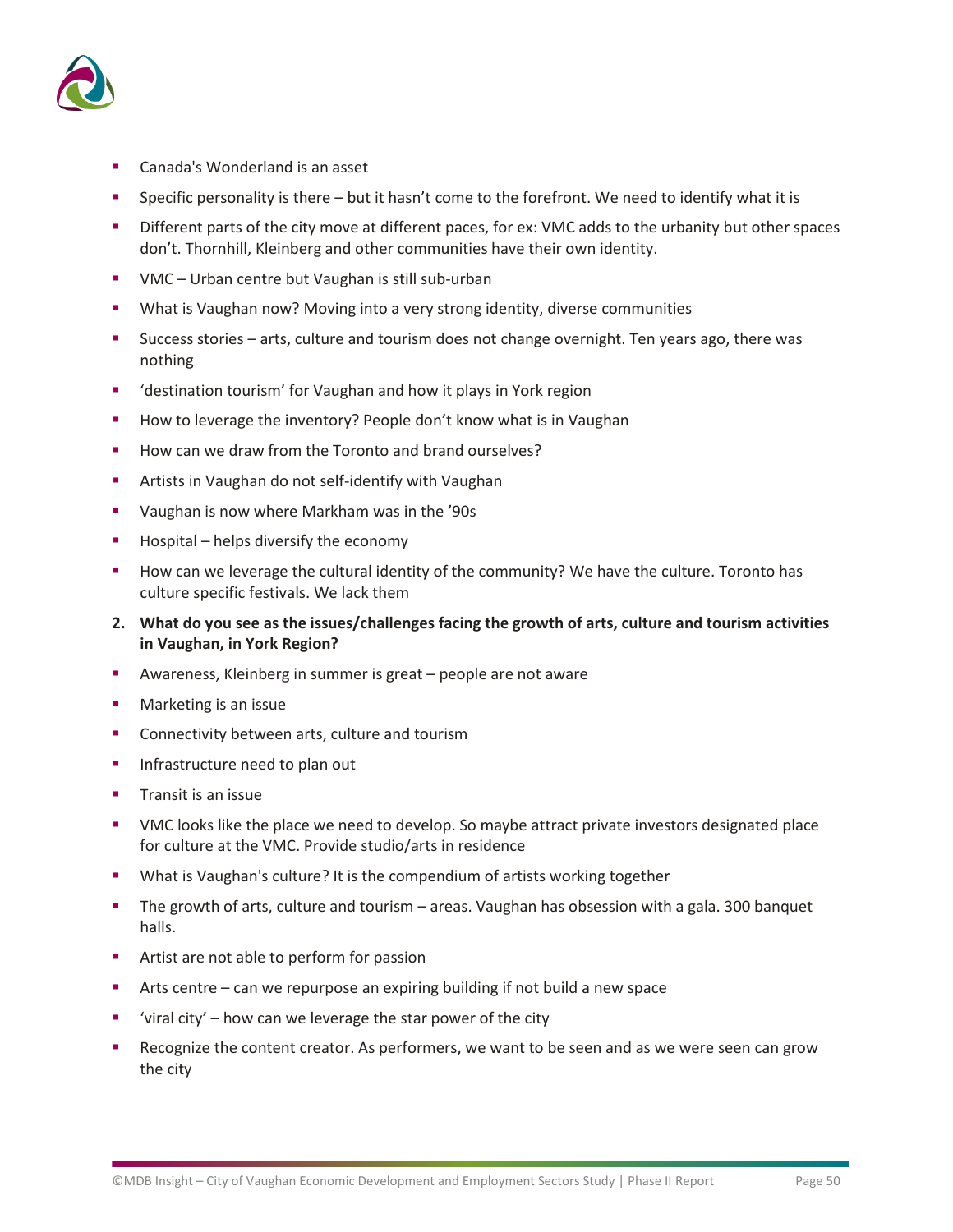

- Canada's Wonderland is an asset
- Specific personality is there but it hasn't come to the forefront. We need to identify what it is
- Different parts of the city move at different paces, for ex: VMC adds to the urbanity but other spaces don't. Thornhill, Kleinberg and other communities have their own identity.
- VMC Urban centre but Vaughan is still sub-urban
- What is Vaughan now? Moving into a very strong identity, diverse communities
- Success stories arts, culture and tourism does not change overnight. Ten years ago, there was nothing
- 'destination tourism' for Vaughan and how it plays in York region
- How to leverage the inventory? People don't know what is in Vaughan
- How can we draw from the Toronto and brand ourselves?
- Artists in Vaughan do not self-identify with Vaughan
- Vaughan is now where Markham was in the '90s
- Hospital helps diversify the economy
- How can we leverage the cultural identity of the community? We have the culture. Toronto has culture specific festivals. We lack them
- **2. What do you see as the issues/challenges facing the growth of arts, culture and tourism activities in Vaughan, in York Region?**
- Awareness, Kleinberg in summer is great people are not aware
- Marketing is an issue
- Connectivity between arts, culture and tourism
- Infrastructure need to plan out
- Transit is an issue
- VMC looks like the place we need to develop. So maybe attract private investors designated place for culture at the VMC. Provide studio/arts in residence
- What is Vaughan's culture? It is the compendium of artists working together
- **•** The growth of arts, culture and tourism areas. Vaughan has obsession with a gala. 300 banquet halls.
- Artist are not able to perform for passion
- Arts centre can we repurpose an expiring building if not build a new space
- $\bullet$  'viral city' how can we leverage the star power of the city
- Recognize the content creator. As performers, we want to be seen and as we were seen can grow the city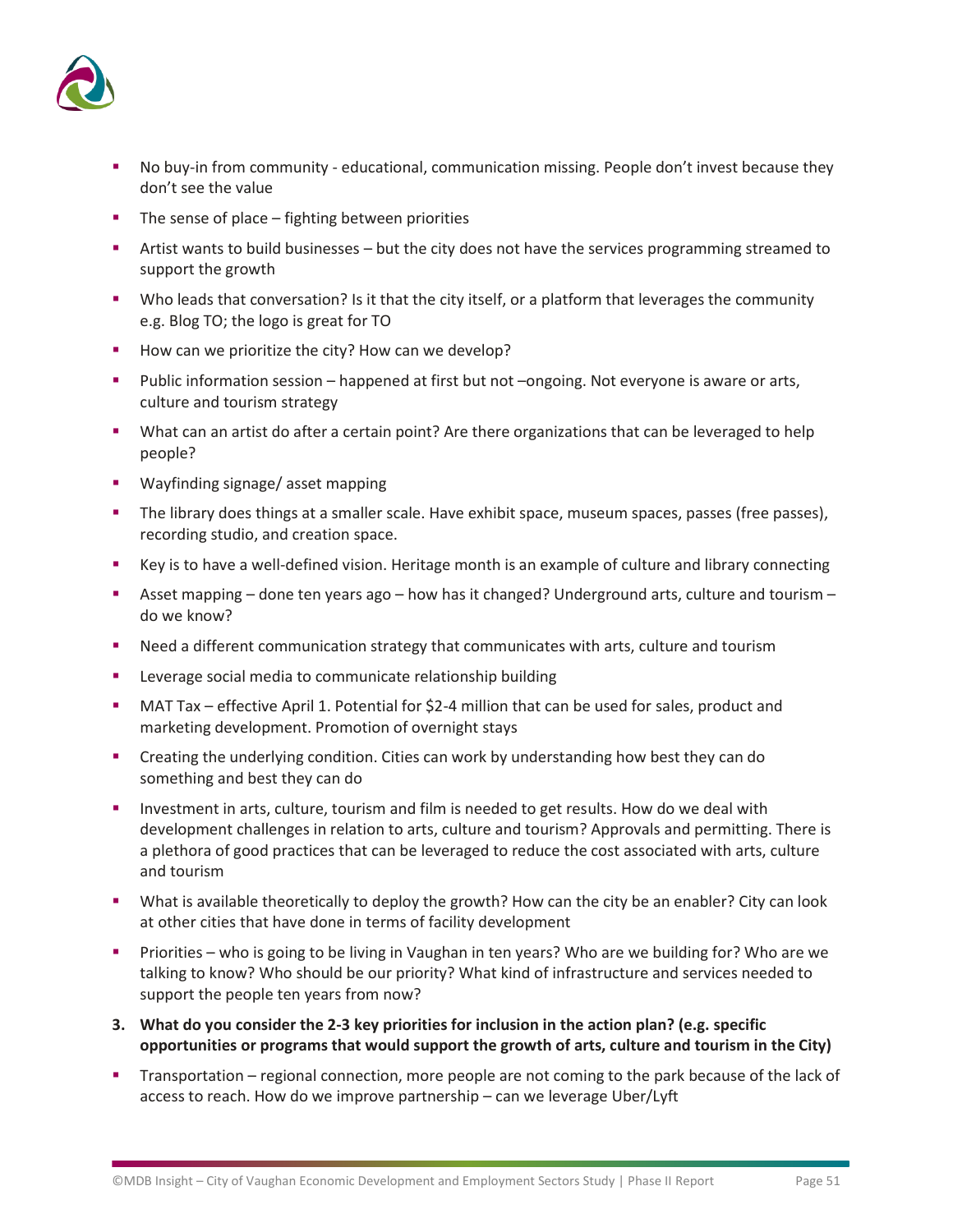

- No buy-in from community educational, communication missing. People don't invest because they don't see the value
- The sense of place fighting between priorities
- Artist wants to build businesses but the city does not have the services programming streamed to support the growth
- Who leads that conversation? Is it that the city itself, or a platform that leverages the community e.g. Blog TO; the logo is great for TO
- How can we prioritize the city? How can we develop?
- Public information session happened at first but not –ongoing. Not everyone is aware or arts, culture and tourism strategy
- What can an artist do after a certain point? Are there organizations that can be leveraged to help people?
- Wayfinding signage/ asset mapping
- The library does things at a smaller scale. Have exhibit space, museum spaces, passes (free passes), recording studio, and creation space.
- Key is to have a well-defined vision. Heritage month is an example of culture and library connecting
- Asset mapping done ten years ago how has it changed? Underground arts, culture and tourism do we know?
- Need a different communication strategy that communicates with arts, culture and tourism
- Leverage social media to communicate relationship building
- **■** MAT Tax effective April 1. Potential for \$2-4 million that can be used for sales, product and marketing development. Promotion of overnight stays
- Creating the underlying condition. Cities can work by understanding how best they can do something and best they can do
- **EXECT** Investment in arts, culture, tourism and film is needed to get results. How do we deal with development challenges in relation to arts, culture and tourism? Approvals and permitting. There is a plethora of good practices that can be leveraged to reduce the cost associated with arts, culture and tourism
- What is available theoretically to deploy the growth? How can the city be an enabler? City can look at other cities that have done in terms of facility development
- Priorities who is going to be living in Vaughan in ten years? Who are we building for? Who are we talking to know? Who should be our priority? What kind of infrastructure and services needed to support the people ten years from now?
- **3. What do you consider the 2-3 key priorities for inclusion in the action plan? (e.g. specific opportunities or programs that would support the growth of arts, culture and tourism in the City)**
- **•** Transportation regional connection, more people are not coming to the park because of the lack of access to reach. How do we improve partnership – can we leverage Uber/Lyft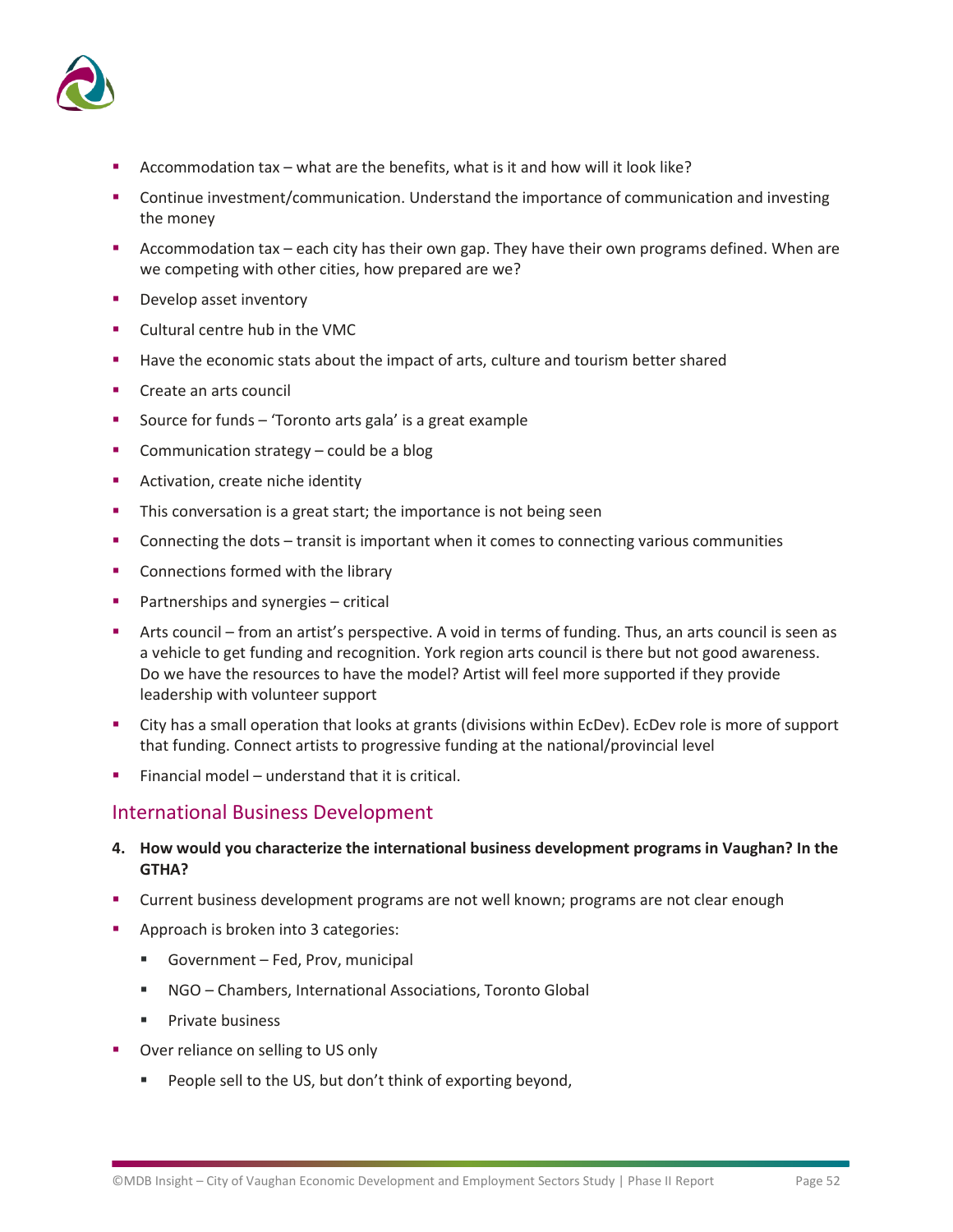

- Accommodation tax what are the benefits, what is it and how will it look like?
- **•** Continue investment/communication. Understand the importance of communication and investing the money
- **EXECOMMODATION COMMODATION 12 ACCOMMODATION** Accommodation tax each city has their own programs defined. When are we competing with other cities, how prepared are we?
- Develop asset inventory
- Cultural centre hub in the VMC
- Have the economic stats about the impact of arts, culture and tourism better shared
- Create an arts council
- Source for funds 'Toronto arts gala' is a great example
- Communication strategy could be a blog
- **EXECUTE:** Activation, create niche identity
- **•** This conversation is a great start; the importance is not being seen
- **•** Connecting the dots transit is important when it comes to connecting various communities
- Connections formed with the library
- Partnerships and synergies critical
- Arts council from an artist's perspective. A void in terms of funding. Thus, an arts council is seen as a vehicle to get funding and recognition. York region arts council is there but not good awareness. Do we have the resources to have the model? Artist will feel more supported if they provide leadership with volunteer support
- City has a small operation that looks at grants (divisions within EcDev). EcDev role is more of support that funding. Connect artists to progressive funding at the national/provincial level
- Financial model understand that it is critical.

### International Business Development

- **4. How would you characterize the international business development programs in Vaughan? In the GTHA?**
- Current business development programs are not well known; programs are not clear enough
- Approach is broken into 3 categories:
	- Government Fed, Prov, municipal
	- NGO Chambers, International Associations, Toronto Global
	- Private business
- Over reliance on selling to US only
	- People sell to the US, but don't think of exporting beyond,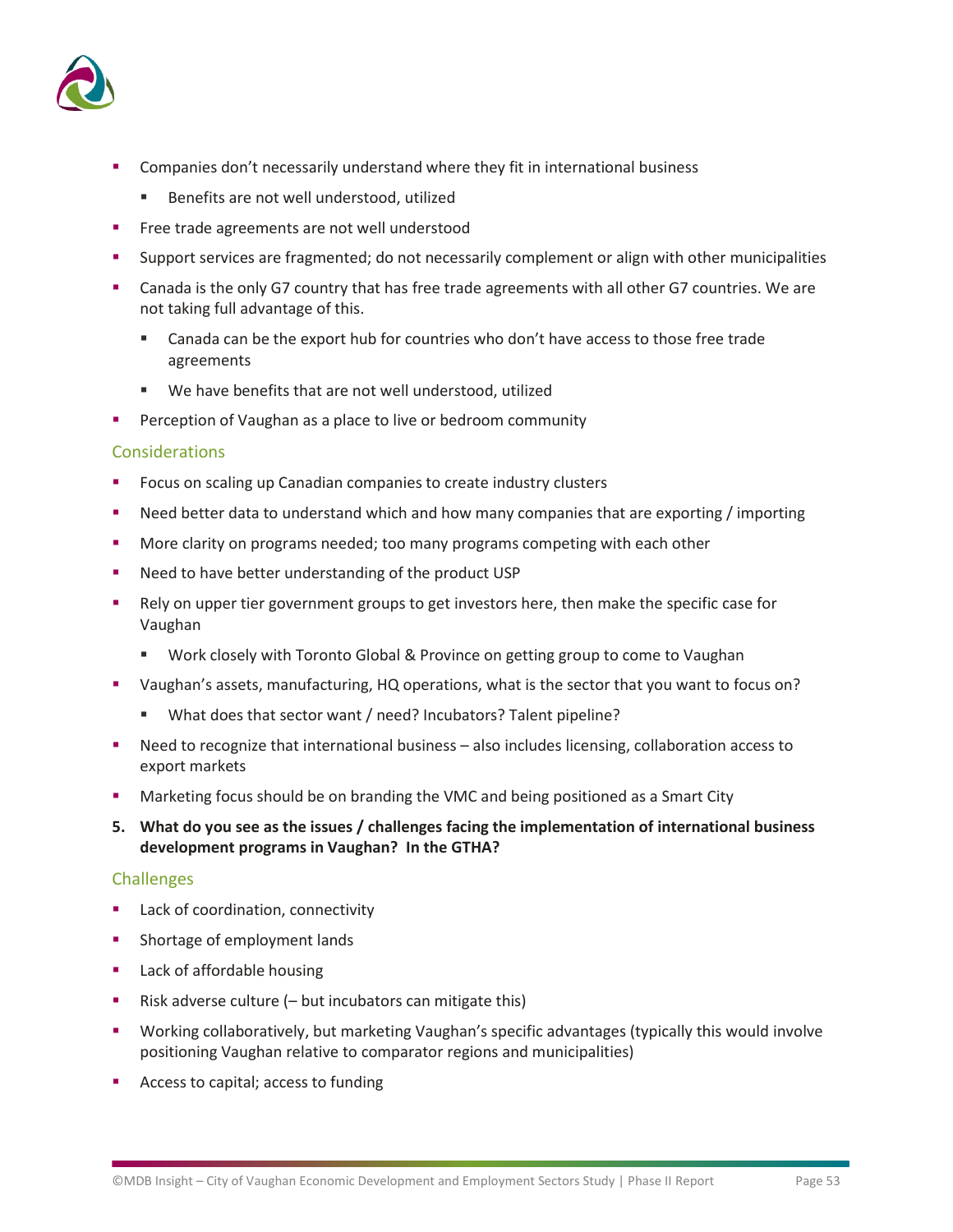

- Companies don't necessarily understand where they fit in international business
	- Benefits are not well understood, utilized
- **EXECUTE:** Free trade agreements are not well understood
- Support services are fragmented; do not necessarily complement or align with other municipalities
- Canada is the only G7 country that has free trade agreements with all other G7 countries. We are not taking full advantage of this.
	- Canada can be the export hub for countries who don't have access to those free trade agreements
	- We have benefits that are not well understood, utilized
- **•** Perception of Vaughan as a place to live or bedroom community

### Considerations

- Focus on scaling up Canadian companies to create industry clusters
- Need better data to understand which and how many companies that are exporting / importing
- **■** More clarity on programs needed; too many programs competing with each other
- Need to have better understanding of the product USP
- Rely on upper tier government groups to get investors here, then make the specific case for Vaughan
	- Work closely with Toronto Global & Province on getting group to come to Vaughan
- Vaughan's assets, manufacturing, HQ operations, what is the sector that you want to focus on?
	- What does that sector want / need? Incubators? Talent pipeline?
- Need to recognize that international business also includes licensing, collaboration access to export markets
- **■** Marketing focus should be on branding the VMC and being positioned as a Smart City
- **5. What do you see as the issues / challenges facing the implementation of international business development programs in Vaughan? In the GTHA?**

### Challenges

- Lack of coordination, connectivity
- **■** Shortage of employment lands
- Lack of affordable housing
- Risk adverse culture (– but incubators can mitigate this)
- Working collaboratively, but marketing Vaughan's specific advantages (typically this would involve positioning Vaughan relative to comparator regions and municipalities)
- Access to capital; access to funding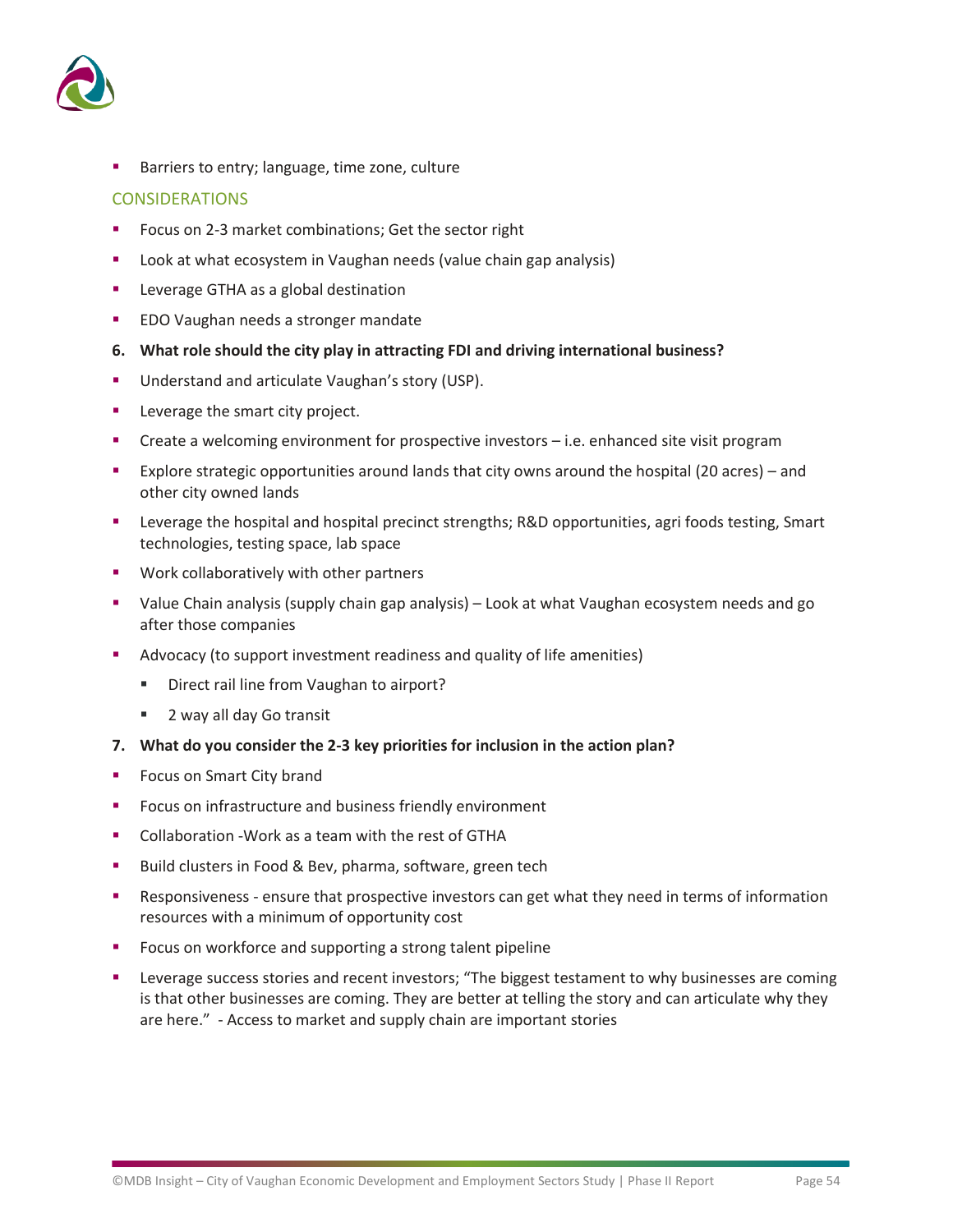

Barriers to entry; language, time zone, culture

### CONSIDERATIONS

- Focus on 2-3 market combinations; Get the sector right
- Look at what ecosystem in Vaughan needs (value chain gap analysis)
- Leverage GTHA as a global destination
- EDO Vaughan needs a stronger mandate
- **6. What role should the city play in attracting FDI and driving international business?**
- Understand and articulate Vaughan's story (USP).
- Leverage the smart city project.
- Create a welcoming environment for prospective investors i.e. enhanced site visit program
- Explore strategic opportunities around lands that city owns around the hospital (20 acres) and other city owned lands
- **EXECTE 1** Leverage the hospital and hospital precinct strengths; R&D opportunities, agri foods testing, Smart technologies, testing space, lab space
- Work collaboratively with other partners
- Value Chain analysis (supply chain gap analysis) Look at what Vaughan ecosystem needs and go after those companies
- Advocacy (to support investment readiness and quality of life amenities)
	- Direct rail line from Vaughan to airport?
	- 2 way all day Go transit
- **7. What do you consider the 2-3 key priorities for inclusion in the action plan?**
- Focus on Smart City brand
- Focus on infrastructure and business friendly environment
- Collaboration Work as a team with the rest of GTHA
- Build clusters in Food & Bev, pharma, software, green tech
- Responsiveness ensure that prospective investors can get what they need in terms of information resources with a minimum of opportunity cost
- Focus on workforce and supporting a strong talent pipeline
- Leverage success stories and recent investors; "The biggest testament to why businesses are coming is that other businesses are coming. They are better at telling the story and can articulate why they are here." - Access to market and supply chain are important stories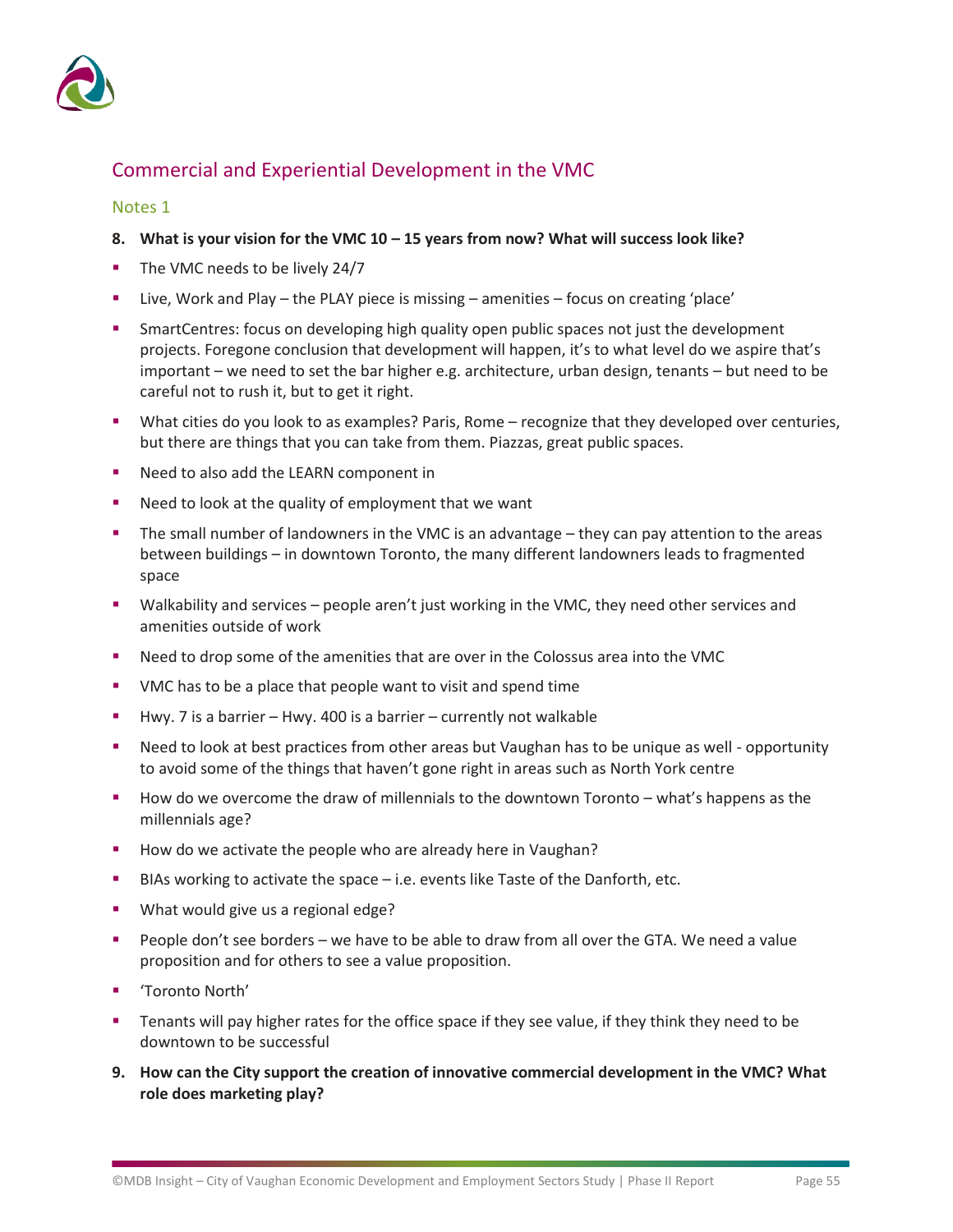

### Commercial and Experiential Development in the VMC

### Notes 1

- **8. What is your vision for the VMC 10 – 15 years from now? What will success look like?**
- The VMC needs to be lively 24/7
- Live, Work and Play the PLAY piece is missing amenities focus on creating 'place'
- **•** SmartCentres: focus on developing high quality open public spaces not just the development projects. Foregone conclusion that development will happen, it's to what level do we aspire that's important – we need to set the bar higher e.g. architecture, urban design, tenants – but need to be careful not to rush it, but to get it right.
- What cities do you look to as examples? Paris, Rome recognize that they developed over centuries, but there are things that you can take from them. Piazzas, great public spaces.
- Need to also add the LEARN component in
- Need to look at the quality of employment that we want
- The small number of landowners in the VMC is an advantage they can pay attention to the areas between buildings – in downtown Toronto, the many different landowners leads to fragmented space
- Walkability and services people aren't just working in the VMC, they need other services and amenities outside of work
- Need to drop some of the amenities that are over in the Colossus area into the VMC
- VMC has to be a place that people want to visit and spend time
- Hwy. 7 is a barrier Hwy. 400 is a barrier currently not walkable
- Need to look at best practices from other areas but Vaughan has to be unique as well opportunity to avoid some of the things that haven't gone right in areas such as North York centre
- How do we overcome the draw of millennials to the downtown Toronto what's happens as the millennials age?
- How do we activate the people who are already here in Vaughan?
- BIAs working to activate the space  $-$  i.e. events like Taste of the Danforth, etc.
- **■** What would give us a regional edge?
- People don't see borders we have to be able to draw from all over the GTA. We need a value proposition and for others to see a value proposition.
- 'Toronto North'
- **•** Tenants will pay higher rates for the office space if they see value, if they think they need to be downtown to be successful
- **9. How can the City support the creation of innovative commercial development in the VMC? What role does marketing play?**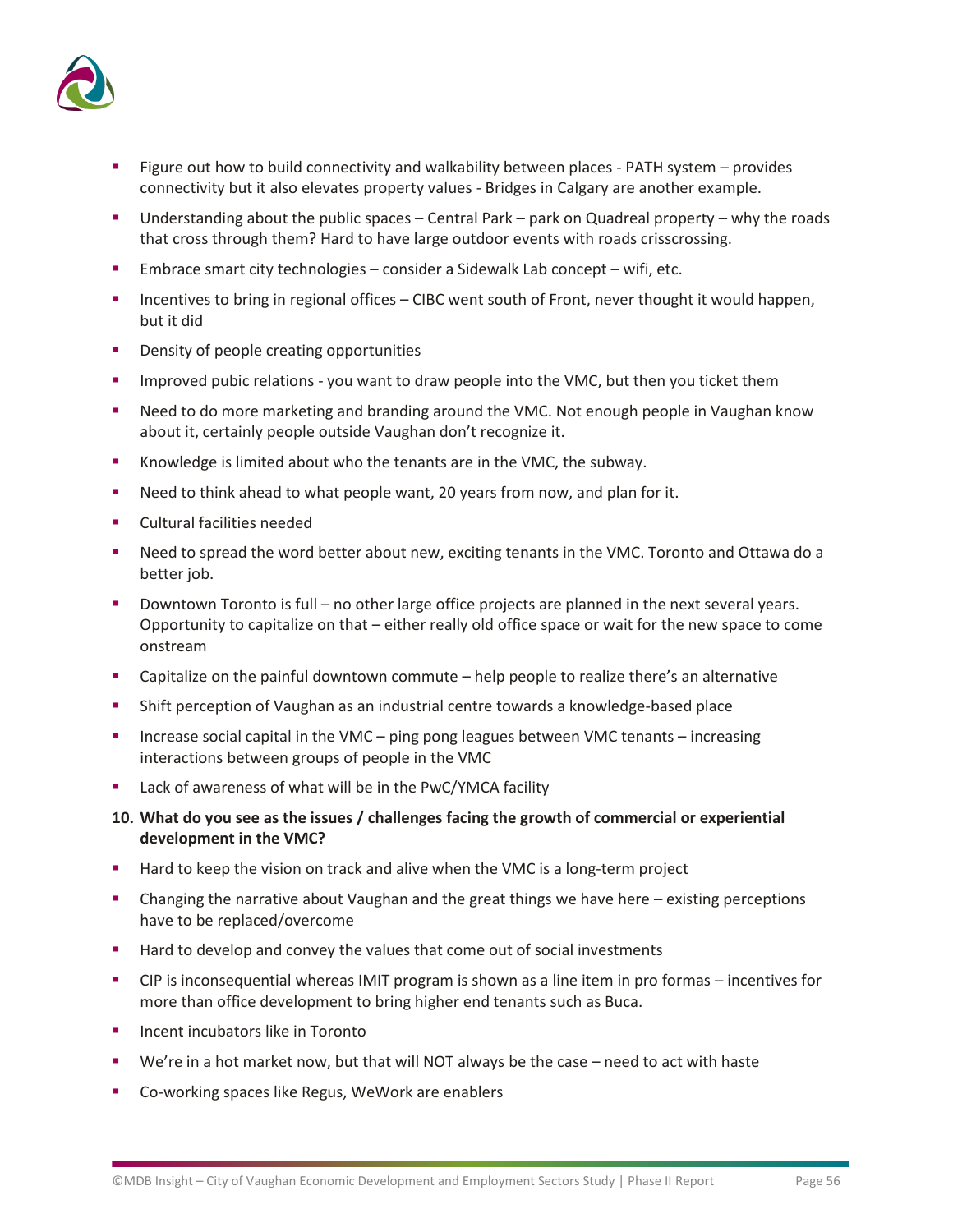

- **EXECT:** Figure out how to build connectivity and walkability between places PATH system provides connectivity but it also elevates property values - Bridges in Calgary are another example.
- **■** Understanding about the public spaces Central Park park on Quadreal property why the roads that cross through them? Hard to have large outdoor events with roads crisscrossing.
- **Embrace smart city technologies consider a Sidewalk Lab concept wifi, etc.**
- Incentives to bring in regional offices CIBC went south of Front, never thought it would happen, but it did
- Density of people creating opportunities
- **•** Improved pubic relations you want to draw people into the VMC, but then you ticket them
- Need to do more marketing and branding around the VMC. Not enough people in Vaughan know about it, certainly people outside Vaughan don't recognize it.
- Knowledge is limited about who the tenants are in the VMC, the subway.
- Need to think ahead to what people want, 20 years from now, and plan for it.
- Cultural facilities needed
- Need to spread the word better about new, exciting tenants in the VMC. Toronto and Ottawa do a better job.
- Downtown Toronto is full no other large office projects are planned in the next several years. Opportunity to capitalize on that – either really old office space or wait for the new space to come onstream
- Capitalize on the painful downtown commute help people to realize there's an alternative
- Shift perception of Vaughan as an industrial centre towards a knowledge-based place
- Increase social capital in the VMC ping pong leagues between VMC tenants increasing interactions between groups of people in the VMC
- Lack of awareness of what will be in the PwC/YMCA facility
- **10. What do you see as the issues / challenges facing the growth of commercial or experiential development in the VMC?**
- Hard to keep the vision on track and alive when the VMC is a long-term project
- Changing the narrative about Vaughan and the great things we have here existing perceptions have to be replaced/overcome
- Hard to develop and convey the values that come out of social investments
- CIP is inconsequential whereas IMIT program is shown as a line item in pro formas incentives for more than office development to bring higher end tenants such as Buca.
- Incent incubators like in Toronto
- We're in a hot market now, but that will NOT always be the case need to act with haste
- Co-working spaces like Regus, WeWork are enablers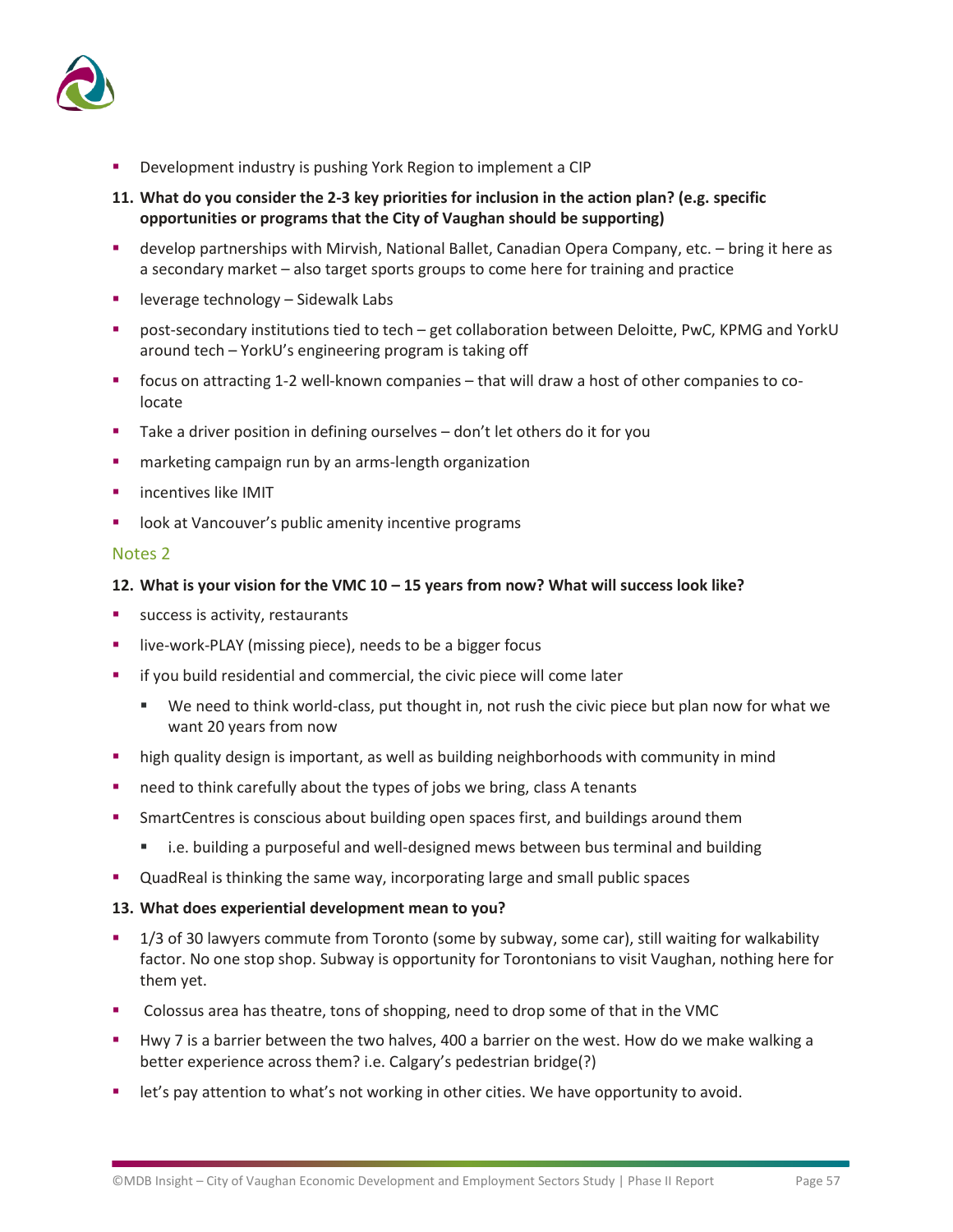

- Development industry is pushing York Region to implement a CIP
- **11. What do you consider the 2-3 key priorities for inclusion in the action plan? (e.g. specific opportunities or programs that the City of Vaughan should be supporting)**
- develop partnerships with Mirvish, National Ballet, Canadian Opera Company, etc. bring it here as a secondary market – also target sports groups to come here for training and practice
- leverage technology Sidewalk Labs
- post-secondary institutions tied to tech get collaboration between Deloitte, PwC, KPMG and YorkU around tech – YorkU's engineering program is taking off
- focus on attracting 1-2 well-known companies that will draw a host of other companies to colocate
- Take a driver position in defining ourselves don't let others do it for you
- **E** marketing campaign run by an arms-length organization
- **·** incentives like IMIT
- look at Vancouver's public amenity incentive programs

### Notes 2

### **12. What is your vision for the VMC 10 – 15 years from now? What will success look like?**

- success is activity, restaurants
- live-work-PLAY (missing piece), needs to be a bigger focus
- if you build residential and commercial, the civic piece will come later
	- We need to think world-class, put thought in, not rush the civic piece but plan now for what we want 20 years from now
- **.** high quality design is important, as well as building neighborhoods with community in mind
- need to think carefully about the types of jobs we bring, class A tenants
- **•** SmartCentres is conscious about building open spaces first, and buildings around them
	- i.e. building a purposeful and well-designed mews between bus terminal and building
- QuadReal is thinking the same way, incorporating large and small public spaces

### **13. What does experiential development mean to you?**

- 1/3 of 30 lawyers commute from Toronto (some by subway, some car), still waiting for walkability factor. No one stop shop. Subway is opportunity for Torontonians to visit Vaughan, nothing here for them yet.
- Colossus area has theatre, tons of shopping, need to drop some of that in the VMC
- Hwy 7 is a barrier between the two halves, 400 a barrier on the west. How do we make walking a better experience across them? i.e. Calgary's pedestrian bridge(?)
- let's pay attention to what's not working in other cities. We have opportunity to avoid.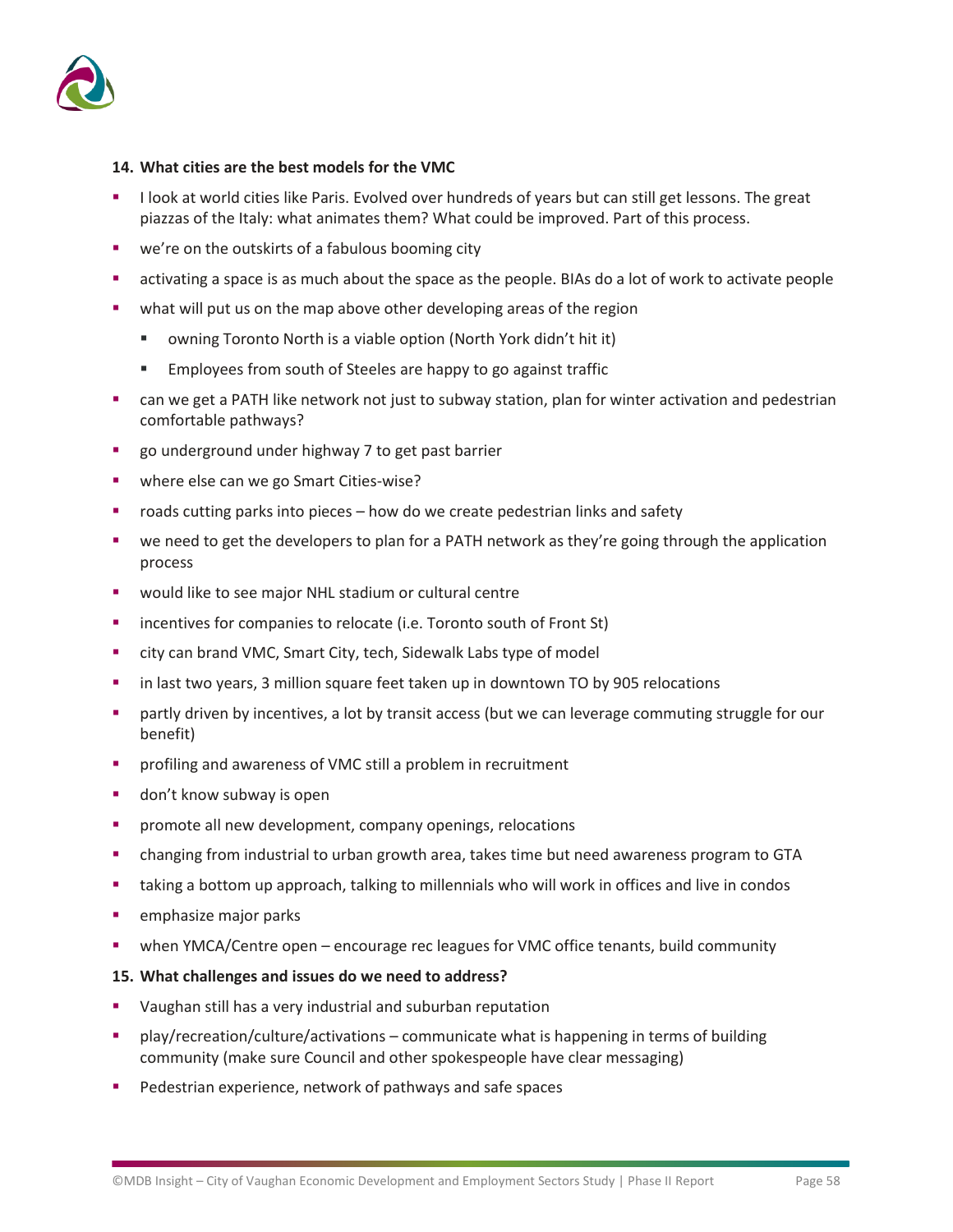

### **14. What cities are the best models for the VMC**

- I look at world cities like Paris. Evolved over hundreds of years but can still get lessons. The great piazzas of the Italy: what animates them? What could be improved. Part of this process.
- we're on the outskirts of a fabulous booming city
- activating a space is as much about the space as the people. BIAs do a lot of work to activate people
- what will put us on the map above other developing areas of the region
	- owning Toronto North is a viable option (North York didn't hit it)
	- Employees from south of Steeles are happy to go against traffic
- can we get a PATH like network not just to subway station, plan for winter activation and pedestrian comfortable pathways?
- go underground under highway 7 to get past barrier
- where else can we go Smart Cities-wise?
- roads cutting parks into pieces how do we create pedestrian links and safety
- we need to get the developers to plan for a PATH network as they're going through the application process
- would like to see major NHL stadium or cultural centre
- incentives for companies to relocate (i.e. Toronto south of Front St)
- city can brand VMC, Smart City, tech, Sidewalk Labs type of model
- in last two years, 3 million square feet taken up in downtown TO by 905 relocations
- partly driven by incentives, a lot by transit access (but we can leverage commuting struggle for our benefit)
- profiling and awareness of VMC still a problem in recruitment
- don't know subway is open
- **•** promote all new development, company openings, relocations
- changing from industrial to urban growth area, takes time but need awareness program to GTA
- taking a bottom up approach, talking to millennials who will work in offices and live in condos
- **■** emphasize major parks
- when YMCA/Centre open encourage rec leagues for VMC office tenants, build community
- **15. What challenges and issues do we need to address?**
- Vaughan still has a very industrial and suburban reputation
- play/recreation/culture/activations communicate what is happening in terms of building community (make sure Council and other spokespeople have clear messaging)
- Pedestrian experience, network of pathways and safe spaces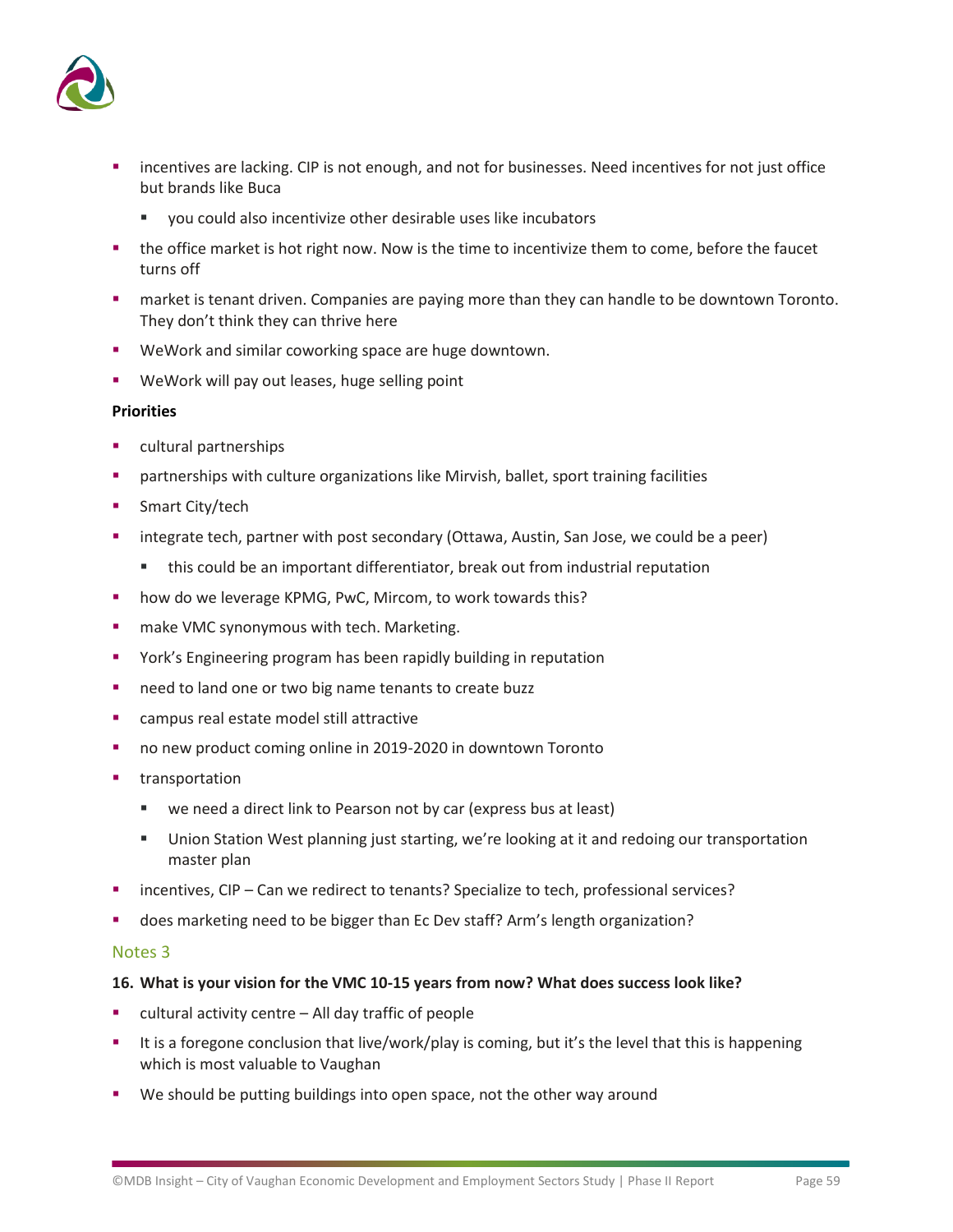

- incentives are lacking. CIP is not enough, and not for businesses. Need incentives for not just office but brands like Buca
	- vou could also incentivize other desirable uses like incubators
- the office market is hot right now. Now is the time to incentivize them to come, before the faucet turns off
- **■** market is tenant driven. Companies are paying more than they can handle to be downtown Toronto. They don't think they can thrive here
- WeWork and similar coworking space are huge downtown.
- WeWork will pay out leases, huge selling point

### **Priorities**

- cultural partnerships
- partnerships with culture organizations like Mirvish, ballet, sport training facilities
- Smart City/tech
- integrate tech, partner with post secondary (Ottawa, Austin, San Jose, we could be a peer)
	- this could be an important differentiator, break out from industrial reputation
- how do we leverage KPMG, PwC, Mircom, to work towards this?
- make VMC synonymous with tech. Marketing.
- York's Engineering program has been rapidly building in reputation
- need to land one or two big name tenants to create buzz
- campus real estate model still attractive
- no new product coming online in 2019-2020 in downtown Toronto
- transportation
	- we need a direct link to Pearson not by car (express bus at least)
	- **■** Union Station West planning just starting, we're looking at it and redoing our transportation master plan
- incentives, CIP Can we redirect to tenants? Specialize to tech, professional services?
- does marketing need to be bigger than Ec Dev staff? Arm's length organization?

### Notes 3

### **16. What is your vision for the VMC 10-15 years from now? What does success look like?**

- $cutural activity centre All day traffic of people$
- It is a foregone conclusion that live/work/play is coming, but it's the level that this is happening which is most valuable to Vaughan
- We should be putting buildings into open space, not the other way around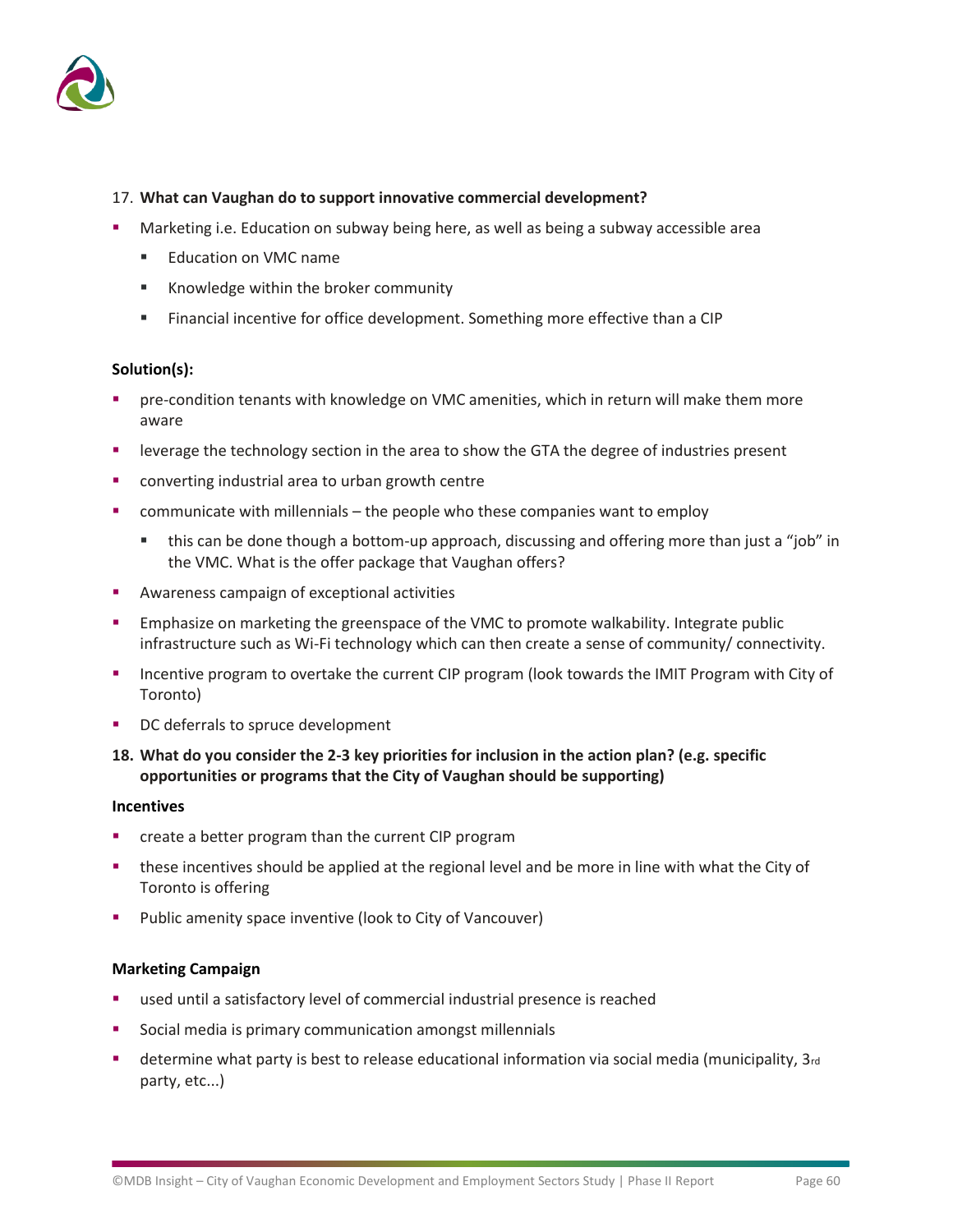

### 17. **What can Vaughan do to support innovative commercial development?**

- Marketing i.e. Education on subway being here, as well as being a subway accessible area
	- Education on VMC name
	- Knowledge within the broker community
	- **EXECTE:** Financial incentive for office development. Something more effective than a CIP

### **Solution(s):**

- pre-condition tenants with knowledge on VMC amenities, which in return will make them more aware
- leverage the technology section in the area to show the GTA the degree of industries present
- converting industrial area to urban growth centre
- communicate with millennials the people who these companies want to employ
	- this can be done though a bottom-up approach, discussing and offering more than just a "job" in the VMC. What is the offer package that Vaughan offers?
- Awareness campaign of exceptional activities
- **Emphasize on marketing the greenspace of the VMC to promote walkability. Integrate public** infrastructure such as Wi-Fi technology which can then create a sense of community/ connectivity.
- **■** Incentive program to overtake the current CIP program (look towards the IMIT Program with City of Toronto)
- DC deferrals to spruce development
- **18. What do you consider the 2-3 key priorities for inclusion in the action plan? (e.g. specific opportunities or programs that the City of Vaughan should be supporting)**

### **Incentives**

- create a better program than the current CIP program
- these incentives should be applied at the regional level and be more in line with what the City of Toronto is offering
- Public amenity space inventive (look to City of Vancouver)

### **Marketing Campaign**

- used until a satisfactory level of commercial industrial presence is reached
- Social media is primary communication amongst millennials
- determine what party is best to release educational information via social media (municipality, 3rd party, etc...)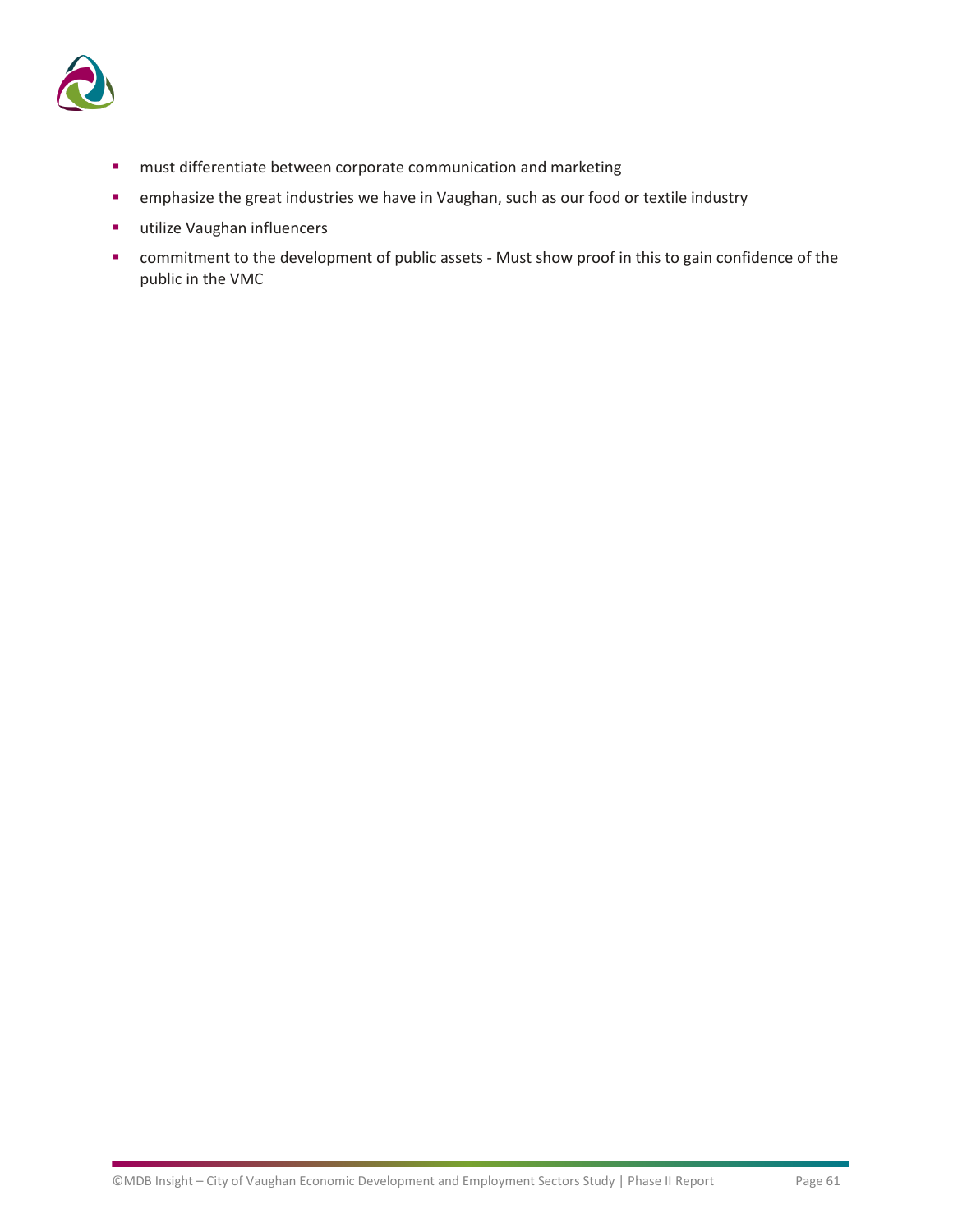

- must differentiate between corporate communication and marketing
- **E** emphasize the great industries we have in Vaughan, such as our food or textile industry
- utilize Vaughan influencers
- commitment to the development of public assets Must show proof in this to gain confidence of the public in the VMC